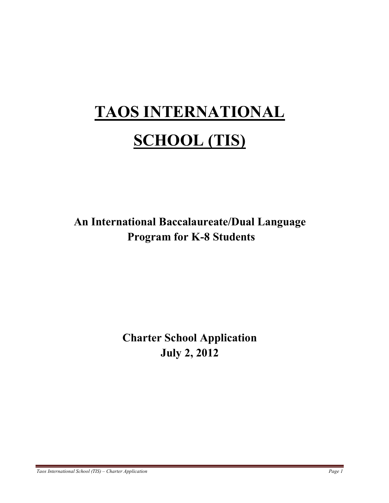# **TAOS INTERNATIONAL SCHOOL (TIS)**

**An International Baccalaureate/Dual Language Program for K-8 Students**

> **Charter School Application July 2, 2012**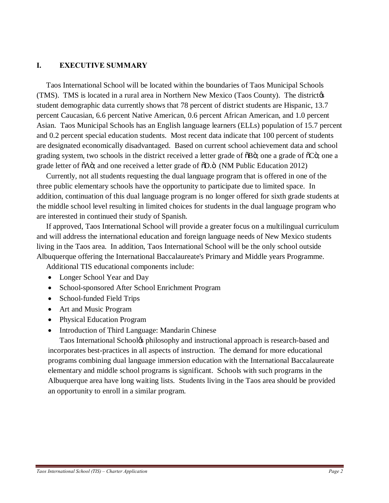## **I. EXECUTIVE SUMMARY**

 Taos International School will be located within the boundaries of Taos Municipal Schools (TMS). TMS is located in a rural area in Northern New Mexico (Taos County). The districtors student demographic data currently shows that 78 percent of district students are Hispanic, 13.7 percent Caucasian, 6.6 percent Native American, 0.6 percent African American, and 1.0 percent Asian. Taos Municipal Schools has an English language learners (ELLs) population of 15.7 percent and 0.2 percent special education students. Most recent data indicate that 100 percent of students are designated economically disadvantaged. Based on current school achievement data and school grading system, two schools in the district received a letter grade of  $\delta$ B $\ddot{\rm o}$ ; one a grade of  $\delta$ C $\ddot{\rm o}$ ; one a grade letter of  $\tilde{o}$ A $\tilde{o}$ ; and one received a letter grade of  $\tilde{o}$ D. $\tilde{o}$  (NM Public Education 2012)

 Currently, not all students requesting the dual language program that is offered in one of the three public elementary schools have the opportunity to participate due to limited space. In addition, continuation of this dual language program is no longer offered for sixth grade students at the middle school level resulting in limited choices for students in the dual language program who are interested in continued their study of Spanish.

 If approved, Taos International School will provide a greater focus on a multilingual curriculum and will address the international education and foreign language needs of New Mexico students living in the Taos area. In addition, Taos International School will be the only school outside Albuquerque offering the International Baccalaureate's Primary and Middle years Programme.

Additional TIS educational components include:

- Longer School Year and Day
- · School-sponsored After School Enrichment Program
- School-funded Field Trips
- Art and Music Program
- · Physical Education Program
- Introduction of Third Language: Mandarin Chinese

 Taos International School's philosophy and instructional approach is research-based and incorporates best-practices in all aspects of instruction. The demand for more educational programs combining dual language immersion education with the International Baccalaureate elementary and middle school programs is significant. Schools with such programs in the Albuquerque area have long waiting lists. Students living in the Taos area should be provided an opportunity to enroll in a similar program.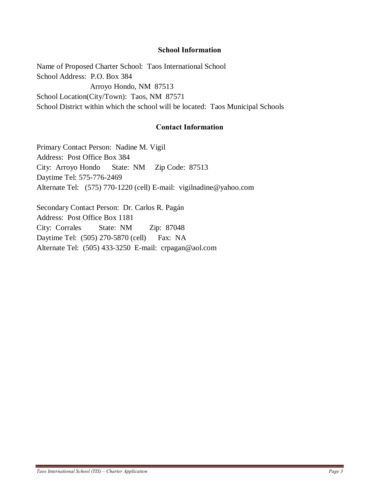#### **School Information**

Name of Proposed Charter School: Taos International School School Address: P.O. Box 384 Arroyo Hondo, NM 87513 School Location(City/Town): Taos, NM 87571 School District within which the school will be located: Taos Municipal Schools

## **Contact Information**

Primary Contact Person: Nadine M. Vigil Address: Post Office Box 384 City: Arroyo Hondo State: NM Zip Code: 87513 Daytime Tel: 575-776-2469 Alternate Tel: (575) 770-1220 (cell) E-mail: vigilnadine@yahoo.com

Secondary Contact Person: Dr. Carlos R. Pagán Address: Post Office Box 1181 City: Corrales State: NM Zip: 87048 Daytime Tel: (505) 270-5870 (cell) Fax: NA Alternate Tel: (505) 433-3250 E-mail: crpagan@aol.com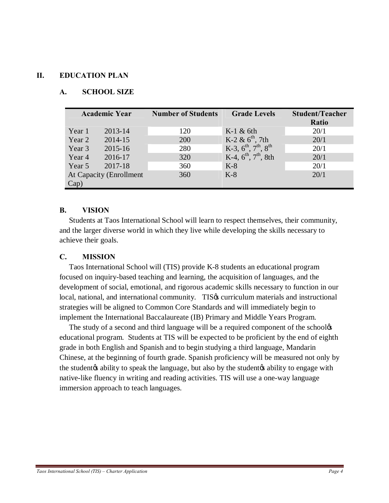## **II. EDUCATION PLAN**

## **A. SCHOOL SIZE**

| <b>Academic Year</b>    |         | <b>Number of Students</b> | <b>Grade Levels</b>                                      | <b>Student/Teacher</b><br>Ratio |
|-------------------------|---------|---------------------------|----------------------------------------------------------|---------------------------------|
| Year 1                  | 2013-14 | 120                       | $K-1$ & 6th                                              | 20/1                            |
| Year 2                  | 2014-15 | 200                       | K-2 & $6^{\text{th}}$ , 7th                              | 20/1                            |
| Year 3                  | 2015-16 | 280                       | K-3, $6^{\text{th}}$ , $7^{\text{th}}$ , $8^{\text{th}}$ | 20/1                            |
| Year 4                  | 2016-17 | 320                       | K-4, $6^{\text{th}}$ , $7^{\text{th}}$ , 8th             | 20/1                            |
| Year 5                  | 2017-18 | 360                       | $K-8$                                                    | 20/1                            |
| At Capacity (Enrollment |         | 360                       | $K-8$                                                    | 20/1                            |
| Cap)                    |         |                           |                                                          |                                 |

## **B. VISION**

 Students at Taos International School will learn to respect themselves, their community, and the larger diverse world in which they live while developing the skills necessary to achieve their goals.

#### **C. MISSION**

 Taos International School will (TIS) provide K-8 students an educational program focused on inquiry-based teaching and learning, the acquisition of languages, and the development of social, emotional, and rigorous academic skills necessary to function in our local, national, and international community. TIS& curriculum materials and instructional strategies will be aligned to Common Core Standards and will immediately begin to implement the International Baccalaureate (IB) Primary and Middle Years Program.

The study of a second and third language will be a required component of the school educational program. Students at TIS will be expected to be proficient by the end of eighth grade in both English and Spanish and to begin studying a third language, Mandarin Chinese, at the beginning of fourth grade. Spanish proficiency will be measured not only by the student the student is ability to speak the language, but also by the student to ability to engage with native-like fluency in writing and reading activities. TIS will use a one-way language immersion approach to teach languages.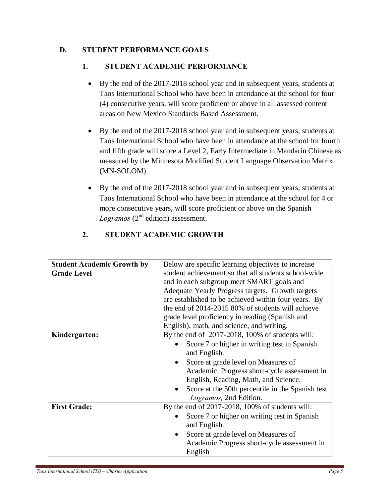# **D. STUDENT PERFORMANCE GOALS**

# **1. STUDENT ACADEMIC PERFORMANCE**

- · By the end of the 2017-2018 school year and in subsequent years, students at Taos International School who have been in attendance at the school for four (4) consecutive years, will score proficient or above in all assessed content areas on New Mexico Standards Based Assessment.
- · By the end of the 2017-2018 school year and in subsequent years, students at Taos International School who have been in attendance at the school for fourth and fifth grade will score a Level 2, Early Intermediate in Mandarin Chinese as measured by the Minnesota Modified Student Language Observation Matrix (MN-SOLOM).
- · By the end of the 2017-2018 school year and in subsequent years, students at Taos International School who have been in attendance at the school for 4 or more consecutive years, will score proficient or above on the Spanish *Logramos* ( $2<sup>nd</sup>$  edition) assessment.

| <b>Student Academic Growth by</b><br><b>Grade Level</b> | Below are specific learning objectives to increase<br>student achievement so that all students school-wide<br>and in each subgroup meet SMART goals and<br>Adequate Yearly Progress targets. Growth targets<br>are established to be achieved within four years. By<br>the end of 2014-2015 80% of students will achieve<br>grade level proficiency in reading (Spanish and<br>English), math, and science, and writing. |  |  |
|---------------------------------------------------------|--------------------------------------------------------------------------------------------------------------------------------------------------------------------------------------------------------------------------------------------------------------------------------------------------------------------------------------------------------------------------------------------------------------------------|--|--|
| Kindergarten:                                           | By the end of 2017-2018, 100% of students will:<br>Score 7 or higher in writing test in Spanish<br>and English.<br>Score at grade level on Measures of<br>Academic Progress short-cycle assessment in<br>English, Reading, Math, and Science.<br>Score at the 50th percentile in the Spanish test<br>Logramos, 2nd Edition.                                                                                              |  |  |
| <b>First Grade:</b>                                     | By the end of 2017-2018, 100% of students will:<br>Score 7 or higher on writing test in Spanish<br>and English.<br>Score at grade level on Measures of<br>$\bullet$<br>Academic Progress short-cycle assessment in<br>English                                                                                                                                                                                            |  |  |

# **2. STUDENT ACADEMIC GROWTH**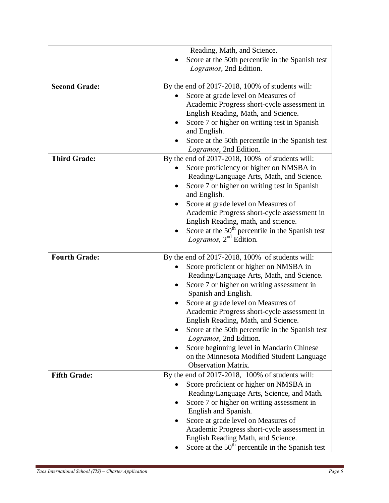|                      | Reading, Math, and Science.                                                |
|----------------------|----------------------------------------------------------------------------|
|                      | Score at the 50th percentile in the Spanish test                           |
|                      | Logramos, 2nd Edition.                                                     |
|                      |                                                                            |
| <b>Second Grade:</b> | By the end of $2017-2018$ , 100% of students will:                         |
|                      | Score at grade level on Measures of                                        |
|                      | Academic Progress short-cycle assessment in                                |
|                      | English Reading, Math, and Science.                                        |
|                      | Score 7 or higher on writing test in Spanish                               |
|                      | and English.                                                               |
|                      | Score at the 50th percentile in the Spanish test                           |
|                      | Logramos, 2nd Edition.                                                     |
| <b>Third Grade:</b>  | By the end of $2017-2018$ , 100% of students will:                         |
|                      | Score proficiency or higher on NMSBA in                                    |
|                      | Reading/Language Arts, Math, and Science.                                  |
|                      | Score 7 or higher on writing test in Spanish                               |
|                      | and English.                                                               |
|                      | Score at grade level on Measures of                                        |
|                      | Academic Progress short-cycle assessment in                                |
|                      | English Reading, math, and science.                                        |
|                      | Score at the $50th$ percentile in the Spanish test                         |
|                      | Logramos, $2nd$ Edition.                                                   |
|                      |                                                                            |
| <b>Fourth Grade:</b> | By the end of 2017-2018, 100% of students will:                            |
|                      | Score proficient or higher on NMSBA in                                     |
|                      | Reading/Language Arts, Math, and Science.                                  |
|                      | Score 7 or higher on writing assessment in                                 |
|                      | Spanish and English.                                                       |
|                      | Score at grade level on Measures of                                        |
|                      | Academic Progress short-cycle assessment in                                |
|                      | English Reading, Math, and Science.                                        |
|                      |                                                                            |
|                      | Score at the 50th percentile in the Spanish test<br>Logramos, 2nd Edition. |
|                      | Score beginning level in Mandarin Chinese                                  |
|                      |                                                                            |
|                      | on the Minnesota Modified Student Language<br><b>Observation Matrix.</b>   |
|                      |                                                                            |
| <b>Fifth Grade:</b>  | By the end of 2017-2018, 100% of students will:                            |
|                      | Score proficient or higher on NMSBA in                                     |
|                      | Reading/Language Arts, Science, and Math.                                  |
|                      | Score 7 or higher on writing assessment in                                 |
|                      | English and Spanish.                                                       |
|                      | Score at grade level on Measures of                                        |
|                      | Academic Progress short-cycle assessment in                                |
|                      | English Reading Math, and Science.                                         |
|                      | Score at the $50th$ percentile in the Spanish test                         |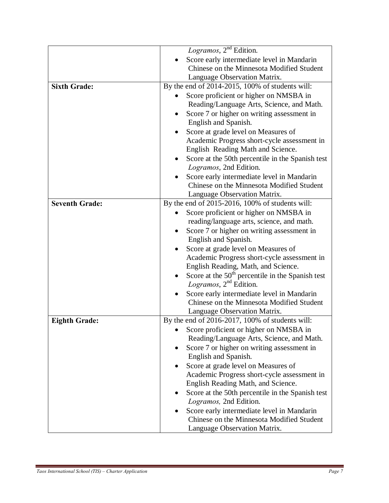|                       | Logramos, $2nd$ Edition.                           |
|-----------------------|----------------------------------------------------|
|                       | Score early intermediate level in Mandarin         |
|                       | Chinese on the Minnesota Modified Student          |
|                       | Language Observation Matrix.                       |
| <b>Sixth Grade:</b>   | By the end of $2014-2015$ , 100% of students will: |
|                       | Score proficient or higher on NMSBA in             |
|                       | Reading/Language Arts, Science, and Math.          |
|                       | Score 7 or higher on writing assessment in         |
|                       | English and Spanish.                               |
|                       | Score at grade level on Measures of                |
|                       | Academic Progress short-cycle assessment in        |
|                       | English Reading Math and Science.                  |
|                       | Score at the 50th percentile in the Spanish test   |
|                       | Logramos, 2nd Edition.                             |
|                       | Score early intermediate level in Mandarin         |
|                       | Chinese on the Minnesota Modified Student          |
|                       | Language Observation Matrix.                       |
| <b>Seventh Grade:</b> | By the end of 2015-2016, 100% of students will:    |
|                       | Score proficient or higher on NMSBA in             |
|                       | reading/language arts, science, and math.          |
|                       | Score 7 or higher on writing assessment in         |
|                       | English and Spanish.                               |
|                       | Score at grade level on Measures of                |
|                       | Academic Progress short-cycle assessment in        |
|                       | English Reading, Math, and Science.                |
|                       | Score at the $50th$ percentile in the Spanish test |
|                       | Logramos, $2nd$ Edition.                           |
|                       | Score early intermediate level in Mandarin         |
|                       | Chinese on the Minnesota Modified Student          |
|                       | Language Observation Matrix.                       |
| <b>Eighth Grade:</b>  | By the end of $2016-2017$ , 100% of students will: |
|                       | Score proficient or higher on NMSBA in             |
|                       | Reading/Language Arts, Science, and Math.          |
|                       | Score 7 or higher on writing assessment in         |
|                       | English and Spanish.                               |
|                       | Score at grade level on Measures of                |
|                       | Academic Progress short-cycle assessment in        |
|                       | English Reading Math, and Science.                 |
|                       | Score at the 50th percentile in the Spanish test   |
|                       | Logramos, 2nd Edition.                             |
|                       | Score early intermediate level in Mandarin         |
|                       | Chinese on the Minnesota Modified Student          |
|                       | Language Observation Matrix.                       |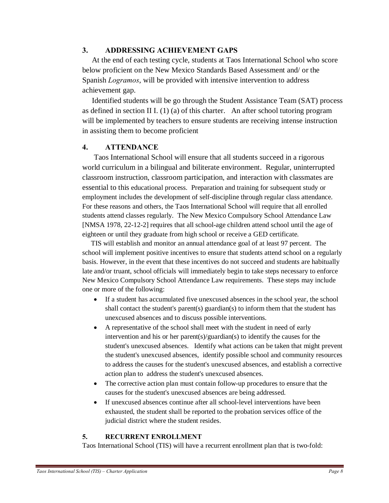## **3. ADDRESSING ACHIEVEMENT GAPS**

 At the end of each testing cycle, students at Taos International School who score below proficient on the New Mexico Standards Based Assessment and/ or the Spanish *Logramos*, will be provided with intensive intervention to address achievement gap.

 Identified students will be go through the Student Assistance Team (SAT) process as defined in section II I.  $(1)$  (a) of this charter. An after school tutoring program will be implemented by teachers to ensure students are receiving intense instruction in assisting them to become proficient

## **4. ATTENDANCE**

 Taos International School will ensure that all students succeed in a rigorous world curriculum in a bilingual and biliterate environment. Regular, uninterrupted classroom instruction, classroom participation, and interaction with classmates are essential to this educational process. Preparation and training for subsequent study or employment includes the development of self-discipline through regular class attendance. For these reasons and others, the Taos International School will require that all enrolled students attend classes regularly. The New Mexico Compulsory School Attendance Law [NMSA 1978, 22-12-2] requires that all school-age children attend school until the age of eighteen or until they graduate from high school or receive a GED certificate.

 TIS will establish and monitor an annual attendance goal of at least 97 percent. The school will implement positive incentives to ensure that students attend school on a regularly basis. However, in the event that these incentives do not succeed and students are habitually late and/or truant, school officials will immediately begin to take steps necessary to enforce New Mexico Compulsory School Attendance Law requirements. These steps may include one or more of the following:

- If a student has accumulated five unexcused absences in the school year, the school shall contact the student's parent(s) guardian(s) to inform them that the student has unexcused absences and to discuss possible interventions.
- A representative of the school shall meet with the student in need of early intervention and his or her parent(s)/guardian(s) to identify the causes for the student's unexcused absences. Identify what actions can be taken that might prevent the student's unexcused absences, identify possible school and community resources to address the causes for the student's unexcused absences, and establish a corrective action plan to address the student's unexcused absences.
- The corrective action plan must contain follow-up procedures to ensure that the causes for the student's unexcused absences are being addressed.
- If unexcused absences continue after all school-level interventions have been exhausted, the student shall be reported to the probation services office of the judicial district where the student resides.

## **5. RECURRENT ENROLLMENT**

Taos International School (TIS) will have a recurrent enrollment plan that is two-fold: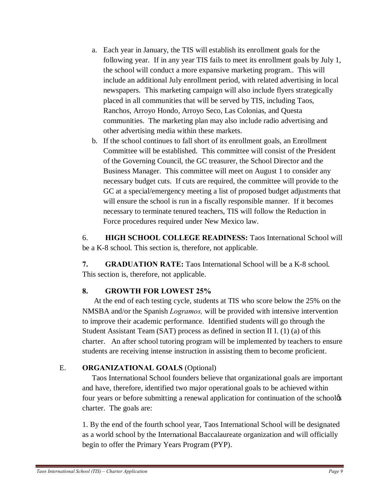- a. Each year in January, the TIS will establish its enrollment goals for the following year. If in any year TIS fails to meet its enrollment goals by July 1, the school will conduct a more expansive marketing program.. This will include an additional July enrollment period, with related advertising in local newspapers. This marketing campaign will also include flyers strategically placed in all communities that will be served by TIS, including Taos, Ranchos, Arroyo Hondo, Arroyo Seco, Las Colonias, and Questa communities. The marketing plan may also include radio advertising and other advertising media within these markets.
- b. If the school continues to fall short of its enrollment goals, an Enrollment Committee will be established. This committee will consist of the President of the Governing Council, the GC treasurer, the School Director and the Business Manager. This committee will meet on August 1 to consider any necessary budget cuts. If cuts are required, the committee will provide to the GC at a special/emergency meeting a list of proposed budget adjustments that will ensure the school is run in a fiscally responsible manner. If it becomes necessary to terminate tenured teachers, TIS will follow the Reduction in Force procedures required under New Mexico law.

6. **HIGH SCHOOL COLLEGE READINESS:** Taos International School will be a K-8 school. This section is, therefore, not applicable.

**7. GRADUATION RATE:** Taos International School will be a K-8 school. This section is, therefore, not applicable.

# **8. GROWTH FOR LOWEST 25%**

 At the end of each testing cycle, students at TIS who score below the 25% on the NMSBA and/or the Spanish *Logramos,* will be provided with intensive intervention to improve their academic performance. Identified students will go through the Student Assistant Team (SAT) process as defined in section II I. (1) (a) of this charter. An after school tutoring program will be implemented by teachers to ensure students are receiving intense instruction in assisting them to become proficient.

# E. **ORGANIZATIONAL GOALS** (Optional)

 Taos International School founders believe that organizational goals are important and have, therefore, identified two major operational goals to be achieved within four years or before submitting a renewal application for continuation of the schoolog charter. The goals are:

1. By the end of the fourth school year, Taos International School will be designated as a world school by the International Baccalaureate organization and will officially begin to offer the Primary Years Program (PYP).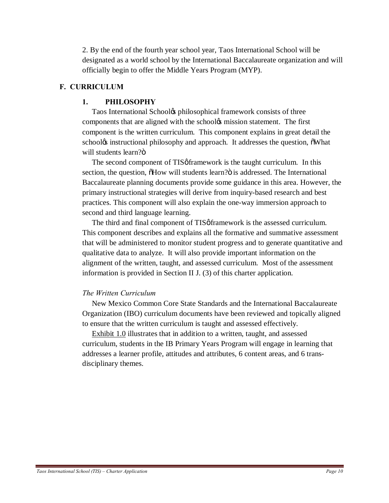2. By the end of the fourth year school year, Taos International School will be designated as a world school by the International Baccalaureate organization and will officially begin to offer the Middle Years Program (MYP).

## **F. CURRICULUM**

## **1. PHILOSOPHY**

Taos International School $\alpha$  philosophical framework consists of three components that are aligned with the school $\alpha$  mission statement. The first component is the written curriculum. This component explains in great detail the school<sub>\*</sub> instructional philosophy and approach. It addresses the question,  $\delta$ What will students learn? $ö$ 

The second component of TIS of framework is the taught curriculum. In this section, the question,  $\delta$ How will students learn? $\ddot{o}$  is addressed. The International Baccalaureate planning documents provide some guidance in this area. However, the primary instructional strategies will derive from inquiry-based research and best practices. This component will also explain the one-way immersion approach to second and third language learning.

The third and final component of TIS *o* framework is the assessed curriculum. This component describes and explains all the formative and summative assessment that will be administered to monitor student progress and to generate quantitative and qualitative data to analyze. It will also provide important information on the alignment of the written, taught, and assessed curriculum. Most of the assessment information is provided in Section II J. (3) of this charter application.

## *The Written Curriculum*

New Mexico Common Core State Standards and the International Baccalaureate Organization (IBO) curriculum documents have been reviewed and topically aligned to ensure that the written curriculum is taught and assessed effectively.

 Exhibit 1.0 illustrates that in addition to a written, taught, and assessed curriculum, students in the IB Primary Years Program will engage in learning that addresses a learner profile, attitudes and attributes, 6 content areas, and 6 transdisciplinary themes.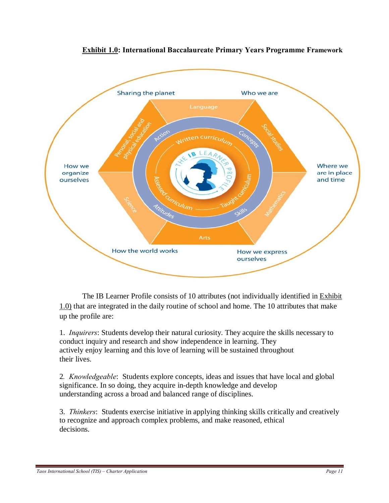

**Exhibit 1.0: International Baccalaureate Primary Years Programme Framework**

The IB Learner Profile consists of 10 attributes (not individually identified in Exhibit 1.0) that are integrated in the daily routine of school and home. The 10 attributes that make up the profile are:

1. *Inquirers*: Students develop their natural curiosity. They acquire the skills necessary to conduct inquiry and research and show independence in learning. They actively enjoy learning and this love of learning will be sustained throughout their lives.

2*. Knowledgeable*: Students explore concepts, ideas and issues that have local and global significance. In so doing, they acquire in-depth knowledge and develop understanding across a broad and balanced range of disciplines.

3. *Thinkers*: Students exercise initiative in applying thinking skills critically and creatively to recognize and approach complex problems, and make reasoned, ethical decisions.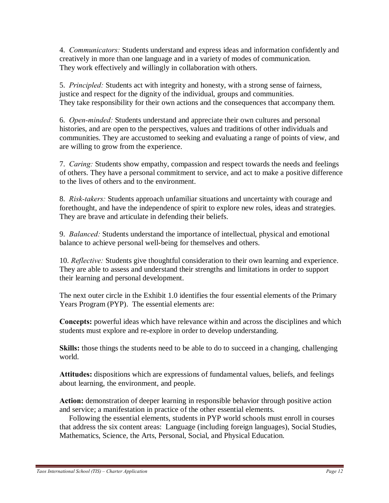4. *Communicators:* Students understand and express ideas and information confidently and creatively in more than one language and in a variety of modes of communication. They work effectively and willingly in collaboration with others.

5. *Principled:* Students act with integrity and honesty, with a strong sense of fairness, justice and respect for the dignity of the individual, groups and communities. They take responsibility for their own actions and the consequences that accompany them.

6. *Open-minded:* Students understand and appreciate their own cultures and personal histories, and are open to the perspectives, values and traditions of other individuals and communities. They are accustomed to seeking and evaluating a range of points of view, and are willing to grow from the experience.

7. *Caring:* Students show empathy, compassion and respect towards the needs and feelings of others. They have a personal commitment to service, and act to make a positive difference to the lives of others and to the environment.

8. *Risk-takers:* Students approach unfamiliar situations and uncertainty with courage and forethought, and have the independence of spirit to explore new roles, ideas and strategies. They are brave and articulate in defending their beliefs.

9. *Balanced:* Students understand the importance of intellectual, physical and emotional balance to achieve personal well-being for themselves and others.

10. *Reflective:* Students give thoughtful consideration to their own learning and experience. They are able to assess and understand their strengths and limitations in order to support their learning and personal development.

The next outer circle in the Exhibit 1.0 identifies the four essential elements of the Primary Years Program (PYP). The essential elements are:

**Concepts:** powerful ideas which have relevance within and across the disciplines and which students must explore and re-explore in order to develop understanding.

**Skills:** those things the students need to be able to do to succeed in a changing, challenging world.

**Attitudes:** dispositions which are expressions of fundamental values, beliefs, and feelings about learning, the environment, and people.

**Action:** demonstration of deeper learning in responsible behavior through positive action and service; a manifestation in practice of the other essential elements.

 Following the essential elements, students in PYP world schools must enroll in courses that address the six content areas: Language (including foreign languages), Social Studies, Mathematics, Science, the Arts, Personal, Social, and Physical Education.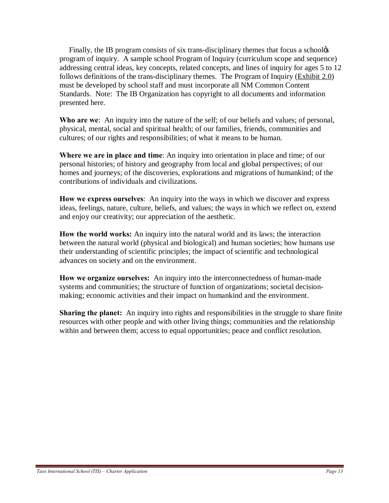Finally, the IB program consists of six trans-disciplinary themes that focus a schoolos program of inquiry. A sample school Program of Inquiry (curriculum scope and sequence) addressing central ideas, key concepts, related concepts, and lines of inquiry for ages 5 to 12 follows definitions of the trans-disciplinary themes. The Program of Inquiry (Exhibit 2.0) must be developed by school staff and must incorporate all NM Common Content Standards. Note: The IB Organization has copyright to all documents and information presented here.

**Who are we**: An inquiry into the nature of the self; of our beliefs and values; of personal, physical, mental, social and spiritual health; of our families, friends, communities and cultures; of our rights and responsibilities; of what it means to be human.

**Where we are in place and time**: An inquiry into orientation in place and time; of our personal histories; of history and geography from local and global perspectives; of our homes and journeys; of the discoveries, explorations and migrations of humankind; of the contributions of individuals and civilizations.

**How we express ourselves**: An inquiry into the ways in which we discover and express ideas, feelings, nature, culture, beliefs, and values; the ways in which we reflect on, extend and enjoy our creativity; our appreciation of the aesthetic.

**How the world works:** An inquiry into the natural world and its laws; the interaction between the natural world (physical and biological) and human societies; how humans use their understanding of scientific principles; the impact of scientific and technological advances on society and on the environment.

**How we organize ourselves:** An inquiry into the interconnectedness of human-made systems and communities; the structure of function of organizations; societal decisionmaking; economic activities and their impact on humankind and the environment.

**Sharing the planet:** An inquiry into rights and responsibilities in the struggle to share finite resources with other people and with other living things; communities and the relationship within and between them; access to equal opportunities; peace and conflict resolution.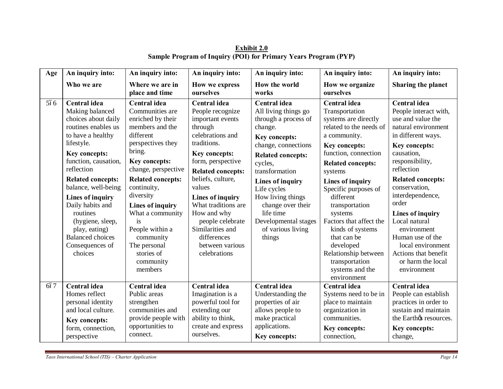| Age | An inquiry into:                                                                                                                                                                                                                                                                                                                                                             | An inquiry into:                                                                                                                                                                                                                                                                                                                                               | An inquiry into:                                                                                                                                                                                                                                                                                                                                               | An inquiry into:                                                                                                                                                                                                                                                                                                          | An inquiry into:                                                                                                                                                                                                                                                                                                                                                                                                                      | An inquiry into:                                                                                                                                                                                                                                                                                                                                                                                           |
|-----|------------------------------------------------------------------------------------------------------------------------------------------------------------------------------------------------------------------------------------------------------------------------------------------------------------------------------------------------------------------------------|----------------------------------------------------------------------------------------------------------------------------------------------------------------------------------------------------------------------------------------------------------------------------------------------------------------------------------------------------------------|----------------------------------------------------------------------------------------------------------------------------------------------------------------------------------------------------------------------------------------------------------------------------------------------------------------------------------------------------------------|---------------------------------------------------------------------------------------------------------------------------------------------------------------------------------------------------------------------------------------------------------------------------------------------------------------------------|---------------------------------------------------------------------------------------------------------------------------------------------------------------------------------------------------------------------------------------------------------------------------------------------------------------------------------------------------------------------------------------------------------------------------------------|------------------------------------------------------------------------------------------------------------------------------------------------------------------------------------------------------------------------------------------------------------------------------------------------------------------------------------------------------------------------------------------------------------|
|     | Who we are                                                                                                                                                                                                                                                                                                                                                                   | Where we are in<br>place and time                                                                                                                                                                                                                                                                                                                              | <b>How we express</b><br>ourselves                                                                                                                                                                                                                                                                                                                             | How the world<br>works                                                                                                                                                                                                                                                                                                    | How we organize<br>ourselves                                                                                                                                                                                                                                                                                                                                                                                                          | Sharing the planet                                                                                                                                                                                                                                                                                                                                                                                         |
| 566 | Central idea<br>Making balanced<br>choices about daily<br>routines enables us<br>to have a healthy<br>lifestyle.<br>Key concepts:<br>function, causation,<br>reflection<br><b>Related concepts:</b><br>balance, well-being<br>Lines of inquiry<br>Daily habits and<br>routines<br>(hygiene, sleep,<br>play, eating)<br><b>Balanced</b> choices<br>Consequences of<br>choices | Central idea<br>Communities are<br>enriched by their<br>members and the<br>different<br>perspectives they<br>bring.<br>Key concepts:<br>change, perspective<br><b>Related concepts:</b><br>continuity,<br>diversity<br><b>Lines of inquiry</b><br>What a community<br>is<br>People within a<br>community<br>The personal<br>stories of<br>community<br>members | Central idea<br>People recognize<br>important events<br>through<br>celebrations and<br>traditions.<br>Key concepts:<br>form, perspective<br><b>Related concepts:</b><br>beliefs, culture,<br>values<br><b>Lines of inquiry</b><br>What traditions are<br>How and why<br>people celebrate<br>Similarities and<br>differences<br>between various<br>celebrations | Central idea<br>All living things go<br>through a process of<br>change.<br>Key concepts:<br>change, connections<br><b>Related concepts:</b><br>cycles,<br>transformation<br>Lines of inquiry<br>Life cycles<br>How living things<br>change over their<br>life time<br>Developmental stages<br>of various living<br>things | Central idea<br>Transportation<br>systems are directly<br>related to the needs of<br>a community.<br><b>Key concepts:</b><br>function, connection<br><b>Related concepts:</b><br>systems<br>Lines of inquiry<br>Specific purposes of<br>different<br>transportation<br>systems<br>Factors that affect the<br>kinds of systems<br>that can be<br>developed<br>Relationship between<br>transportation<br>systems and the<br>environment | Central idea<br>People interact with,<br>use and value the<br>natural environment<br>in different ways.<br>Key concepts:<br>causation,<br>responsibility,<br>reflection<br><b>Related concepts:</b><br>conservation,<br>interdependence,<br>order<br>Lines of inquiry<br>Local natural<br>environment<br>Human use of the<br>local environment<br>Actions that benefit<br>or harm the local<br>environment |
| 667 | Central idea<br>Homes reflect<br>personal identity                                                                                                                                                                                                                                                                                                                           | Central idea<br>Public areas<br>strengthen                                                                                                                                                                                                                                                                                                                     | Central idea<br>Imagination is a<br>powerful tool for                                                                                                                                                                                                                                                                                                          | Central idea<br>Understanding the<br>properties of air                                                                                                                                                                                                                                                                    | <b>Central</b> idea<br>Systems need to be in<br>place to maintain                                                                                                                                                                                                                                                                                                                                                                     | Central idea<br>People can establish<br>practices in order to                                                                                                                                                                                                                                                                                                                                              |
|     | and local culture.<br>Key concepts:<br>form, connection,<br>perspective                                                                                                                                                                                                                                                                                                      | communities and<br>provide people with<br>opportunities to<br>connect.                                                                                                                                                                                                                                                                                         | extending our<br>ability to think,<br>create and express<br>ourselves.                                                                                                                                                                                                                                                                                         | allows people to<br>make practical<br>applications.<br>Key concepts:                                                                                                                                                                                                                                                      | organization in<br>communities.<br><b>Key concepts:</b><br>connection,                                                                                                                                                                                                                                                                                                                                                                | sustain and maintain<br>the Earthos resources.<br>Key concepts:<br>change,                                                                                                                                                                                                                                                                                                                                 |

**Exhibit 2.0 Sample Program of Inquiry (POI) for Primary Years Program (PYP)**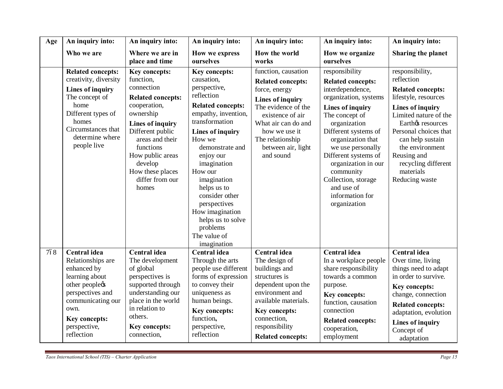| Age | An inquiry into:                                                                                                                                                                            | An inquiry into:<br>An inquiry into:                                                                                                                                                                                                                                   |                                                                                                                                                                                                                                                                                                                                                                                  | An inquiry into:                                                                                                                                                                                                                      | An inquiry into:                                                                                                                                                                                                                                                                                                                                    | An inquiry into:                                                                                                                                                                                                                                                                         |
|-----|---------------------------------------------------------------------------------------------------------------------------------------------------------------------------------------------|------------------------------------------------------------------------------------------------------------------------------------------------------------------------------------------------------------------------------------------------------------------------|----------------------------------------------------------------------------------------------------------------------------------------------------------------------------------------------------------------------------------------------------------------------------------------------------------------------------------------------------------------------------------|---------------------------------------------------------------------------------------------------------------------------------------------------------------------------------------------------------------------------------------|-----------------------------------------------------------------------------------------------------------------------------------------------------------------------------------------------------------------------------------------------------------------------------------------------------------------------------------------------------|------------------------------------------------------------------------------------------------------------------------------------------------------------------------------------------------------------------------------------------------------------------------------------------|
|     | Who we are                                                                                                                                                                                  | Where we are in<br>place and time                                                                                                                                                                                                                                      | How we express<br>ourselves                                                                                                                                                                                                                                                                                                                                                      | How the world<br>works                                                                                                                                                                                                                | How we organize<br>ourselves                                                                                                                                                                                                                                                                                                                        | Sharing the planet                                                                                                                                                                                                                                                                       |
|     | <b>Related concepts:</b><br>creativity, diversity<br>Lines of inquiry<br>The concept of<br>home<br>Different types of<br>homes<br>Circumstances that<br>determine where<br>people live      | <b>Key concepts:</b><br>function,<br>connection<br><b>Related concepts:</b><br>cooperation,<br>ownership<br><b>Lines of inquiry</b><br>Different public<br>areas and their<br>functions<br>How public areas<br>develop<br>How these places<br>differ from our<br>homes | Key concepts:<br>causation,<br>perspective,<br>reflection<br><b>Related concepts:</b><br>empathy, invention,<br>transformation<br><b>Lines of inquiry</b><br>How we<br>demonstrate and<br>enjoy our<br>imagination<br>How our<br>imagination<br>helps us to<br>consider other<br>perspectives<br>How imagination<br>helps us to solve<br>problems<br>The value of<br>imagination | function, causation<br><b>Related concepts:</b><br>force, energy<br><b>Lines of inquiry</b><br>The evidence of the<br>existence of air<br>What air can do and<br>how we use it<br>The relationship<br>between air, light<br>and sound | responsibility<br><b>Related concepts:</b><br>interdependence,<br>organization, systems<br>Lines of inquiry<br>The concept of<br>organization<br>Different systems of<br>organization that<br>we use personally<br>Different systems of<br>organization in our<br>community<br>Collection, storage<br>and use of<br>information for<br>organization | responsibility,<br>reflection<br><b>Related concepts:</b><br>lifestyle, resources<br>Lines of inquiry<br>Limited nature of the<br>Earthøs resources<br>Personal choices that<br>can help sustain<br>the environment<br>Reusing and<br>recycling different<br>materials<br>Reducing waste |
| 768 | <b>Central idea</b><br>Relationships are<br>enhanced by<br>learning about<br>other peoplecs<br>perspectives and<br>communicating our<br>own.<br>Key concepts:<br>perspective,<br>reflection | <b>Central idea</b><br>The development<br>of global<br>perspectives is<br>supported through<br>understanding our<br>place in the world<br>in relation to<br>others.<br>Key concepts:<br>connection,                                                                    | <b>Central</b> idea<br>Through the arts<br>people use different<br>forms of expression<br>to convey their<br>uniqueness as<br>human beings.<br>Key concepts:<br>function,<br>perspective,<br>reflection                                                                                                                                                                          | <b>Central idea</b><br>The design of<br>buildings and<br>structures is<br>dependent upon the<br>environment and<br>available materials.<br>Key concepts:<br>connection,<br>responsibility<br><b>Related concepts:</b>                 | <b>Central idea</b><br>In a workplace people<br>share responsibility<br>towards a common<br>purpose.<br><b>Key concepts:</b><br>function, causation<br>connection<br><b>Related concepts:</b><br>cooperation,<br>employment                                                                                                                         | Central idea<br>Over time, living<br>things need to adapt<br>in order to survive.<br><b>Key concepts:</b><br>change, connection<br><b>Related concepts:</b><br>adaptation, evolution<br>Lines of inquiry<br>Concept of<br>adaptation                                                     |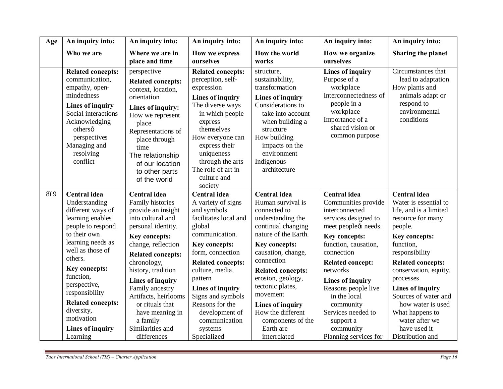| Age | An inquiry into:                                                                                                                                                                                                                                                                                                               | An inquiry into:                                                                                                                                                                                                                                                                                                                                                            | An inquiry into:                                                                                                                                                                                                                                                                                                                      | An inquiry into:                                                                                                                                                                                                                                                                                                                                             | An inquiry into:                                                                                                                                                                                                                                                                                                                                            | An inquiry into:                                                                                                                                                                                                                                                                                                                                            |
|-----|--------------------------------------------------------------------------------------------------------------------------------------------------------------------------------------------------------------------------------------------------------------------------------------------------------------------------------|-----------------------------------------------------------------------------------------------------------------------------------------------------------------------------------------------------------------------------------------------------------------------------------------------------------------------------------------------------------------------------|---------------------------------------------------------------------------------------------------------------------------------------------------------------------------------------------------------------------------------------------------------------------------------------------------------------------------------------|--------------------------------------------------------------------------------------------------------------------------------------------------------------------------------------------------------------------------------------------------------------------------------------------------------------------------------------------------------------|-------------------------------------------------------------------------------------------------------------------------------------------------------------------------------------------------------------------------------------------------------------------------------------------------------------------------------------------------------------|-------------------------------------------------------------------------------------------------------------------------------------------------------------------------------------------------------------------------------------------------------------------------------------------------------------------------------------------------------------|
|     | Who we are                                                                                                                                                                                                                                                                                                                     | Where we are in<br>place and time                                                                                                                                                                                                                                                                                                                                           | How we express<br>ourselves                                                                                                                                                                                                                                                                                                           | How the world<br>works                                                                                                                                                                                                                                                                                                                                       | How we organize<br>ourselves                                                                                                                                                                                                                                                                                                                                | Sharing the planet                                                                                                                                                                                                                                                                                                                                          |
|     | <b>Related concepts:</b><br>communication,<br>empathy, open-<br>mindedness<br><b>Lines of inquiry</b><br>Social interactions<br>Acknowledging<br>othersø<br>perspectives<br>Managing and<br>resolving<br>conflict                                                                                                              | perspective<br><b>Related concepts:</b><br>context, location,<br>orientation<br>Lines of inquiry:<br>How we represent<br>place<br>Representations of<br>place through<br>time<br>The relationship<br>of our location<br>to other parts<br>of the world                                                                                                                      | <b>Related concepts:</b><br>perception, self-<br>expression<br><b>Lines of inquiry</b><br>The diverse ways<br>in which people<br>express<br>themselves<br>How everyone can<br>express their<br>uniqueness<br>through the arts<br>The role of art in<br>culture and<br>society                                                         | structure,<br>sustainability,<br>transformation<br><b>Lines of inquiry</b><br>Considerations to<br>take into account<br>when building a<br>structure<br>How building<br>impacts on the<br>environment<br>Indigenous<br>architecture                                                                                                                          | <b>Lines of inquiry</b><br>Purpose of a<br>workplace<br>Interconnectedness of<br>people in a<br>workplace<br>Importance of a<br>shared vision or<br>common purpose                                                                                                                                                                                          | Circumstances that<br>lead to adaptation<br>How plants and<br>animals adapt or<br>respond to<br>environmental<br>conditions                                                                                                                                                                                                                                 |
| 8ó9 | Central idea<br>Understanding<br>different ways of<br>learning enables<br>people to respond<br>to their own<br>learning needs as<br>well as those of<br>others.<br>Key concepts:<br>function,<br>perspective,<br>responsibility<br><b>Related concepts:</b><br>diversity,<br>motivation<br><b>Lines of inquiry</b><br>Learning | <b>Central</b> idea<br>Family histories<br>provide an insight<br>into cultural and<br>personal identity.<br><b>Key concepts:</b><br>change, reflection<br><b>Related concepts:</b><br>chronology,<br>history, tradition<br>Lines of inquiry<br>Family ancestry<br>Artifacts, heirlooms<br>or rituals that<br>have meaning in<br>a family<br>Similarities and<br>differences | Central idea<br>A variety of signs<br>and symbols<br>facilitates local and<br>global<br>communication.<br>Key concepts:<br>form, connection<br><b>Related concepts:</b><br>culture, media,<br>pattern<br><b>Lines of inquiry</b><br>Signs and symbols<br>Reasons for the<br>development of<br>communication<br>systems<br>Specialized | Central idea<br>Human survival is<br>connected to<br>understanding the<br>continual changing<br>nature of the Earth.<br>Key concepts:<br>causation, change,<br>connection<br><b>Related concepts:</b><br>erosion, geology,<br>tectonic plates,<br>movement<br><b>Lines of inquiry</b><br>How the different<br>components of the<br>Earth are<br>interrelated | Central idea<br>Communities provide<br>interconnected<br>services designed to<br>meet peopleøs needs.<br>Key concepts:<br>function, causation,<br>connection<br><b>Related concept:</b><br>networks<br><b>Lines of inquiry</b><br>Reasons people live<br>in the local<br>community<br>Services needed to<br>support a<br>community<br>Planning services for | Central idea<br>Water is essential to<br>life, and is a limited<br>resource for many<br>people.<br>Key concepts:<br>function,<br>responsibility<br><b>Related concepts:</b><br>conservation, equity,<br>processes<br>Lines of inquiry<br>Sources of water and<br>how water is used<br>What happens to<br>water after we<br>have used it<br>Distribution and |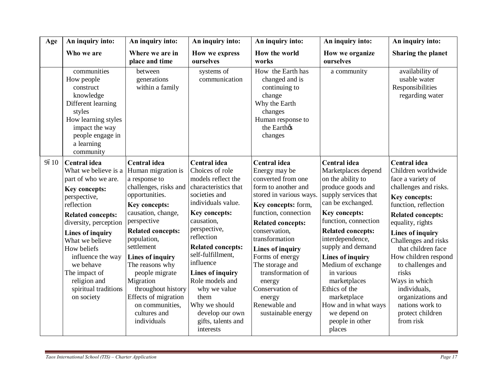| Age  | An inquiry into:                                                                                                                                                                                                                                                                                                                      | An inquiry into:                                                                                                                                                                                                                                                                                                                                                                                                       | An inquiry into:                                                                                                                                                                                                                                                                                                                                        | An inquiry into:                                                                                                                                                                                                                                                                                                                                                                 | An inquiry into:                                                                                                                                                                                                                                                                                                                                                                                                   | An inquiry into:                                                                                                                                                                                                                                                                                                                                                                                                          |
|------|---------------------------------------------------------------------------------------------------------------------------------------------------------------------------------------------------------------------------------------------------------------------------------------------------------------------------------------|------------------------------------------------------------------------------------------------------------------------------------------------------------------------------------------------------------------------------------------------------------------------------------------------------------------------------------------------------------------------------------------------------------------------|---------------------------------------------------------------------------------------------------------------------------------------------------------------------------------------------------------------------------------------------------------------------------------------------------------------------------------------------------------|----------------------------------------------------------------------------------------------------------------------------------------------------------------------------------------------------------------------------------------------------------------------------------------------------------------------------------------------------------------------------------|--------------------------------------------------------------------------------------------------------------------------------------------------------------------------------------------------------------------------------------------------------------------------------------------------------------------------------------------------------------------------------------------------------------------|---------------------------------------------------------------------------------------------------------------------------------------------------------------------------------------------------------------------------------------------------------------------------------------------------------------------------------------------------------------------------------------------------------------------------|
|      | Who we are                                                                                                                                                                                                                                                                                                                            | Where we are in<br>place and time                                                                                                                                                                                                                                                                                                                                                                                      | How we express<br>ourselves                                                                                                                                                                                                                                                                                                                             | How the world<br>works                                                                                                                                                                                                                                                                                                                                                           | How we organize<br>ourselves                                                                                                                                                                                                                                                                                                                                                                                       | Sharing the planet                                                                                                                                                                                                                                                                                                                                                                                                        |
|      | communities<br>How people<br>construct<br>knowledge<br>Different learning<br>styles<br>How learning styles<br>impact the way<br>people engage in<br>a learning<br>community                                                                                                                                                           | between<br>generations<br>within a family                                                                                                                                                                                                                                                                                                                                                                              | systems of<br>communication                                                                                                                                                                                                                                                                                                                             | How the Earth has<br>changed and is<br>continuing to<br>change<br>Why the Earth<br>changes<br>Human response to<br>the Earthos<br>changes                                                                                                                                                                                                                                        | a community                                                                                                                                                                                                                                                                                                                                                                                                        | availability of<br>usable water<br>Responsibilities<br>regarding water                                                                                                                                                                                                                                                                                                                                                    |
| 9610 | Central idea<br>What we believe is a<br>part of who we are.<br>Key concepts:<br>perspective,<br>reflection<br><b>Related concepts:</b><br>diversity, perception<br><b>Lines of inquiry</b><br>What we believe<br>How beliefs<br>influence the way<br>we behave<br>The impact of<br>religion and<br>spiritual traditions<br>on society | Central idea<br>Human migration is<br>a response to<br>challenges, risks and characteristics that<br>opportunities.<br><b>Key concepts:</b><br>causation, change,<br>perspective<br><b>Related concepts:</b><br>population,<br>settlement<br><b>Lines of inquiry</b><br>The reasons why<br>people migrate<br>Migration<br>throughout history<br>Effects of migration<br>on communities,<br>cultures and<br>individuals | <b>Central</b> idea<br>Choices of role<br>models reflect the<br>societies and<br>individuals value.<br>Key concepts:<br>causation,<br>perspective,<br>reflection<br><b>Related concepts:</b><br>self-fulfillment,<br>influence<br>Lines of inquiry<br>Role models and<br>why we value<br>them<br>Why we should<br>develop our own<br>gifts, talents and | Central idea<br>Energy may be<br>converted from one<br>form to another and<br>stored in various ways.<br>Key concepts: form,<br>function, connection<br><b>Related concepts:</b><br>conservation,<br>transformation<br>Lines of inquiry<br>Forms of energy<br>The storage and<br>transformation of<br>energy<br>Conservation of<br>energy<br>Renewable and<br>sustainable energy | <b>Central</b> idea<br>Marketplaces depend<br>on the ability to<br>produce goods and<br>supply services that<br>can be exchanged.<br>Key concepts:<br>function, connection<br><b>Related concepts:</b><br>interdependence,<br>supply and demand<br>Lines of inquiry<br>Medium of exchange<br>in various<br>marketplaces<br>Ethics of the<br>marketplace<br>How and in what ways<br>we depend on<br>people in other | Central idea<br>Children worldwide<br>face a variety of<br>challenges and risks.<br><b>Key concepts:</b><br>function, reflection<br><b>Related concepts:</b><br>equality, rights<br><b>Lines of inquiry</b><br>Challenges and risks<br>that children face<br>How children respond<br>to challenges and<br>risks<br>Ways in which<br>individuals,<br>organizations and<br>nations work to<br>protect children<br>from risk |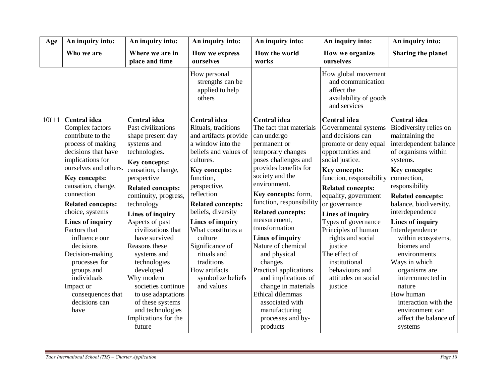| Age   | An inquiry into:                                                                                                                                                                                                                                                                                                                                                                                                                                | An inquiry into:                                                                                                                                                                                                                                                                                                                                                                                                                                                                                                     | An inquiry into:                                                                                                                                                                                                                                                                                                                                                                                      | An inquiry into:                                                                                                                                                                                                                                                                                                                                                                                                                                                                                                                       | An inquiry into:                                                                                                                                                                                                                                                                                                                                                                                                                            | An inquiry into:                                                                                                                                                                                                                                                                                                                                                                                                                                                                                          |
|-------|-------------------------------------------------------------------------------------------------------------------------------------------------------------------------------------------------------------------------------------------------------------------------------------------------------------------------------------------------------------------------------------------------------------------------------------------------|----------------------------------------------------------------------------------------------------------------------------------------------------------------------------------------------------------------------------------------------------------------------------------------------------------------------------------------------------------------------------------------------------------------------------------------------------------------------------------------------------------------------|-------------------------------------------------------------------------------------------------------------------------------------------------------------------------------------------------------------------------------------------------------------------------------------------------------------------------------------------------------------------------------------------------------|----------------------------------------------------------------------------------------------------------------------------------------------------------------------------------------------------------------------------------------------------------------------------------------------------------------------------------------------------------------------------------------------------------------------------------------------------------------------------------------------------------------------------------------|---------------------------------------------------------------------------------------------------------------------------------------------------------------------------------------------------------------------------------------------------------------------------------------------------------------------------------------------------------------------------------------------------------------------------------------------|-----------------------------------------------------------------------------------------------------------------------------------------------------------------------------------------------------------------------------------------------------------------------------------------------------------------------------------------------------------------------------------------------------------------------------------------------------------------------------------------------------------|
|       | Who we are                                                                                                                                                                                                                                                                                                                                                                                                                                      | Where we are in<br>place and time                                                                                                                                                                                                                                                                                                                                                                                                                                                                                    | How we express<br>ourselves                                                                                                                                                                                                                                                                                                                                                                           | How the world<br>works                                                                                                                                                                                                                                                                                                                                                                                                                                                                                                                 | How we organize<br>ourselves                                                                                                                                                                                                                                                                                                                                                                                                                | Sharing the planet                                                                                                                                                                                                                                                                                                                                                                                                                                                                                        |
|       |                                                                                                                                                                                                                                                                                                                                                                                                                                                 |                                                                                                                                                                                                                                                                                                                                                                                                                                                                                                                      | How personal<br>strengths can be<br>applied to help<br>others                                                                                                                                                                                                                                                                                                                                         |                                                                                                                                                                                                                                                                                                                                                                                                                                                                                                                                        | How global movement<br>and communication<br>affect the<br>availability of goods<br>and services                                                                                                                                                                                                                                                                                                                                             |                                                                                                                                                                                                                                                                                                                                                                                                                                                                                                           |
| 10611 | Central idea<br>Complex factors<br>contribute to the<br>process of making<br>decisions that have<br>implications for<br>ourselves and others.<br>Key concepts:<br>causation, change,<br>connection<br><b>Related concepts:</b><br>choice, systems<br>Lines of inquiry<br>Factors that<br>influence our<br>decisions<br>Decision-making<br>processes for<br>groups and<br>individuals<br>Impact or<br>consequences that<br>decisions can<br>have | <b>Central</b> idea<br>Past civilizations<br>shape present day<br>systems and<br>technologies.<br><b>Key concepts:</b><br>causation, change,<br>perspective<br><b>Related concepts:</b><br>continuity, progress,<br>technology<br><b>Lines of inquiry</b><br>Aspects of past<br>civilizations that<br>have survived<br>Reasons these<br>systems and<br>technologies<br>developed<br>Why modern<br>societies continue<br>to use adaptations<br>of these systems<br>and technologies<br>Implications for the<br>future | Central idea<br>Rituals, traditions<br>and artifacts provide<br>a window into the<br>beliefs and values of<br>cultures.<br>Key concepts:<br>function,<br>perspective,<br>reflection<br><b>Related concepts:</b><br>beliefs, diversity<br><b>Lines of inquiry</b><br>What constitutes a<br>culture<br>Significance of<br>rituals and<br>traditions<br>How artifacts<br>symbolize beliefs<br>and values | Central idea<br>The fact that materials<br>can undergo<br>permanent or<br>temporary changes<br>poses challenges and<br>provides benefits for<br>society and the<br>environment.<br>Key concepts: form,<br>function, responsibility<br><b>Related concepts:</b><br>measurement,<br>transformation<br>Lines of inquiry<br>Nature of chemical<br>and physical<br>changes<br>Practical applications<br>and implications of<br>change in materials<br>Ethical dilemmas<br>associated with<br>manufacturing<br>processes and by-<br>products | Central idea<br>Governmental systems<br>and decisions can<br>promote or deny equal<br>opportunities and<br>social justice.<br>Key concepts:<br>function, responsibility<br><b>Related concepts:</b><br>equality, government<br>or governance<br><b>Lines of inquiry</b><br>Types of governance<br>Principles of human<br>rights and social<br>justice<br>The effect of<br>institutional<br>behaviours and<br>attitudes on social<br>justice | Central idea<br>Biodiversity relies on<br>maintaining the<br>interdependent balance<br>of organisms within<br>systems.<br>Key concepts:<br>connection,<br>responsibility<br><b>Related concepts:</b><br>balance, biodiversity,<br>interdependence<br>Lines of inquiry<br>Interdependence<br>within ecosystems,<br>biomes and<br>environments<br>Ways in which<br>organisms are<br>interconnected in<br>nature<br>How human<br>interaction with the<br>environment can<br>affect the balance of<br>systems |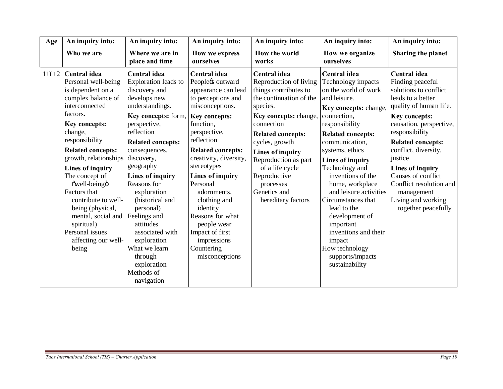| Age   | An inquiry into:                                                                                                                                                                                                                                                                                                                                                                                                               | An inquiry into:                                                                                                                                                                                                                                                                                                                                                                                                                                     | An inquiry into:<br>An inquiry into:                                                                                                                                                                                                                                                                                                                                                                                      |                                                                                                                                                                                                                                                                                                                                      | An inquiry into:                                                                                                                                                                                                                                                                                                                                                                                                                                                            | An inquiry into:                                                                                                                                                                                                                                                                                                                                                             |
|-------|--------------------------------------------------------------------------------------------------------------------------------------------------------------------------------------------------------------------------------------------------------------------------------------------------------------------------------------------------------------------------------------------------------------------------------|------------------------------------------------------------------------------------------------------------------------------------------------------------------------------------------------------------------------------------------------------------------------------------------------------------------------------------------------------------------------------------------------------------------------------------------------------|---------------------------------------------------------------------------------------------------------------------------------------------------------------------------------------------------------------------------------------------------------------------------------------------------------------------------------------------------------------------------------------------------------------------------|--------------------------------------------------------------------------------------------------------------------------------------------------------------------------------------------------------------------------------------------------------------------------------------------------------------------------------------|-----------------------------------------------------------------------------------------------------------------------------------------------------------------------------------------------------------------------------------------------------------------------------------------------------------------------------------------------------------------------------------------------------------------------------------------------------------------------------|------------------------------------------------------------------------------------------------------------------------------------------------------------------------------------------------------------------------------------------------------------------------------------------------------------------------------------------------------------------------------|
|       | Who we are                                                                                                                                                                                                                                                                                                                                                                                                                     | Where we are in<br>place and time                                                                                                                                                                                                                                                                                                                                                                                                                    | How we express<br>ourselves                                                                                                                                                                                                                                                                                                                                                                                               | How the world<br>works                                                                                                                                                                                                                                                                                                               | How we organize<br>ourselves                                                                                                                                                                                                                                                                                                                                                                                                                                                | Sharing the planet                                                                                                                                                                                                                                                                                                                                                           |
| 11612 | <b>Central</b> idea<br>Personal well-being<br>is dependent on a<br>complex balance of<br>interconnected<br>factors.<br>Key concepts:<br>change,<br>responsibility<br><b>Related concepts:</b><br>growth, relationships<br>Lines of inquiry<br>The concept of<br>õwell-beingö<br>Factors that<br>contribute to well-<br>being (physical,<br>mental, social and<br>spiritual)<br>Personal issues<br>affecting our well-<br>being | Central idea<br>Exploration leads to<br>discovery and<br>develops new<br>understandings.<br>Key concepts: form,<br>perspective,<br>reflection<br><b>Related concepts:</b><br>consequences,<br>discovery,<br>geography<br><b>Lines of inquiry</b><br>Reasons for<br>exploration<br>(historical and<br>personal)<br>Feelings and<br>attitudes<br>associated with<br>exploration<br>What we learn<br>through<br>exploration<br>Methods of<br>navigation | Central idea<br>Peoplects outward<br>appearance can lead<br>to perceptions and<br>misconceptions.<br><b>Key concepts:</b><br>function,<br>perspective,<br>reflection<br><b>Related concepts:</b><br>creativity, diversity,<br>stereotypes<br>Lines of inquiry<br>Personal<br>adornments,<br>clothing and<br>identity<br>Reasons for what<br>people wear<br>Impact of first<br>impressions<br>Countering<br>misconceptions | Central idea<br>Reproduction of living<br>things contributes to<br>the continuation of the<br>species.<br>Key concepts: change,<br>connection<br><b>Related concepts:</b><br>cycles, growth<br><b>Lines of inquiry</b><br>Reproduction as part<br>of a life cycle<br>Reproductive<br>processes<br>Genetics and<br>hereditary factors | Central idea<br>Technology impacts<br>on the world of work<br>and leisure.<br>Key concepts: change,<br>connection,<br>responsibility<br><b>Related concepts:</b><br>communication,<br>systems, ethics<br>Lines of inquiry<br>Technology and<br>inventions of the<br>home, workplace<br>and leisure activities<br>Circumstances that<br>lead to the<br>development of<br>important<br>inventions and their<br>impact<br>How technology<br>supports/impacts<br>sustainability | <b>Central idea</b><br>Finding peaceful<br>solutions to conflict<br>leads to a better<br>quality of human life.<br>Key concepts:<br>causation, perspective,<br>responsibility<br><b>Related concepts:</b><br>conflict, diversity,<br>justice<br>Lines of inquiry<br>Causes of conflict<br>Conflict resolution and<br>management<br>Living and working<br>together peacefully |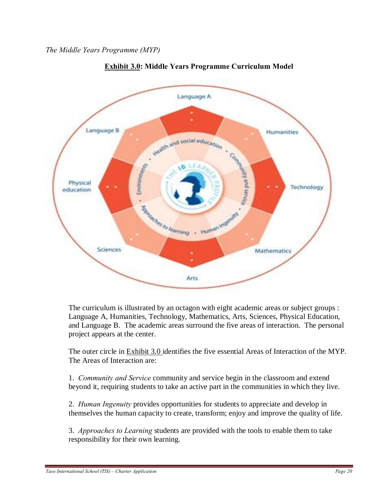

# **Exhibit 3.0: Middle Years Programme Curriculum Model**

The curriculum is illustrated by an octagon with eight academic areas or subject groups : Language A, Humanities, Technology, Mathematics, Arts, Sciences, Physical Education, and Language B. The academic areas surround the five areas of interaction. The personal project appears at the center.

The outer circle in Exhibit 3.0 identifies the five essential Areas of Interaction of the MYP. The Areas of Interaction are:

1. *Community and Service* community and service begin in the classroom and extend beyond it, requiring students to take an active part in the communities in which they live.

2. *Human Ingenuity* provides opportunities for students to appreciate and develop in themselves the human capacity to create, transform; enjoy and improve the quality of life.

3. *Approaches to Learning* students are provided with the tools to enable them to take responsibility for their own learning.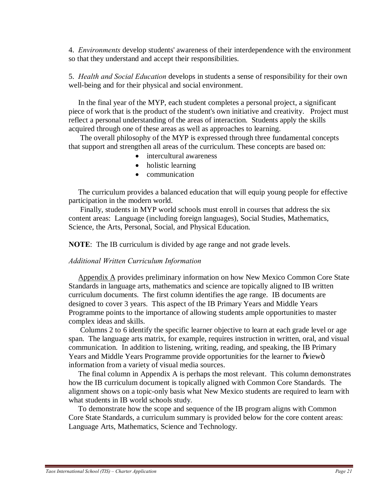4. *Environments* develop students' awareness of their interdependence with the environment so that they understand and accept their responsibilities.

5. *Health and Social Education* develops in students a sense of responsibility for their own well-being and for their physical and social environment.

 In the final year of the MYP, each student completes a personal project, a significant piece of work that is the product of the student's own initiative and creativity. Project must reflect a personal understanding of the areas of interaction. Students apply the skills acquired through one of these areas as well as approaches to learning.

 The overall philosophy of the MYP is expressed through three fundamental concepts that support and strengthen all areas of the curriculum. These concepts are based on:

- intercultural awareness
- holistic learning
- communication

 The curriculum provides a balanced education that will equip young people for effective participation in the modern world.

 Finally, students in MYP world schools must enroll in courses that address the six content areas: Language (including foreign languages), Social Studies, Mathematics, Science, the Arts, Personal, Social, and Physical Education.

**NOTE**: The IB curriculum is divided by age range and not grade levels.

## *Additional Written Curriculum Information*

 Appendix A provides preliminary information on how New Mexico Common Core State Standards in language arts, mathematics and science are topically aligned to IB written curriculum documents. The first column identifies the age range. IB documents are designed to cover 3 years. This aspect of the IB Primary Years and Middle Years Programme points to the importance of allowing students ample opportunities to master complex ideas and skills.

 Columns 2 to 6 identify the specific learner objective to learn at each grade level or age span. The language arts matrix, for example, requires instruction in written, oral, and visual communication. In addition to listening, writing, reading, and speaking, the IB Primary Years and Middle Years Programme provide opportunities for the learner to oviewo information from a variety of visual media sources.

 The final column in Appendix A is perhaps the most relevant. This column demonstrates how the IB curriculum document is topically aligned with Common Core Standards. The alignment shows on a topic-only basis what New Mexico students are required to learn with what students in IB world schools study.

 To demonstrate how the scope and sequence of the IB program aligns with Common Core State Standards, a curriculum summary is provided below for the core content areas: Language Arts, Mathematics, Science and Technology.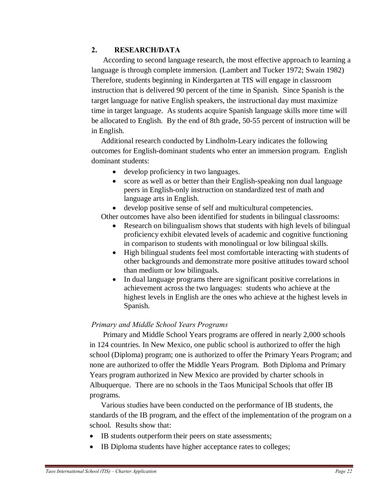# **2. RESEARCH/DATA**

 According to second language research, the most effective approach to learning a language is through complete immersion. (Lambert and Tucker 1972; Swain 1982) Therefore, students beginning in Kindergarten at TIS will engage in classroom instruction that is delivered 90 percent of the time in Spanish. Since Spanish is the target language for native English speakers, the instructional day must maximize time in target language. As students acquire Spanish language skills more time will be allocated to English. By the end of 8th grade, 50-55 percent of instruction will be in English.

 Additional research conducted by Lindholm-Leary indicates the following outcomes for English-dominant students who enter an immersion program. English dominant students:

- develop proficiency in two languages.
- score as well as or better than their English-speaking non dual language peers in English-only instruction on standardized test of math and language arts in English.

develop positive sense of self and multicultural competencies.

Other outcomes have also been identified for students in bilingual classrooms:

- Research on bilingualism shows that students with high levels of bilingual proficiency exhibit elevated levels of academic and cognitive functioning in comparison to students with monolingual or low bilingual skills.
- · High bilingual students feel most comfortable interacting with students of other backgrounds and demonstrate more positive attitudes toward school than medium or low bilinguals.
- · In dual language programs there are significant positive correlations in achievement across the two languages: students who achieve at the highest levels in English are the ones who achieve at the highest levels in Spanish.

# *Primary and Middle School Years Programs*

 Primary and Middle School Years programs are offered in nearly 2,000 schools in 124 countries. In New Mexico, one public school is authorized to offer the high school (Diploma) program; one is authorized to offer the Primary Years Program; and none are authorized to offer the Middle Years Program. Both Diploma and Primary Years program authorized in New Mexico are provided by charter schools in Albuquerque. There are no schools in the Taos Municipal Schools that offer IB programs.

 Various studies have been conducted on the performance of IB students, the standards of the IB program, and the effect of the implementation of the program on a school. Results show that:

- IB students outperform their peers on state assessments;
- · IB Diploma students have higher acceptance rates to colleges;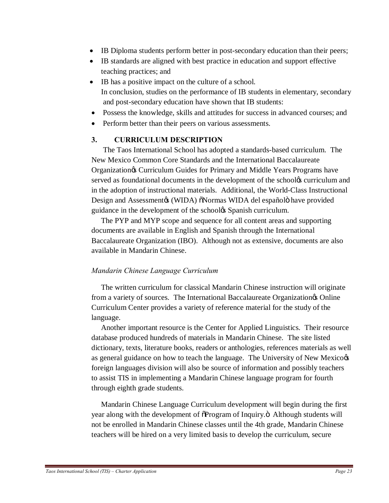- IB Diploma students perform better in post-secondary education than their peers;
- · IB standards are aligned with best practice in education and support effective teaching practices; and
- IB has a positive impact on the culture of a school. In conclusion, studies on the performance of IB students in elementary, secondary and post-secondary education have shown that IB students:
- · Possess the knowledge, skills and attitudes for success in advanced courses; and
- Perform better than their peers on various assessments.

# **3. CURRICULUM DESCRIPTION**

 The Taos International School has adopted a standards-based curriculum. The New Mexico Common Core Standards and the International Baccalaureate Organization's Curriculum Guides for Primary and Middle Years Programs have served as foundational documents in the development of the schoolog curriculum and in the adoption of instructional materials. Additional, the World-Class Instructional Design and Assessment (WIDA)  $\delta$ Normas WIDA del españolo have provided guidance in the development of the school & Spanish curriculum.

 The PYP and MYP scope and sequence for all content areas and supporting documents are available in English and Spanish through the International Baccalaureate Organization (IBO). Although not as extensive, documents are also available in Mandarin Chinese.

# *Mandarin Chinese Language Curriculum*

 The written curriculum for classical Mandarin Chinese instruction will originate from a variety of sources. The International Baccalaureate Organization<sub>o</sub> Online Curriculum Center provides a variety of reference material for the study of the language.

 Another important resource is the Center for Applied Linguistics. Their resource database produced hundreds of materials in Mandarin Chinese. The site listed dictionary, texts, literature books, readers or anthologies, references materials as well as general guidance on how to teach the language. The University of New Mexico foreign languages division will also be source of information and possibly teachers to assist TIS in implementing a Mandarin Chinese language program for fourth through eighth grade students.

 Mandarin Chinese Language Curriculum development will begin during the first year along with the development of  $\delta$ Program of Inquiry. $\delta$  Although students will not be enrolled in Mandarin Chinese classes until the 4th grade, Mandarin Chinese teachers will be hired on a very limited basis to develop the curriculum, secure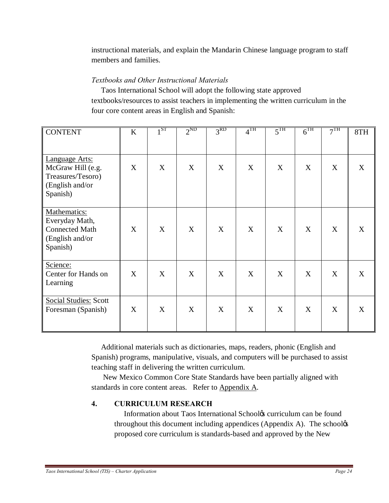instructional materials, and explain the Mandarin Chinese language program to staff members and families.

# *Textbooks and Other Instructional Materials*

 Taos International School will adopt the following state approved textbooks/resources to assist teachers in implementing the written curriculum in the four core content areas in English and Spanish:

| <b>CONTENT</b>                                                                          | K           | 1 <sup>ST</sup> | $2^{ND}$ | 3 <sup>RD</sup> | 4 <sup>TH</sup> | 5 <sup>TH</sup> | $6^{\overline{\text{TH}}}$ | $\overline{7^{TH}}$ | 8TH |
|-----------------------------------------------------------------------------------------|-------------|-----------------|----------|-----------------|-----------------|-----------------|----------------------------|---------------------|-----|
| Language Arts:<br>McGraw Hill (e.g.<br>Treasures/Tesoro)<br>(English and/or<br>Spanish) | $\mathbf X$ | X               | X        | X               | X               | X               | X                          | X                   | X   |
| Mathematics:<br>Everyday Math,<br><b>Connected Math</b><br>(English and/or<br>Spanish)  | X           | X               | X        | X               | X               | X               | X                          | X                   | X   |
| Science:<br>Center for Hands on<br>Learning                                             | X           | X               | X        | X               | X               | X               | X                          | X                   | X   |
| <b>Social Studies: Scott</b><br>Foresman (Spanish)                                      | X           | X               | X        | X               | X               | X               | X                          | X                   | X   |

 Additional materials such as dictionaries, maps, readers, phonic (English and Spanish) programs, manipulative, visuals, and computers will be purchased to assist teaching staff in delivering the written curriculum.

 New Mexico Common Core State Standards have been partially aligned with standards in core content areas. Refer to Appendix A.

# **4. CURRICULUM RESEARCH**

Information about Taos International Schoolos curriculum can be found throughout this document including appendices (Appendix A). The school $\alpha$ proposed core curriculum is standards-based and approved by the New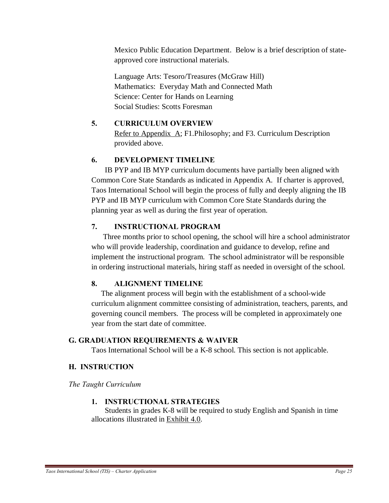Mexico Public Education Department. Below is a brief description of stateapproved core instructional materials.

Language Arts: Tesoro/Treasures (McGraw Hill) Mathematics: Everyday Math and Connected Math Science: Center for Hands on Learning Social Studies: Scotts Foresman

# **5. CURRICULUM OVERVIEW**

Refer to Appendix A; F1.Philosophy; and F3. Curriculum Description provided above.

# **6. DEVELOPMENT TIMELINE**

 IB PYP and IB MYP curriculum documents have partially been aligned with Common Core State Standards as indicated in Appendix A. If charter is approved, Taos International School will begin the process of fully and deeply aligning the IB PYP and IB MYP curriculum with Common Core State Standards during the planning year as well as during the first year of operation.

# **7. INSTRUCTIONAL PROGRAM**

 Three months prior to school opening, the school will hire a school administrator who will provide leadership, coordination and guidance to develop, refine and implement the instructional program. The school administrator will be responsible in ordering instructional materials, hiring staff as needed in oversight of the school.

# **8. ALIGNMENT TIMELINE**

 The alignment process will begin with the establishment of a school-wide curriculum alignment committee consisting of administration, teachers, parents, and governing council members. The process will be completed in approximately one year from the start date of committee.

# **G. GRADUATION REQUIREMENTS & WAIVER**

Taos International School will be a K-8 school. This section is not applicable.

# **H. INSTRUCTION**

*The Taught Curriculum*

# **1. INSTRUCTIONAL STRATEGIES**

 Students in grades K-8 will be required to study English and Spanish in time allocations illustrated in Exhibit 4.0.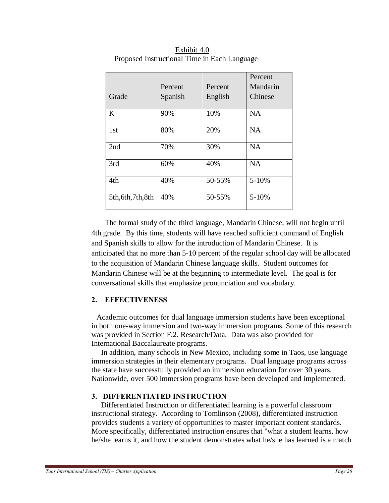|                    | Percent | Percent | Percent<br>Mandarin |
|--------------------|---------|---------|---------------------|
| Grade              | Spanish | English | Chinese             |
| K                  | 90%     | 10%     | <b>NA</b>           |
| 1st                | 80%     | 20%     | <b>NA</b>           |
| 2nd                | 70%     | 30%     | <b>NA</b>           |
| 3rd                | 60%     | 40%     | <b>NA</b>           |
| 4th                | 40%     | 50-55%  | $5 - 10%$           |
| 5th, 6th, 7th, 8th | 40%     | 50-55%  | $5 - 10%$           |

 Exhibit 4.0 Proposed Instructional Time in Each Language

 The formal study of the third language, Mandarin Chinese, will not begin until 4th grade. By this time, students will have reached sufficient command of English and Spanish skills to allow for the introduction of Mandarin Chinese. It is anticipated that no more than 5-10 percent of the regular school day will be allocated to the acquisition of Mandarin Chinese language skills. Student outcomes for Mandarin Chinese will be at the beginning to intermediate level. The goal is for conversational skills that emphasize pronunciation and vocabulary.

## **2. EFFECTIVENESS**

Academic outcomes for dual language immersion students have been exceptional in both one-way immersion and two-way immersion programs. Some of this research was provided in Section F.2. Research/Data. Data was also provided for International Baccalaureate programs.

 In addition, many schools in New Mexico, including some in Taos, use language immersion strategies in their elementary programs. Dual language programs across the state have successfully provided an immersion education for over 30 years. Nationwide, over 500 immersion programs have been developed and implemented.

## **3. DIFFERENTIATED INSTRUCTION**

 Differentiated Instruction or differentiated learning is a powerful classroom instructional strategy. According to Tomlinson (2008), differentiated instruction provides students a variety of opportunities to master important content standards. More specifically, differentiated instruction ensures that "what a student learns, how he/she learns it, and how the student demonstrates what he/she has learned is a match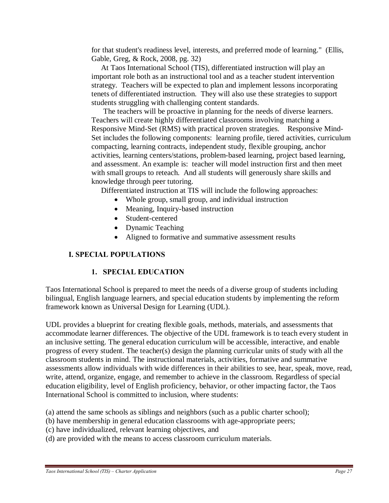for that student's readiness level, interests, and preferred mode of learning." (Ellis, Gable, Greg, & Rock, 2008, pg. 32)

 At Taos International School (TIS), differentiated instruction will play an important role both as an instructional tool and as a teacher student intervention strategy. Teachers will be expected to plan and implement lessons incorporating tenets of differentiated instruction. They will also use these strategies to support students struggling with challenging content standards.

 The teachers will be proactive in planning for the needs of diverse learners. Teachers will create highly differentiated classrooms involving matching a Responsive Mind-Set (RMS) with practical proven strategies. Responsive Mind-Set includes the following components: learning profile, tiered activities, curriculum compacting, learning contracts, independent study, flexible grouping, anchor activities, learning centers/stations, problem-based learning, project based learning, and assessment. An example is: teacher will model instruction first and then meet with small groups to reteach. And all students will generously share skills and knowledge through peer tutoring.

Differentiated instruction at TIS will include the following approaches:

- Whole group, small group, and individual instruction
- Meaning, Inquiry-based instruction
- Student-centered
- Dynamic Teaching
- · Aligned to formative and summative assessment results

# **I. SPECIAL POPULATIONS**

# **1. SPECIAL EDUCATION**

Taos International School is prepared to meet the needs of a diverse group of students including bilingual, English language learners, and special education students by implementing the reform framework known as Universal Design for Learning (UDL).

UDL provides a blueprint for creating flexible goals, methods, materials, and assessments that accommodate learner differences. The objective of the UDL framework is to teach every student in an inclusive setting. The general education curriculum will be accessible, interactive, and enable progress of every student. The teacher(s) design the planning curricular units of study with all the classroom students in mind. The instructional materials, activities, formative and summative assessments allow individuals with wide differences in their abilities to see, hear, speak, move, read, write, attend, organize, engage, and remember to achieve in the classroom. Regardless of special education eligibility, level of English proficiency, behavior, or other impacting factor, the Taos International School is committed to inclusion, where students:

(a) attend the same schools as siblings and neighbors (such as a public charter school);

- (b) have membership in general education classrooms with age-appropriate peers;
- (c) have individualized, relevant learning objectives, and
- (d) are provided with the means to access classroom curriculum materials.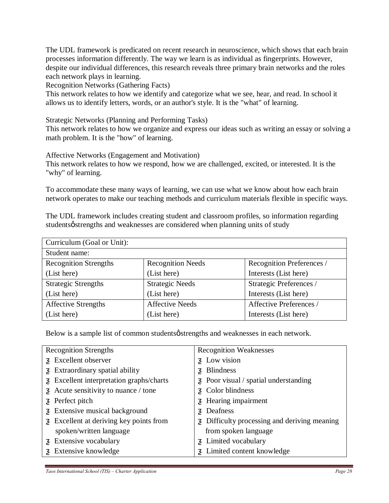The UDL framework is predicated on recent research in neuroscience, which shows that each brain processes information differently. The way we learn is as individual as fingerprints. However, despite our individual differences, this research reveals three primary brain networks and the roles each network plays in learning.

Recognition Networks (Gathering Facts)

This network relates to how we identify and categorize what we see, hear, and read. In school it allows us to identify letters, words, or an author's style. It is the "what" of learning.

Strategic Networks (Planning and Performing Tasks)

This network relates to how we organize and express our ideas such as writing an essay or solving a math problem. It is the "how" of learning.

Affective Networks (Engagement and Motivation)

This network relates to how we respond, how we are challenged, excited, or interested. It is the "why" of learning.

To accommodate these many ways of learning, we can use what we know about how each brain network operates to make our teaching methods and curriculum materials flexible in specific ways.

The UDL framework includes creating student and classroom profiles, so information regarding studentsø strengths and weaknesses are considered when planning units of study

| Curriculum (Goal or Unit):   |                          |                                |
|------------------------------|--------------------------|--------------------------------|
| Student name:                |                          |                                |
| <b>Recognition Strengths</b> | <b>Recognition Needs</b> | Recognition Preferences /      |
| (List here)                  | (List here)              | Interests (List here)          |
| <b>Strategic Strengths</b>   | <b>Strategic Needs</b>   | Strategic Preferences /        |
| (List here)                  | (List here)              | Interests (List here)          |
| <b>Affective Strengths</b>   | <b>Affective Needs</b>   | <b>Affective Preferences</b> / |
| (List here)                  | (List here)              | Interests (List here)          |

Below is a sample list of common students  $\phi$  strengths and weaknesses in each network.

| <b>Recognition Strengths</b>           | <b>Recognition Weaknesses</b>              |  |
|----------------------------------------|--------------------------------------------|--|
| Excellent observer                     | Low vision                                 |  |
| Extraordinary spatial ability          | <b>Blindness</b>                           |  |
| Excellent interpretation graphs/charts | Poor visual / spatial understanding        |  |
| Acute sensitivity to nuance / tone     | Color blindness                            |  |
| Perfect pitch                          | Hearing impairment                         |  |
| Extensive musical background           | Deafness                                   |  |
| Excellent at deriving key points from  | Difficulty processing and deriving meaning |  |
| spoken/written language                | from spoken language                       |  |
| Extensive vocabulary                   | Limited vocabulary                         |  |
| Extensive knowledge                    | Limited content knowledge                  |  |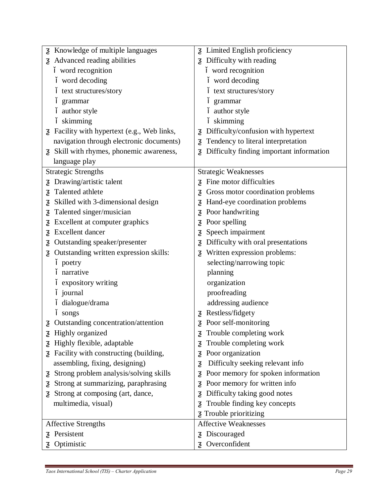| Knowledge of multiple languages           | Limited English proficiency              |  |
|-------------------------------------------|------------------------------------------|--|
| Advanced reading abilities                | Difficulty with reading                  |  |
| word recognition                          | word recognition                         |  |
| word decoding                             | word decoding                            |  |
| text structures/story                     | text structures/story                    |  |
| grammar                                   | grammar                                  |  |
| author style                              | author style                             |  |
| skimming                                  | skimming                                 |  |
| Facility with hypertext (e.g., Web links, | Difficulty/confusion with hypertext      |  |
| navigation through electronic documents)  | Tendency to literal interpretation       |  |
| Skill with rhymes, phonemic awareness,    | Difficulty finding important information |  |
| language play                             |                                          |  |
| <b>Strategic Strengths</b>                | <b>Strategic Weaknesses</b>              |  |
| Drawing/artistic talent                   | Fine motor difficulties                  |  |
| Talented athlete                          | Gross motor coordination problems        |  |
| Skilled with 3-dimensional design         | Hand-eye coordination problems           |  |
| Talented singer/musician                  | Poor handwriting                         |  |
| Excellent at computer graphics            | Poor spelling                            |  |
| <b>Excellent</b> dancer                   | Speech impairment                        |  |
| Outstanding speaker/presenter             | Difficulty with oral presentations       |  |
| Outstanding written expression skills:    | Written expression problems:             |  |
| poetry                                    | selecting/narrowing topic                |  |
| narrative                                 | planning                                 |  |
| expository writing                        | organization                             |  |
| journal                                   | proofreading                             |  |
| dialogue/drama                            | addressing audience                      |  |
| songs                                     | Restless/fidgety                         |  |
| Outstanding concentration/attention       | Poor self-monitoring                     |  |
| Highly organized                          | Trouble completing work                  |  |
| Highly flexible, adaptable                | Trouble completing work                  |  |
| Facility with constructing (building,     | Poor organization                        |  |
| assembling, fixing, designing)            | Difficulty seeking relevant info         |  |
| Strong problem analysis/solving skills    | Poor memory for spoken information       |  |
| Strong at summarizing, paraphrasing       | Poor memory for written info             |  |
| Strong at composing (art, dance,          | Difficulty taking good notes             |  |
| multimedia, visual)                       | Trouble finding key concepts             |  |
|                                           | Trouble prioritizing                     |  |
| <b>Affective Strengths</b>                | <b>Affective Weaknesses</b>              |  |
| Persistent                                | Discouraged                              |  |
| Optimistic                                | Overconfident                            |  |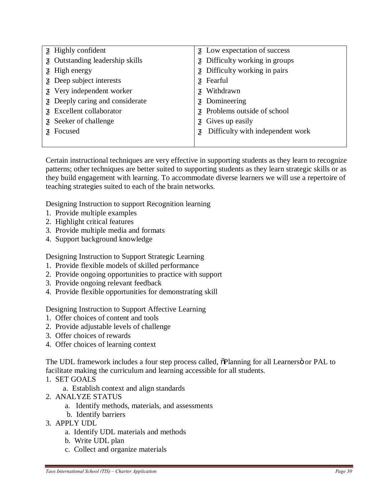| Highly confident              | Low expectation of success       |
|-------------------------------|----------------------------------|
| Outstanding leadership skills | Difficulty working in groups     |
| High energy                   | Difficulty working in pairs      |
| Deep subject interests        | Fearful                          |
| Very independent worker       | Withdrawn                        |
| Deeply caring and considerate | Domineering                      |
| Excellent collaborator        | Problems outside of school       |
| Seeker of challenge           | Gives up easily                  |
| Focused                       | Difficulty with independent work |
|                               |                                  |

Certain instructional techniques are very effective in supporting students as they learn to recognize patterns; other techniques are better suited to supporting students as they learn strategic skills or as they build engagement with learning. To accommodate diverse learners we will use a repertoire of teaching strategies suited to each of the brain networks.

Designing Instruction to support Recognition learning

- 1. Provide multiple examples
- 2. Highlight critical features
- 3. Provide multiple media and formats
- 4. Support background knowledge

Designing Instruction to Support Strategic Learning

- 1. Provide flexible models of skilled performance
- 2. Provide ongoing opportunities to practice with support
- 3. Provide ongoing relevant feedback
- 4. Provide flexible opportunities for demonstrating skill

Designing Instruction to Support Affective Learning

- 1. Offer choices of content and tools
- 2. Provide adjustable levels of challenge
- 3. Offer choices of rewards
- 4. Offer choices of learning context

The UDL framework includes a four step process called,  $\delta$ Planning for all Learners oo PAL to facilitate making the curriculum and learning accessible for all students.

- 1. SET GOALS
	- a. Establish context and align standards
- 2. ANALYZE STATUS
	- a. Identify methods, materials, and assessments
	- b. Identify barriers
- 3. APPLY UDL
	- a. Identify UDL materials and methods
	- b. Write UDL plan
	- c. Collect and organize materials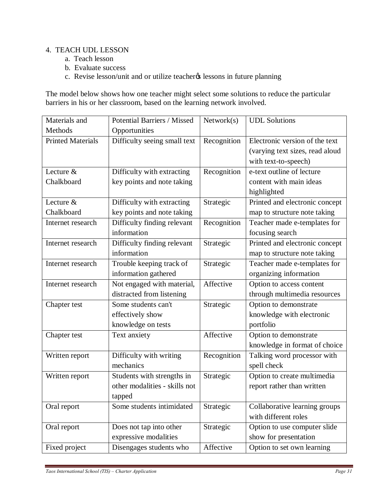## 4. TEACH UDL LESSON

- a. Teach lesson
- b. Evaluate success
- c. Revise lesson/unit and or utilize teacher (s) lessons in future planning

The model below shows how one teacher might select some solutions to reduce the particular barriers in his or her classroom, based on the learning network involved.

| Materials and            | Potential Barriers / Missed   | Network(s)  | <b>UDL</b> Solutions            |
|--------------------------|-------------------------------|-------------|---------------------------------|
| Methods                  | Opportunities                 |             |                                 |
| <b>Printed Materials</b> | Difficulty seeing small text  | Recognition | Electronic version of the text  |
|                          |                               |             | (varying text sizes, read aloud |
|                          |                               |             | with text-to-speech)            |
| Lecture &                | Difficulty with extracting    | Recognition | e-text outline of lecture       |
| Chalkboard               | key points and note taking    |             | content with main ideas         |
|                          |                               |             | highlighted                     |
| Lecture &                | Difficulty with extracting    | Strategic   | Printed and electronic concept  |
| Chalkboard               | key points and note taking    |             | map to structure note taking    |
| Internet research        | Difficulty finding relevant   | Recognition | Teacher made e-templates for    |
|                          | information                   |             | focusing search                 |
| Internet research        | Difficulty finding relevant   | Strategic   | Printed and electronic concept  |
|                          | information                   |             | map to structure note taking    |
| Internet research        | Trouble keeping track of      | Strategic   | Teacher made e-templates for    |
|                          | information gathered          |             | organizing information          |
| Internet research        | Not engaged with material,    | Affective   | Option to access content        |
|                          | distracted from listening     |             | through multimedia resources    |
| Chapter test             | Some students can't           | Strategic   | Option to demonstrate           |
|                          | effectively show              |             | knowledge with electronic       |
|                          | knowledge on tests            |             | portfolio                       |
| Chapter test             | Text anxiety                  | Affective   | Option to demonstrate           |
|                          |                               |             | knowledge in format of choice   |
| Written report           | Difficulty with writing       | Recognition | Talking word processor with     |
|                          | mechanics                     |             | spell check                     |
| Written report           | Students with strengths in    | Strategic   | Option to create multimedia     |
|                          | other modalities - skills not |             | report rather than written      |
|                          | tapped                        |             |                                 |
| Oral report              | Some students intimidated     | Strategic   | Collaborative learning groups   |
|                          |                               |             | with different roles            |
| Oral report              | Does not tap into other       | Strategic   | Option to use computer slide    |
|                          | expressive modalities         |             | show for presentation           |
| Fixed project            | Disengages students who       | Affective   | Option to set own learning      |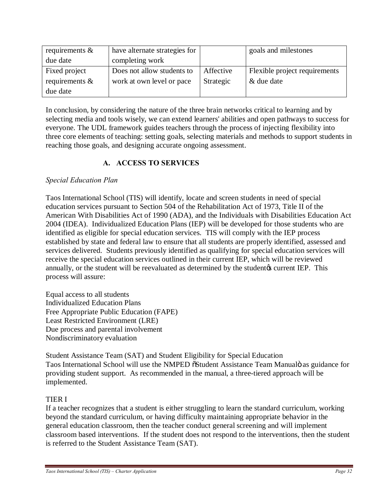| requirements $\&$ | have alternate strategies for |           | goals and milestones          |
|-------------------|-------------------------------|-----------|-------------------------------|
| due date          | completing work               |           |                               |
| Fixed project     | Does not allow students to    | Affective | Flexible project requirements |
| requirements $\&$ | work at own level or pace     | Strategic | & due date                    |
| due date          |                               |           |                               |

In conclusion, by considering the nature of the three brain networks critical to learning and by selecting media and tools wisely, we can extend learners' abilities and open pathways to success for everyone. The UDL framework guides teachers through the process of injecting flexibility into three core elements of teaching: setting goals, selecting materials and methods to support students in reaching those goals, and designing accurate ongoing assessment.

# **A. ACCESS TO SERVICES**

# *Special Education Plan*

Taos International School (TIS) will identify, locate and screen students in need of special education services pursuant to Section 504 of the Rehabilitation Act of 1973, Title II of the American With Disabilities Act of 1990 (ADA), and the Individuals with Disabilities Education Act 2004 (IDEA). Individualized Education Plans (IEP) will be developed for those students who are identified as eligible for special education services. TIS will comply with the IEP process established by state and federal law to ensure that all students are properly identified, assessed and services delivered. Students previously identified as qualifying for special education services will receive the special education services outlined in their current IEP, which will be reviewed annually, or the student will be reevaluated as determined by the student for current IEP. This process will assure:

Equal access to all students Individualized Education Plans Free Appropriate Public Education (FAPE) Least Restricted Environment (LRE) Due process and parental involvement Nondiscriminatory evaluation

Student Assistance Team (SAT) and Student Eligibility for Special Education Taos International School will use the NMPED  $\tilde{o}$ Student Assistance Team Manualö as guidance for providing student support. As recommended in the manual, a three-tiered approach will be implemented.

# TIER I

If a teacher recognizes that a student is either struggling to learn the standard curriculum, working beyond the standard curriculum, or having difficulty maintaining appropriate behavior in the general education classroom, then the teacher conduct general screening and will implement classroom based interventions. If the student does not respond to the interventions, then the student is referred to the Student Assistance Team (SAT).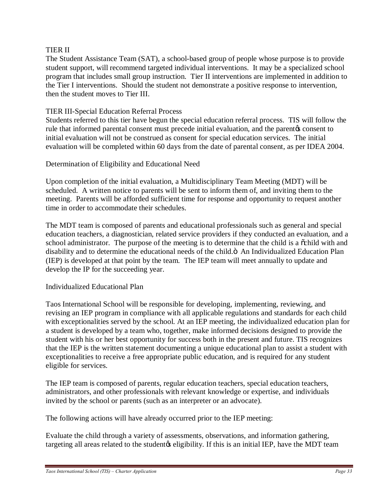## TIER II

The Student Assistance Team (SAT), a school-based group of people whose purpose is to provide student support, will recommend targeted individual interventions. It may be a specialized school program that includes small group instruction. Tier II interventions are implemented in addition to the Tier I interventions. Should the student not demonstrate a positive response to intervention, then the student moves to Tier III.

## TIER III-Special Education Referral Process

Students referred to this tier have begun the special education referral process. TIS will follow the rule that informed parental consent must precede initial evaluation, and the parent to consent to initial evaluation will not be construed as consent for special education services. The initial evaluation will be completed within 60 days from the date of parental consent, as per IDEA 2004.

## Determination of Eligibility and Educational Need

Upon completion of the initial evaluation, a Multidisciplinary Team Meeting (MDT) will be scheduled. A written notice to parents will be sent to inform them of, and inviting them to the meeting. Parents will be afforded sufficient time for response and opportunity to request another time in order to accommodate their schedules.

The MDT team is composed of parents and educational professionals such as general and special education teachers, a diagnostician, related service providers if they conducted an evaluation, and a school administrator. The purpose of the meeting is to determine that the child is a  $\ddot{\text{o}}$ child with and disability and to determine the educational needs of the child. $\ddot{o}$  An Individualized Education Plan (IEP) is developed at that point by the team. The IEP team will meet annually to update and develop the IP for the succeeding year.

## Individualized Educational Plan

Taos International School will be responsible for developing, implementing, reviewing, and revising an IEP program in compliance with all applicable regulations and standards for each child with exceptionalities served by the school. At an IEP meeting, the individualized education plan for a student is developed by a team who, together, make informed decisions designed to provide the student with his or her best opportunity for success both in the present and future. TIS recognizes that the IEP is the written statement documenting a unique educational plan to assist a student with exceptionalities to receive a free appropriate public education, and is required for any student eligible for services.

The IEP team is composed of parents, regular education teachers, special education teachers, administrators, and other professionals with relevant knowledge or expertise, and individuals invited by the school or parents (such as an interpreter or an advocate).

The following actions will have already occurred prior to the IEP meeting:

Evaluate the child through a variety of assessments, observations, and information gathering, targeting all areas related to the student to eligibility. If this is an initial IEP, have the MDT team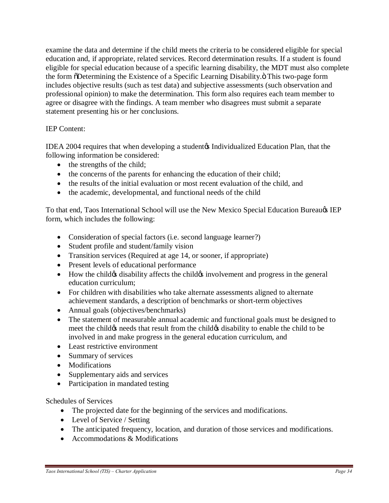examine the data and determine if the child meets the criteria to be considered eligible for special education and, if appropriate, related services. Record determination results. If a student is found eligible for special education because of a specific learning disability, the MDT must also complete the form  $\delta$ Determining the Existence of a Specific Learning Disability. $\ddot{o}$  This two-page form includes objective results (such as test data) and subjective assessments (such observation and professional opinion) to make the determination. This form also requires each team member to agree or disagree with the findings. A team member who disagrees must submit a separate statement presenting his or her conclusions.

# IEP Content:

IDEA 2004 requires that when developing a student of Individualized Education Plan, that the following information be considered:

- the strengths of the child;
- the concerns of the parents for enhancing the education of their child;
- the results of the initial evaluation or most recent evaluation of the child, and
- the academic, developmental, and functional needs of the child

To that end, Taos International School will use the New Mexico Special Education Bureau & IEP form, which includes the following:

- Consideration of special factors (i.e. second language learner?)
- Student profile and student/family vision
- Transition services (Required at age 14, or sooner, if appropriate)
- · Present levels of educational performance
- How the child is disability affects the child involvement and progress in the general education curriculum;
- · For children with disabilities who take alternate assessments aligned to alternate achievement standards, a description of benchmarks or short-term objectives
- Annual goals (objectives/benchmarks)
- The statement of measurable annual academic and functional goals must be designed to meet the child to be meets that result from the child to stability to enable the child to be involved in and make progress in the general education curriculum, and
- · Least restrictive environment
- Summary of services
- Modifications
- Supplementary aids and services
- Participation in mandated testing

Schedules of Services

- The projected date for the beginning of the services and modifications.
- Level of Service / Setting
- The anticipated frequency, location, and duration of those services and modifications.
- Accommodations & Modifications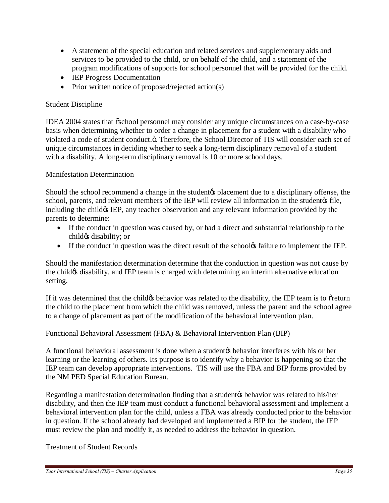- A statement of the special education and related services and supplementary aids and services to be provided to the child, or on behalf of the child, and a statement of the program modifications of supports for school personnel that will be provided for the child.
- **IEP Progress Documentation**
- Prior written notice of proposed/rejected action(s)

# Student Discipline

IDEA 2004 states that "school personnel may consider any unique circumstances on a case-by-case basis when determining whether to order a change in placement for a student with a disability who violated a code of student conduct.ö. Therefore, the School Director of TIS will consider each set of unique circumstances in deciding whether to seek a long-term disciplinary removal of a student with a disability. A long-term disciplinary removal is 10 or more school days.

# Manifestation Determination

Should the school recommend a change in the student the placement due to a disciplinary offense, the school, parents, and relevant members of the IEP will review all information in the student of file, including the child os IEP, any teacher observation and any relevant information provided by the parents to determine:

- If the conduct in question was caused by, or had a direct and substantial relationship to the child $\alpha$  disability; or
- If the conduct in question was the direct result of the school<sup> $\alpha$ </sup> failure to implement the IEP.

Should the manifestation determination determine that the conduction in question was not cause by the child  $\alpha$  disability, and IEP team is charged with determining an interim alternative education setting.

If it was determined that the child to behavior was related to the disability, the IEP team is to order turn the child to the placement from which the child was removed, unless the parent and the school agree to a change of placement as part of the modification of the behavioral intervention plan.

Functional Behavioral Assessment (FBA) & Behavioral Intervention Plan (BIP)

A functional behavioral assessment is done when a student  $\alpha$  behavior interferes with his or her learning or the learning of others. Its purpose is to identify why a behavior is happening so that the IEP team can develop appropriate interventions. TIS will use the FBA and BIP forms provided by the NM PED Special Education Bureau.

Regarding a manifestation determination finding that a student to behavior was related to his/her disability, and then the IEP team must conduct a functional behavioral assessment and implement a behavioral intervention plan for the child, unless a FBA was already conducted prior to the behavior in question. If the school already had developed and implemented a BIP for the student, the IEP must review the plan and modify it, as needed to address the behavior in question.

# Treatment of Student Records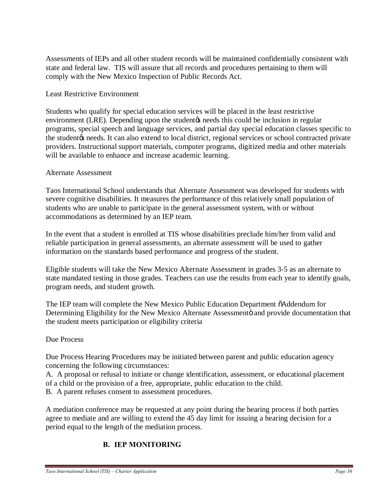Assessments of IEPs and all other student records will be maintained confidentially consistent with state and federal law. TIS will assure that all records and procedures pertaining to them will comply with the New Mexico Inspection of Public Records Act.

## Least Restrictive Environment

Students who qualify for special education services will be placed in the least restrictive environment (LRE). Depending upon the student the students in could be inclusion in regular programs, special speech and language services, and partial day special education classes specific to the student $\alpha$  needs. It can also extend to local district, regional services or school contracted private providers. Instructional support materials, computer programs, digitized media and other materials will be available to enhance and increase academic learning.

## Alternate Assessment

Taos International School understands that Alternate Assessment was developed for students with severe cognitive disabilities. It measures the performance of this relatively small population of students who are unable to participate in the general assessment system, with or without accommodations as determined by an IEP team.

In the event that a student is enrolled at TIS whose disabilities preclude him/her from valid and reliable participation in general assessments, an alternate assessment will be used to gather information on the standards based performance and progress of the student.

Eligible students will take the New Mexico Alternate Assessment in grades 3-5 as an alternate to state mandated testing in those grades. Teachers can use the results from each year to identify goals, program needs, and student growth.

The IEP team will complete the New Mexico Public Education Department  $\ddot{\text{o}}$ Addendum for Determining Eligibility for the New Mexico Alternate Assessmentö and provide documentation that the student meets participation or eligibility criteria

## Due Process

Due Process Hearing Procedures may be initiated between parent and public education agency concerning the following circumstances:

A. A proposal or refusal to initiate or change identification, assessment, or educational placement of a child or the provision of a free, appropriate, public education to the child.

B. A parent refuses consent to assessment procedures.

A mediation conference may be requested at any point during the hearing process if both parties agree to mediate and are willing to extend the 45 day limit for issuing a hearing decision for a period equal to the length of the mediation process.

# **B. IEP MONITORING**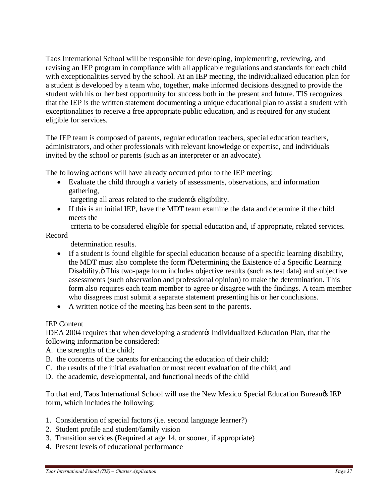Taos International School will be responsible for developing, implementing, reviewing, and revising an IEP program in compliance with all applicable regulations and standards for each child with exceptionalities served by the school. At an IEP meeting, the individualized education plan for a student is developed by a team who, together, make informed decisions designed to provide the student with his or her best opportunity for success both in the present and future. TIS recognizes that the IEP is the written statement documenting a unique educational plan to assist a student with exceptionalities to receive a free appropriate public education, and is required for any student eligible for services.

The IEP team is composed of parents, regular education teachers, special education teachers, administrators, and other professionals with relevant knowledge or expertise, and individuals invited by the school or parents (such as an interpreter or an advocate).

The following actions will have already occurred prior to the IEP meeting:

· Evaluate the child through a variety of assessments, observations, and information gathering,

targeting all areas related to the student is eligibility.

· If this is an initial IEP, have the MDT team examine the data and determine if the child meets the

criteria to be considered eligible for special education and, if appropriate, related services.

Record

determination results.

- · If a student is found eligible for special education because of a specific learning disability, the MDT must also complete the form  $\delta$ Determining the Existence of a Specific Learning Disability.  $\ddot{o}$  This two-page form includes objective results (such as test data) and subjective assessments (such observation and professional opinion) to make the determination. This form also requires each team member to agree or disagree with the findings. A team member who disagrees must submit a separate statement presenting his or her conclusions.
- · A written notice of the meeting has been sent to the parents.

#### IEP Content

IDEA 2004 requires that when developing a student of Individualized Education Plan, that the following information be considered:

- A. the strengths of the child;
- B. the concerns of the parents for enhancing the education of their child;
- C. the results of the initial evaluation or most recent evaluation of the child, and
- D. the academic, developmental, and functional needs of the child

To that end, Taos International School will use the New Mexico Special Education Bureau & IEP form, which includes the following:

- 1. Consideration of special factors (i.e. second language learner?)
- 2. Student profile and student/family vision
- 3. Transition services (Required at age 14, or sooner, if appropriate)
- 4. Present levels of educational performance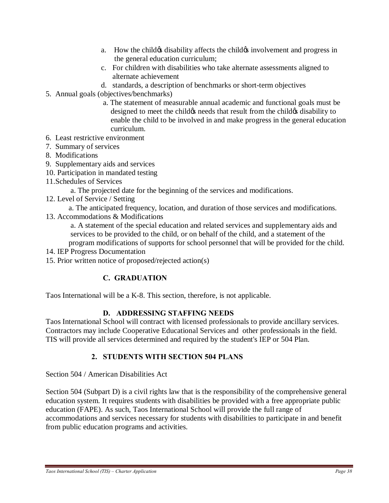- a. How the child is disability affects the child is involvement and progress in the general education curriculum;
- c. For children with disabilities who take alternate assessments aligned to alternate achievement
- d. standards, a description of benchmarks or short-term objectives
- 5. Annual goals (objectives/benchmarks)
	- a. The statement of measurable annual academic and functional goals must be designed to meet the child the needs that result from the child the disability to enable the child to be involved in and make progress in the general education curriculum.
- 6. Least restrictive environment
- 7. Summary of services
- 8. Modifications
- 9. Supplementary aids and services
- 10. Participation in mandated testing
- 11.Schedules of Services
	- a. The projected date for the beginning of the services and modifications.
- 12. Level of Service / Setting
- a. The anticipated frequency, location, and duration of those services and modifications.
- 13. Accommodations & Modifications

 a. A statement of the special education and related services and supplementary aids and services to be provided to the child, or on behalf of the child, and a statement of the program modifications of supports for school personnel that will be provided for the child.

- 14. IEP Progress Documentation
- 15. Prior written notice of proposed/rejected action(s)

## **C. GRADUATION**

Taos International will be a K-8. This section, therefore, is not applicable.

#### **D. ADDRESSING STAFFING NEEDS**

Taos International School will contract with licensed professionals to provide ancillary services. Contractors may include Cooperative Educational Services and other professionals in the field. TIS will provide all services determined and required by the student's IEP or 504 Plan.

### **2. STUDENTS WITH SECTION 504 PLANS**

Section 504 / American Disabilities Act

Section 504 (Subpart D) is a civil rights law that is the responsibility of the comprehensive general education system. It requires students with disabilities be provided with a free appropriate public education (FAPE). As such, Taos International School will provide the full range of accommodations and services necessary for students with disabilities to participate in and benefit from public education programs and activities.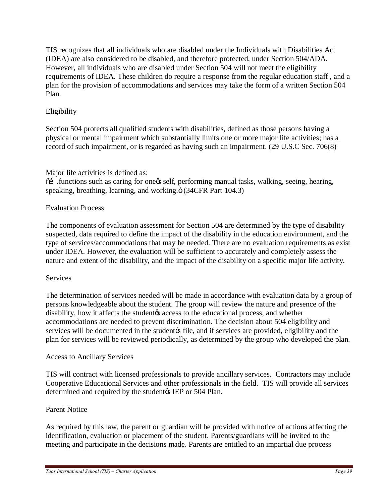TIS recognizes that all individuals who are disabled under the Individuals with Disabilities Act (IDEA) are also considered to be disabled, and therefore protected, under Section 504/ADA. However, all individuals who are disabled under Section 504 will not meet the eligibility requirements of IDEA. These children do require a response from the regular education staff , and a plan for the provision of accommodations and services may take the form of a written Section 504 Plan.

#### Eligibility

Section 504 protects all qualified students with disabilities, defined as those persons having a physical or mental impairment which substantially limits one or more major life activities; has a record of such impairment, or is regarded as having such an impairment. (29 U.S.C Sec. 706(8)

Major life activities is defined as:

 $\tilde{\text{o}}$  in functions such as caring for one  $\alpha$  self, performing manual tasks, walking, seeing, hearing, speaking, breathing, learning, and working. $\ddot{o}$  (34CFR Part 104.3)

#### Evaluation Process

The components of evaluation assessment for Section 504 are determined by the type of disability suspected, data required to define the impact of the disability in the education environment, and the type of services/accommodations that may be needed. There are no evaluation requirements as exist under IDEA. However, the evaluation will be sufficient to accurately and completely assess the nature and extent of the disability, and the impact of the disability on a specific major life activity.

#### **Services**

The determination of services needed will be made in accordance with evaluation data by a group of persons knowledgeable about the student. The group will review the nature and presence of the disability, how it affects the student access to the educational process, and whether accommodations are needed to prevent discrimination. The decision about 504 eligibility and services will be documented in the student the, and if services are provided, eligibility and the plan for services will be reviewed periodically, as determined by the group who developed the plan.

#### Access to Ancillary Services

TIS will contract with licensed professionals to provide ancillary services. Contractors may include Cooperative Educational Services and other professionals in the field. TIS will provide all services determined and required by the student (SIEP or 504 Plan.

#### Parent Notice

As required by this law, the parent or guardian will be provided with notice of actions affecting the identification, evaluation or placement of the student. Parents/guardians will be invited to the meeting and participate in the decisions made. Parents are entitled to an impartial due process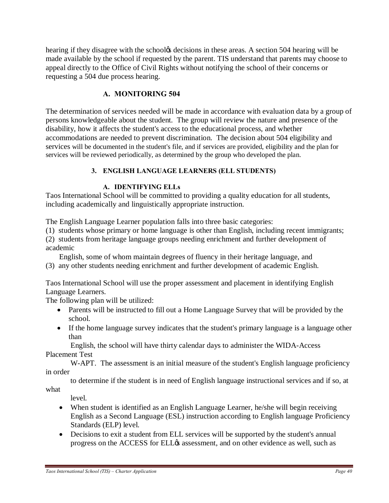hearing if they disagree with the school tects decisions in these areas. A section 504 hearing will be made available by the school if requested by the parent. TIS understand that parents may choose to appeal directly to the Office of Civil Rights without notifying the school of their concerns or requesting a 504 due process hearing.

#### **A. MONITORING 504**

The determination of services needed will be made in accordance with evaluation data by a group of persons knowledgeable about the student. The group will review the nature and presence of the disability, how it affects the student's access to the educational process, and whether accommodations are needed to prevent discrimination. The decision about 504 eligibility and services will be documented in the student's file, and if services are provided, eligibility and the plan for services will be reviewed periodically, as determined by the group who developed the plan.

#### **3. ENGLISH LANGUAGE LEARNERS (ELL STUDENTS)**

#### **A. IDENTIFYING ELLs**

Taos International School will be committed to providing a quality education for all students, including academically and linguistically appropriate instruction.

The English Language Learner population falls into three basic categories:

- (1) students whose primary or home language is other than English, including recent immigrants;
- (2) students from heritage language groups needing enrichment and further development of academic

English, some of whom maintain degrees of fluency in their heritage language, and

(3) any other students needing enrichment and further development of academic English.

Taos International School will use the proper assessment and placement in identifying English Language Learners.

The following plan will be utilized:

- Parents will be instructed to fill out a Home Language Survey that will be provided by the school.
- If the home language survey indicates that the student's primary language is a language other than

 English, the school will have thirty calendar days to administer the WIDA-Access Placement Test

 W-APT. The assessment is an initial measure of the student's English language proficiency in order

 to determine if the student is in need of English language instructional services and if so, at what

level.

- When student is identified as an English Language Learner, he/she will begin receiving English as a Second Language (ESL) instruction according to English language Proficiency Standards (ELP) level.
- Decisions to exit a student from ELL services will be supported by the student's annual progress on the ACCESS for ELL $\alpha$  assessment, and on other evidence as well, such as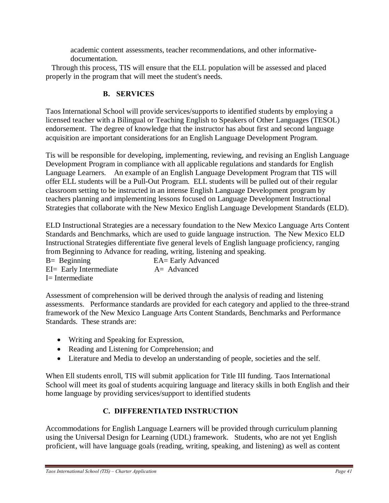academic content assessments, teacher recommendations, and other informativedocumentation.

 Through this process, TIS will ensure that the ELL population will be assessed and placed properly in the program that will meet the student's needs.

### **B. SERVICES**

Taos International School will provide services/supports to identified students by employing a licensed teacher with a Bilingual or Teaching English to Speakers of Other Languages (TESOL) endorsement. The degree of knowledge that the instructor has about first and second language acquisition are important considerations for an English Language Development Program.

Tis will be responsible for developing, implementing, reviewing, and revising an English Language Development Program in compliance with all applicable regulations and standards for English Language Learners. An example of an English Language Development Program that TIS will offer ELL students will be a Pull-Out Program. ELL students will be pulled out of their regular classroom setting to be instructed in an intense English Language Development program by teachers planning and implementing lessons focused on Language Development Instructional Strategies that collaborate with the New Mexico English Language Development Standards (ELD).

ELD Instructional Strategies are a necessary foundation to the New Mexico Language Arts Content Standards and Benchmarks, which are used to guide language instruction. The New Mexico ELD Instructional Strategies differentiate five general levels of English language proficiency, ranging from Beginning to Advance for reading, writing, listening and speaking.

| $B =$ Beginning           | EA= Early Advanced |
|---------------------------|--------------------|
| $EI =$ Early Intermediate | $A = Advanced$     |
| I= Intermediate           |                    |

Assessment of comprehension will be derived through the analysis of reading and listening assessments. Performance standards are provided for each category and applied to the three-strand framework of the New Mexico Language Arts Content Standards, Benchmarks and Performance Standards. These strands are:

- Writing and Speaking for Expression,
- · Reading and Listening for Comprehension; and
- · Literature and Media to develop an understanding of people, societies and the self.

When Ell students enroll, TIS will submit application for Title III funding. Taos International School will meet its goal of students acquiring language and literacy skills in both English and their home language by providing services/support to identified students

## **C. DIFFERENTIATED INSTRUCTION**

Accommodations for English Language Learners will be provided through curriculum planning using the Universal Design for Learning (UDL) framework. Students, who are not yet English proficient, will have language goals (reading, writing, speaking, and listening) as well as content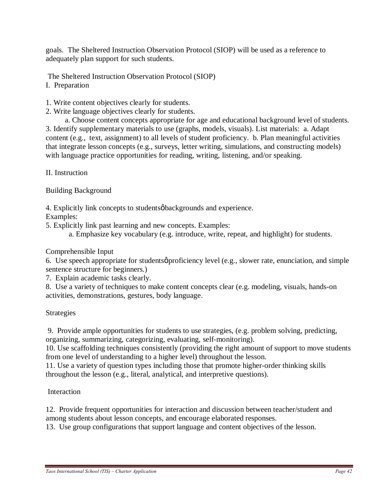goals. The Sheltered Instruction Observation Protocol (SIOP) will be used as a reference to adequately plan support for such students.

The Sheltered Instruction Observation Protocol (SIOP)

- I. Preparation
- 1. Write content objectives clearly for students.
- 2. Write language objectives clearly for students.

 a. Choose content concepts appropriate for age and educational background level of students. 3. Identify supplementary materials to use (graphs, models, visuals). List materials: a. Adapt content (e.g., text, assignment) to all levels of student proficiency. b. Plan meaningful activities that integrate lesson concepts (e.g., surveys, letter writing, simulations, and constructing models) with language practice opportunities for reading, writing, listening, and/or speaking.

II. Instruction

Building Background

4. Explicitly link concepts to students operator backgrounds and experience.

Examples:

- 5. Explicitly link past learning and new concepts. Examples:
	- a. Emphasize key vocabulary (e.g. introduce, write, repeat, and highlight) for students.

### Comprehensible Input

6. Use speech appropriate for students proficiency level (e.g., slower rate, enunciation, and simple sentence structure for beginners.)

7. Explain academic tasks clearly.

8. Use a variety of techniques to make content concepts clear (e.g. modeling, visuals, hands-on activities, demonstrations, gestures, body language.

#### Strategies

9. Provide ample opportunities for students to use strategies, (e.g. problem solving, predicting, organizing, summarizing, categorizing, evaluating, self-monitoring).

10. Use scaffolding techniques consistently (providing the right amount of support to move students from one level of understanding to a higher level) throughout the lesson.

11. Use a variety of question types including those that promote higher-order thinking skills throughout the lesson (e.g., literal, analytical, and interpretive questions).

#### Interaction

12. Provide frequent opportunities for interaction and discussion between teacher/student and among students about lesson concepts, and encourage elaborated responses.

13. Use group configurations that support language and content objectives of the lesson.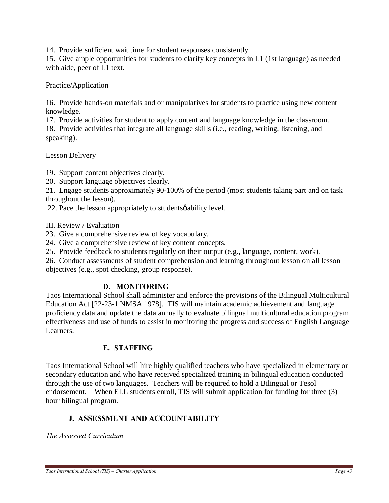14. Provide sufficient wait time for student responses consistently.

15. Give ample opportunities for students to clarify key concepts in L1 (1st language) as needed with aide, peer of L1 text.

Practice/Application

16. Provide hands-on materials and or manipulatives for students to practice using new content knowledge.

17. Provide activities for student to apply content and language knowledge in the classroom. 18. Provide activities that integrate all language skills (i.e., reading, writing, listening, and speaking).

Lesson Delivery

19. Support content objectives clearly.

20. Support language objectives clearly.

21. Engage students approximately 90-100% of the period (most students taking part and on task throughout the lesson).

22. Pace the lesson appropriately to students  $\phi$  ability level.

III. Review / Evaluation

23. Give a comprehensive review of key vocabulary.

24. Give a comprehensive review of key content concepts.

25. Provide feedback to students regularly on their output (e.g., language, content, work).

26. Conduct assessments of student comprehension and learning throughout lesson on all lesson objectives (e.g., spot checking, group response).

#### **D. MONITORING**

Taos International School shall administer and enforce the provisions of the Bilingual Multicultural Education Act [22-23-1 NMSA 1978]. TIS will maintain academic achievement and language proficiency data and update the data annually to evaluate bilingual multicultural education program effectiveness and use of funds to assist in monitoring the progress and success of English Language Learners.

#### **E. STAFFING**

Taos International School will hire highly qualified teachers who have specialized in elementary or secondary education and who have received specialized training in bilingual education conducted through the use of two languages. Teachers will be required to hold a Bilingual or Tesol endorsement. When ELL students enroll, TIS will submit application for funding for three (3) hour bilingual program.

#### **J. ASSESSMENT AND ACCOUNTABILITY**

*The Assessed Curriculum*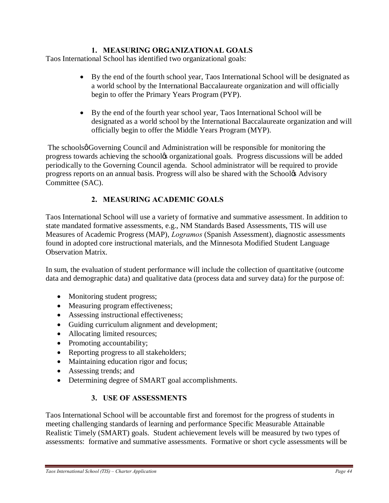### **1. MEASURING ORGANIZATIONAL GOALS**

Taos International School has identified two organizational goals:

- · By the end of the fourth school year, Taos International School will be designated as a world school by the International Baccalaureate organization and will officially begin to offer the Primary Years Program (PYP).
- · By the end of the fourth year school year, Taos International School will be designated as a world school by the International Baccalaureate organization and will officially begin to offer the Middle Years Program (MYP).

The schools  $\phi$  Governing Council and Administration will be responsible for monitoring the progress towards achieving the school to organizational goals. Progress discussions will be added periodically to the Governing Council agenda. School administrator will be required to provide progress reports on an annual basis. Progress will also be shared with the School& Advisory Committee (SAC).

### **2. MEASURING ACADEMIC GOALS**

Taos International School will use a variety of formative and summative assessment. In addition to state mandated formative assessments, e.g., NM Standards Based Assessments, TIS will use Measures of Academic Progress (MAP), *Logramos* (Spanish Assessment), diagnostic assessments found in adopted core instructional materials, and the Minnesota Modified Student Language Observation Matrix.

In sum, the evaluation of student performance will include the collection of quantitative (outcome data and demographic data) and qualitative data (process data and survey data) for the purpose of:

- Monitoring student progress;
- · Measuring program effectiveness;
- Assessing instructional effectiveness;
- Guiding curriculum alignment and development;
- Allocating limited resources;
- Promoting accountability;
- Reporting progress to all stakeholders;
- Maintaining education rigor and focus;
- Assessing trends; and
- · Determining degree of SMART goal accomplishments.

### **3. USE OF ASSESSMENTS**

Taos International School will be accountable first and foremost for the progress of students in meeting challenging standards of learning and performance Specific Measurable Attainable Realistic Timely (SMART) goals. Student achievement levels will be measured by two types of assessments: formative and summative assessments. Formative or short cycle assessments will be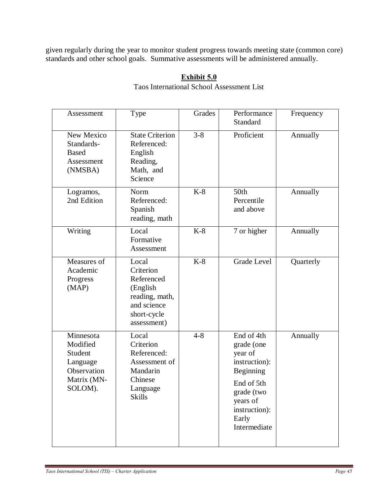given regularly during the year to monitor student progress towards meeting state (common core) standards and other school goals. Summative assessments will be administered annually.

### **Exhibit 5.0**

Taos International School Assessment List

| Assessment                                                                            | Type                                                                                                        | Grades  | Performance<br>Standard                                                                                                                             | Frequency |
|---------------------------------------------------------------------------------------|-------------------------------------------------------------------------------------------------------------|---------|-----------------------------------------------------------------------------------------------------------------------------------------------------|-----------|
| New Mexico<br>Standards-<br><b>Based</b><br>Assessment<br>(NMSBA)                     | <b>State Criterion</b><br>Referenced:<br>English<br>Reading,<br>Math, and<br>Science                        | $3 - 8$ | Proficient                                                                                                                                          | Annually  |
| Logramos,<br>2nd Edition                                                              | Norm<br>Referenced:<br>Spanish<br>reading, math                                                             | $K-8$   | 50th<br>Percentile<br>and above                                                                                                                     | Annually  |
| Writing                                                                               | Local<br>Formative<br>Assessment                                                                            | $K-8$   | 7 or higher                                                                                                                                         | Annually  |
| Measures of<br>Academic<br>Progress<br>(MAP)                                          | Local<br>Criterion<br>Referenced<br>(English<br>reading, math,<br>and science<br>short-cycle<br>assessment) | $K-8$   | <b>Grade Level</b>                                                                                                                                  | Quarterly |
| Minnesota<br>Modified<br>Student<br>Language<br>Observation<br>Matrix (MN-<br>SOLOM). | Local<br>Criterion<br>Referenced:<br>Assessment of<br>Mandarin<br>Chinese<br>Language<br><b>Skills</b>      | $4 - 8$ | End of 4th<br>grade (one<br>year of<br>instruction):<br>Beginning<br>End of 5th<br>grade (two<br>years of<br>instruction):<br>Early<br>Intermediate | Annually  |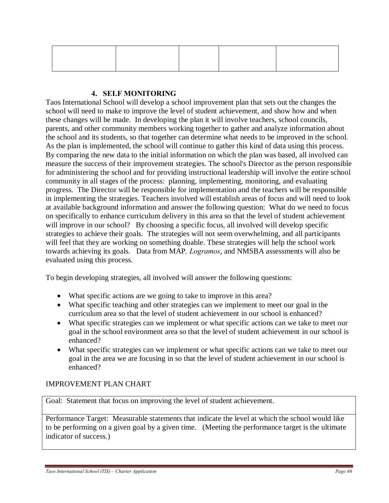#### **4. SELF MONITORING**

Taos International School will develop a school improvement plan that sets out the changes the school will need to make to improve the level of student achievement, and show how and when these changes will be made. In developing the plan it will involve teachers, school councils, parents, and other community members working together to gather and analyze information about the school and its students, so that together can determine what needs to be improved in the school. As the plan is implemented, the school will continue to gather this kind of data using this process. By comparing the new data to the initial information on which the plan was based, all involved can measure the success of their improvement strategies. The school's Director as the person responsible for administering the school and for providing instructional leadership will involve the entire school community in all stages of the process: planning, implementing, monitoring, and evaluating progress. The Director will be responsible for implementation and the teachers will be responsible in implementing the strategies. Teachers involved will establish areas of focus and will need to look at available background information and answer the following question: What do we need to focus on specifically to enhance curriculum delivery in this area so that the level of student achievement will improve in our school? By choosing a specific focus, all involved will develop specific strategies to achieve their goals. The strategies will not seem overwhelming, and all participants will feel that they are working on something doable. These strategies will help the school work towards achieving its goals. Data from MAP*, Logramos*, and NMSBA assessments will also be evaluated using this process.

To begin developing strategies, all involved will answer the following questions:

- What specific actions are we going to take to improve in this area?
- What specific teaching and other strategies can we implement to meet our goal in the curriculum area so that the level of student achievement in our school is enhanced?
- · What specific strategies can we implement or what specific actions can we take to meet our goal in the school environment area so that the level of student achievement in our school is enhanced?
- · What specific strategies can we implement or what specific actions can we take to meet our goal in the area we are focusing in so that the level of student achievement in our school is enhanced?

#### IMPROVEMENT PLAN CHART

Goal: Statement that focus on improving the level of student achievement.

Performance Target: Measurable statements that indicate the level at which the school would like to be performing on a given goal by a given time. (Meeting the performance target is the ultimate indicator of success.)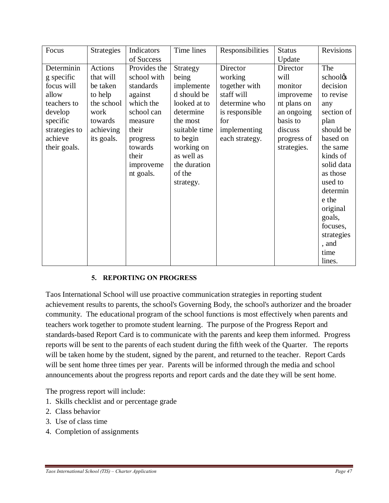| Focus         | <b>Strategies</b> | Indicators   | Time lines    | Responsibilities | <b>Status</b> | Revisions  |
|---------------|-------------------|--------------|---------------|------------------|---------------|------------|
|               |                   | of Success   |               |                  | Update        |            |
| Determinin    | Actions           | Provides the | Strategy      | Director         | Director      | The        |
| g specific    | that will         | school with  | being         | working          | will          | schoolos   |
| focus will    | be taken          | standards    | implemente    | together with    | monitor       | decision   |
| allow         | to help           | against      | d should be   | staff will       | improveme     | to revise  |
| teachers to   | the school        | which the    | looked at to  | determine who    | nt plans on   | any        |
| develop       | work              | school can   | determine     | is responsible   | an ongoing    | section of |
| specific      | towards           | measure      | the most      | for              | basis to      | plan       |
| strategies to | achieving         | their        | suitable time | implementing     | discuss       | should be  |
| achieve       | its goals.        | progress     | to begin      | each strategy.   | progress of   | based on   |
| their goals.  |                   | towards      | working on    |                  | strategies.   | the same   |
|               |                   | their        | as well as    |                  |               | kinds of   |
|               |                   | improveme    | the duration  |                  |               | solid data |
|               |                   | nt goals.    | of the        |                  |               | as those   |
|               |                   |              | strategy.     |                  |               | used to    |
|               |                   |              |               |                  |               | determin   |
|               |                   |              |               |                  |               | e the      |
|               |                   |              |               |                  |               | original   |
|               |                   |              |               |                  |               | goals,     |
|               |                   |              |               |                  |               | focuses,   |
|               |                   |              |               |                  |               | strategies |
|               |                   |              |               |                  |               | , and      |
|               |                   |              |               |                  |               | time       |
|               |                   |              |               |                  |               | lines.     |

### **5. REPORTING ON PROGRESS**

Taos International School will use proactive communication strategies in reporting student achievement results to parents, the school's Governing Body, the school's authorizer and the broader community. The educational program of the school functions is most effectively when parents and teachers work together to promote student learning. The purpose of the Progress Report and standards-based Report Card is to communicate with the parents and keep them informed. Progress reports will be sent to the parents of each student during the fifth week of the Quarter. The reports will be taken home by the student, signed by the parent, and returned to the teacher. Report Cards will be sent home three times per year. Parents will be informed through the media and school announcements about the progress reports and report cards and the date they will be sent home.

The progress report will include:

- 1. Skills checklist and or percentage grade
- 2. Class behavior
- 3. Use of class time
- 4. Completion of assignments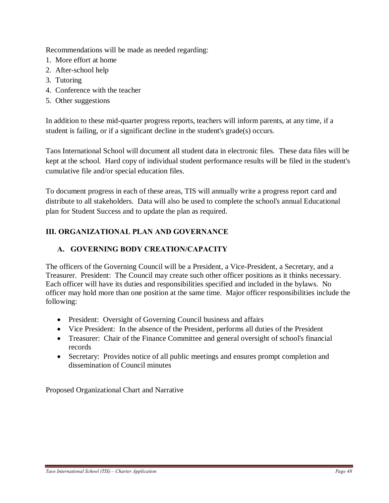Recommendations will be made as needed regarding:

- 1. More effort at home
- 2. After-school help
- 3. Tutoring
- 4. Conference with the teacher
- 5. Other suggestions

In addition to these mid-quarter progress reports, teachers will inform parents, at any time, if a student is failing, or if a significant decline in the student's grade(s) occurs.

Taos International School will document all student data in electronic files. These data files will be kept at the school. Hard copy of individual student performance results will be filed in the student's cumulative file and/or special education files.

To document progress in each of these areas, TIS will annually write a progress report card and distribute to all stakeholders. Data will also be used to complete the school's annual Educational plan for Student Success and to update the plan as required.

## **III. ORGANIZATIONAL PLAN AND GOVERNANCE**

## **A. GOVERNING BODY CREATION/CAPACITY**

The officers of the Governing Council will be a President, a Vice-President, a Secretary, and a Treasurer. President: The Council may create such other officer positions as it thinks necessary. Each officer will have its duties and responsibilities specified and included in the bylaws. No officer may hold more than one position at the same time. Major officer responsibilities include the following:

- President: Oversight of Governing Council business and affairs
- Vice President: In the absence of the President, performs all duties of the President
- Treasurer: Chair of the Finance Committee and general oversight of school's financial records
- Secretary: Provides notice of all public meetings and ensures prompt completion and dissemination of Council minutes

Proposed Organizational Chart and Narrative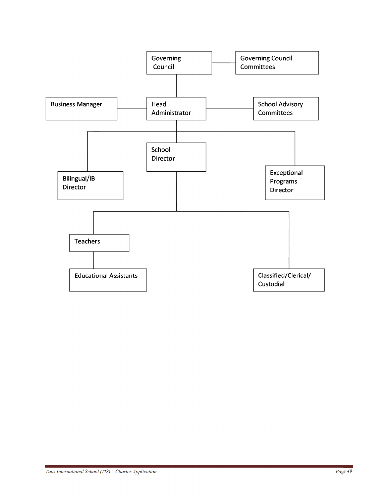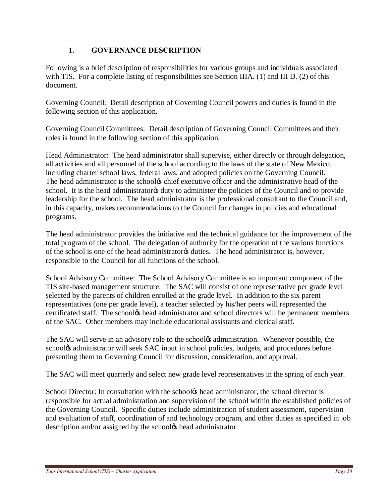### **1. GOVERNANCE DESCRIPTION**

Following is a brief description of responsibilities for various groups and individuals associated with TIS. For a complete listing of responsibilities see Section IIIA. (1) and III D. (2) of this document.

Governing Council: Detail description of Governing Council powers and duties is found in the following section of this application.

Governing Council Committees: Detail description of Governing Council Committees and their roles is found in the following section of this application.

Head Administrator: The head administrator shall supervise, either directly or through delegation, all activities and all personnel of the school according to the laws of the state of New Mexico, including charter school laws, federal laws, and adopted policies on the Governing Council. The head administrator is the school the fexecutive officer and the administrative head of the school. It is the head administrator is duty to administer the policies of the Council and to provide leadership for the school. The head administrator is the professional consultant to the Council and, in this capacity, makes recommendations to the Council for changes in policies and educational programs.

The head administrator provides the initiative and the technical guidance for the improvement of the total program of the school. The delegation of authority for the operation of the various functions of the school is one of the head administrator as duties. The head administrator is, however, responsible to the Council for all functions of the school.

School Advisory Committee: The School Advisory Committee is an important component of the TIS site-based management structure. The SAC will consist of one representative per grade level selected by the parents of children enrolled at the grade level. In addition to the six parent representatives (one per grade level), a teacher selected by his/her peers will represented the certificated staff. The school thead administrator and school directors will be permanent members of the SAC. Other members may include educational assistants and clerical staff.

The SAC will serve in an advisory role to the school to administration. Whenever possible, the schoolgs administrator will seek SAC input in school policies, budgets, and procedures before presenting them to Governing Council for discussion, consideration, and approval.

The SAC will meet quarterly and select new grade level representatives in the spring of each year.

School Director: In consultation with the school & head administrator, the school director is responsible for actual administration and supervision of the school within the established policies of the Governing Council. Specific duties include administration of student assessment, supervision and evaluation of staff, coordination of and technology program, and other duties as specified in job description and/or assigned by the school& head administrator.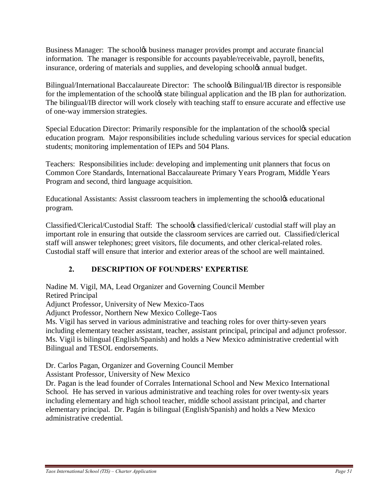Business Manager: The school to business manager provides prompt and accurate financial information. The manager is responsible for accounts payable/receivable, payroll, benefits, insurance, ordering of materials and supplies, and developing school $\alpha$  annual budget.

Bilingual/International Baccalaureate Director: The school & Bilingual/IB director is responsible for the implementation of the school ts state bilingual application and the IB plan for authorization. The bilingual/IB director will work closely with teaching staff to ensure accurate and effective use of one-way immersion strategies.

Special Education Director: Primarily responsible for the implantation of the school<sup> $\alpha$ </sup> special education program. Major responsibilities include scheduling various services for special education students; monitoring implementation of IEPs and 504 Plans.

Teachers: Responsibilities include: developing and implementing unit planners that focus on Common Core Standards, International Baccalaureate Primary Years Program, Middle Years Program and second, third language acquisition.

Educational Assistants: Assist classroom teachers in implementing the schooles educational program.

Classified/Clerical/Custodial Staff: The school& classified/clerical/ custodial staff will play an important role in ensuring that outside the classroom services are carried out. Classified/clerical staff will answer telephones; greet visitors, file documents, and other clerical-related roles. Custodial staff will ensure that interior and exterior areas of the school are well maintained.

## **2. DESCRIPTION OF FOUNDERS' EXPERTISE**

Nadine M. Vigil, MA, Lead Organizer and Governing Council Member

Retired Principal

Adjunct Professor, University of New Mexico-Taos

Adjunct Professor, Northern New Mexico College-Taos

Ms. Vigil has served in various administrative and teaching roles for over thirty-seven years including elementary teacher assistant, teacher, assistant principal, principal and adjunct professor. Ms. Vigil is bilingual (English/Spanish) and holds a New Mexico administrative credential with Bilingual and TESOL endorsements.

Dr. Carlos Pagan, Organizer and Governing Council Member

Assistant Professor, University of New Mexico

Dr. Pagan is the lead founder of Corrales International School and New Mexico International School. He has served in various administrative and teaching roles for over twenty-six years including elementary and high school teacher, middle school assistant principal, and charter elementary principal. Dr. Pagán is bilingual (English/Spanish) and holds a New Mexico administrative credential.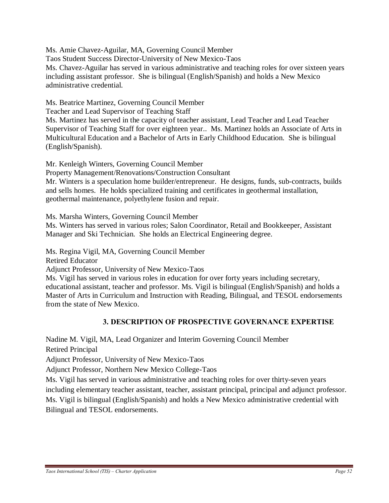Ms. Amie Chavez-Aguilar, MA, Governing Council Member Taos Student Success Director-University of New Mexico-Taos Ms. Chavez-Aguilar has served in various administrative and teaching roles for over sixteen years including assistant professor. She is bilingual (English/Spanish) and holds a New Mexico administrative credential.

Ms. Beatrice Martinez, Governing Council Member

Teacher and Lead Supervisor of Teaching Staff

Ms. Martinez has served in the capacity of teacher assistant, Lead Teacher and Lead Teacher Supervisor of Teaching Staff for over eighteen year.. Ms. Martinez holds an Associate of Arts in Multicultural Education and a Bachelor of Arts in Early Childhood Education. She is bilingual (English/Spanish).

Mr. Kenleigh Winters, Governing Council Member

Property Management/Renovations/Construction Consultant

Mr. Winters is a speculation home builder/entrepreneur. He designs, funds, sub-contracts, builds and sells homes. He holds specialized training and certificates in geothermal installation, geothermal maintenance, polyethylene fusion and repair.

Ms. Marsha Winters, Governing Council Member

Ms. Winters has served in various roles; Salon Coordinator, Retail and Bookkeeper, Assistant Manager and Ski Technician. She holds an Electrical Engineering degree.

Ms. Regina Vigil, MA, Governing Council Member

Retired Educator

Adjunct Professor, University of New Mexico-Taos

Ms. Vigil has served in various roles in education for over forty years including secretary, educational assistant, teacher and professor. Ms. Vigil is bilingual (English/Spanish) and holds a Master of Arts in Curriculum and Instruction with Reading, Bilingual, and TESOL endorsements from the state of New Mexico.

### **3. DESCRIPTION OF PROSPECTIVE GOVERNANCE EXPERTISE**

Nadine M. Vigil, MA, Lead Organizer and Interim Governing Council Member

Retired Principal

Adjunct Professor, University of New Mexico-Taos

Adjunct Professor, Northern New Mexico College-Taos

Ms. Vigil has served in various administrative and teaching roles for over thirty-seven years including elementary teacher assistant, teacher, assistant principal, principal and adjunct professor. Ms. Vigil is bilingual (English/Spanish) and holds a New Mexico administrative credential with Bilingual and TESOL endorsements.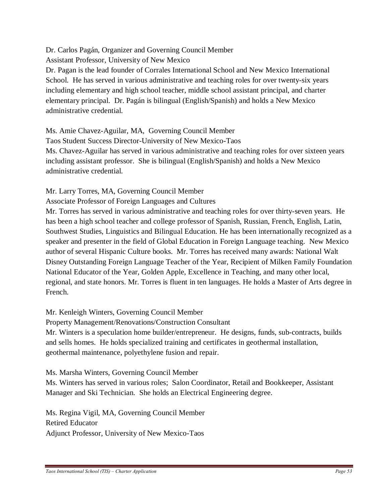Dr. Carlos Pagán, Organizer and Governing Council Member

Assistant Professor, University of New Mexico

Dr. Pagan is the lead founder of Corrales International School and New Mexico International School. He has served in various administrative and teaching roles for over twenty-six years including elementary and high school teacher, middle school assistant principal, and charter elementary principal. Dr. Pagán is bilingual (English/Spanish) and holds a New Mexico administrative credential.

Ms. Amie Chavez-Aguilar, MA, Governing Council Member

Taos Student Success Director-University of New Mexico-Taos

Ms. Chavez-Aguilar has served in various administrative and teaching roles for over sixteen years including assistant professor. She is bilingual (English/Spanish) and holds a New Mexico administrative credential.

Mr. Larry Torres, MA, Governing Council Member

Associate Professor of Foreign Languages and Cultures

Mr. Torres has served in various administrative and teaching roles for over thirty-seven years. He has been a high school teacher and college professor of Spanish, Russian, French, English, Latin, Southwest Studies, Linguistics and Bilingual Education. He has been internationally recognized as a speaker and presenter in the field of Global Education in Foreign Language teaching. New Mexico author of several Hispanic Culture books. Mr. Torres has received many awards: National Walt Disney Outstanding Foreign Language Teacher of the Year, Recipient of Milken Family Foundation National Educator of the Year, Golden Apple, Excellence in Teaching, and many other local, regional, and state honors. Mr. Torres is fluent in ten languages. He holds a Master of Arts degree in French.

Mr. Kenleigh Winters, Governing Council Member

Property Management/Renovations/Construction Consultant

Mr. Winters is a speculation home builder/entrepreneur. He designs, funds, sub-contracts, builds and sells homes. He holds specialized training and certificates in geothermal installation, geothermal maintenance, polyethylene fusion and repair.

Ms. Marsha Winters, Governing Council Member

Ms. Winters has served in various roles; Salon Coordinator, Retail and Bookkeeper, Assistant Manager and Ski Technician. She holds an Electrical Engineering degree.

Ms. Regina Vigil, MA, Governing Council Member Retired Educator Adjunct Professor, University of New Mexico-Taos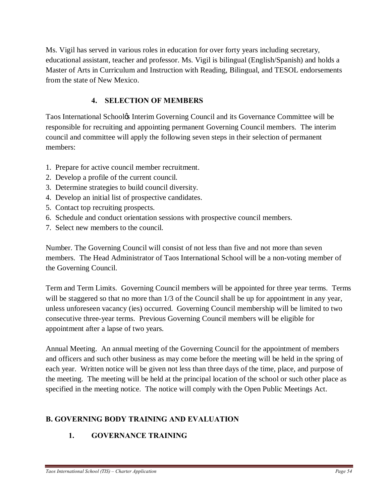Ms. Vigil has served in various roles in education for over forty years including secretary, educational assistant, teacher and professor. Ms. Vigil is bilingual (English/Spanish) and holds a Master of Arts in Curriculum and Instruction with Reading, Bilingual, and TESOL endorsements from the state of New Mexico.

### **4. SELECTION OF MEMBERS**

Taos International School's Interim Governing Council and its Governance Committee will be responsible for recruiting and appointing permanent Governing Council members. The interim council and committee will apply the following seven steps in their selection of permanent members:

- 1. Prepare for active council member recruitment.
- 2. Develop a profile of the current council.
- 3. Determine strategies to build council diversity.
- 4. Develop an initial list of prospective candidates.
- 5. Contact top recruiting prospects.
- 6. Schedule and conduct orientation sessions with prospective council members.
- 7. Select new members to the council.

Number. The Governing Council will consist of not less than five and not more than seven members. The Head Administrator of Taos International School will be a non-voting member of the Governing Council.

Term and Term Limits. Governing Council members will be appointed for three year terms. Terms will be staggered so that no more than  $1/3$  of the Council shall be up for appointment in any year, unless unforeseen vacancy (ies) occurred. Governing Council membership will be limited to two consecutive three-year terms. Previous Governing Council members will be eligible for appointment after a lapse of two years.

Annual Meeting. An annual meeting of the Governing Council for the appointment of members and officers and such other business as may come before the meeting will be held in the spring of each year. Written notice will be given not less than three days of the time, place, and purpose of the meeting. The meeting will be held at the principal location of the school or such other place as specified in the meeting notice. The notice will comply with the Open Public Meetings Act.

## **B. GOVERNING BODY TRAINING AND EVALUATION**

### **1. GOVERNANCE TRAINING**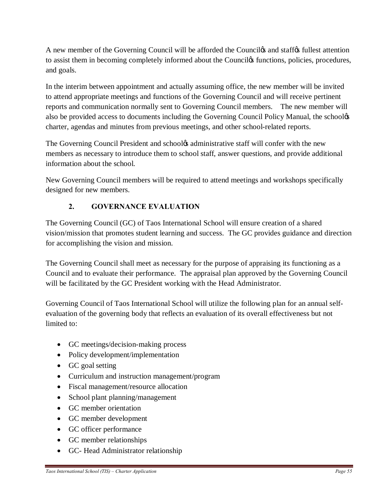A new member of the Governing Council will be afforded the Counciles and staffes fullest attention to assist them in becoming completely informed about the Counciles functions, policies, procedures, and goals.

In the interim between appointment and actually assuming office, the new member will be invited to attend appropriate meetings and functions of the Governing Council and will receive pertinent reports and communication normally sent to Governing Council members. The new member will also be provided access to documents including the Governing Council Policy Manual, the schooles charter, agendas and minutes from previous meetings, and other school-related reports.

The Governing Council President and school $\alpha$  administrative staff will confer with the new members as necessary to introduce them to school staff, answer questions, and provide additional information about the school.

New Governing Council members will be required to attend meetings and workshops specifically designed for new members.

## **2. GOVERNANCE EVALUATION**

The Governing Council (GC) of Taos International School will ensure creation of a shared vision/mission that promotes student learning and success. The GC provides guidance and direction for accomplishing the vision and mission.

The Governing Council shall meet as necessary for the purpose of appraising its functioning as a Council and to evaluate their performance. The appraisal plan approved by the Governing Council will be facilitated by the GC President working with the Head Administrator.

Governing Council of Taos International School will utilize the following plan for an annual selfevaluation of the governing body that reflects an evaluation of its overall effectiveness but not limited to:

- GC meetings/decision-making process
- Policy development/implementation
- GC goal setting
- · Curriculum and instruction management/program
- Fiscal management/resource allocation
- School plant planning/management
- · GC member orientation
- · GC member development
- · GC officer performance
- GC member relationships
- · GC- Head Administrator relationship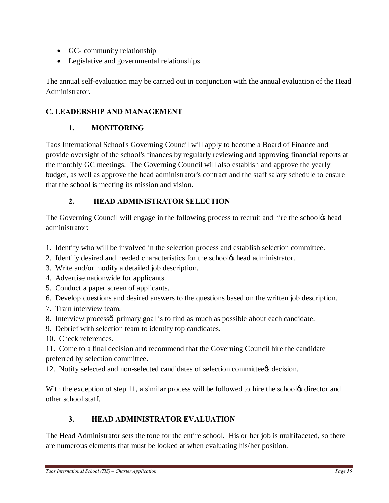- · GC- community relationship
- · Legislative and governmental relationships

The annual self-evaluation may be carried out in conjunction with the annual evaluation of the Head Administrator.

## **C. LEADERSHIP AND MANAGEMENT**

### **1. MONITORING**

Taos International School's Governing Council will apply to become a Board of Finance and provide oversight of the school's finances by regularly reviewing and approving financial reports at the monthly GC meetings. The Governing Council will also establish and approve the yearly budget, as well as approve the head administrator's contract and the staff salary schedule to ensure that the school is meeting its mission and vision.

## **2. HEAD ADMINISTRATOR SELECTION**

The Governing Council will engage in the following process to recruit and hire the school<sup>'s</sup> head administrator:

- 1. Identify who will be involved in the selection process and establish selection committee.
- 2. Identify desired and needed characteristics for the school $\alpha$  head administrator.
- 3. Write and/or modify a detailed job description.
- 4. Advertise nationwide for applicants.
- 5. Conduct a paper screen of applicants.
- 6. Develop questions and desired answers to the questions based on the written job description.
- 7. Train interview team.
- 8. Interview processô primary goal is to find as much as possible about each candidate.
- 9. Debrief with selection team to identify top candidates.
- 10. Check references.

11. Come to a final decision and recommend that the Governing Council hire the candidate preferred by selection committee.

12. Notify selected and non-selected candidates of selection committees decision.

With the exception of step 11, a similar process will be followed to hire the school& director and other school staff.

## **3. HEAD ADMINISTRATOR EVALUATION**

The Head Administrator sets the tone for the entire school. His or her job is multifaceted, so there are numerous elements that must be looked at when evaluating his/her position.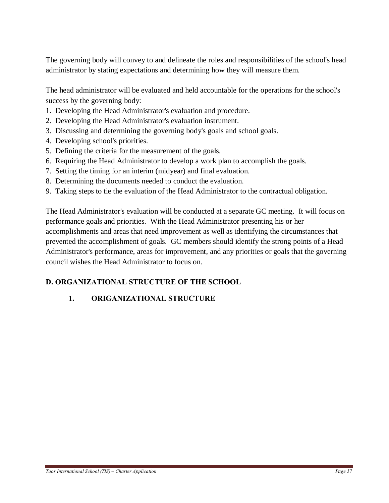The governing body will convey to and delineate the roles and responsibilities of the school's head administrator by stating expectations and determining how they will measure them.

The head administrator will be evaluated and held accountable for the operations for the school's success by the governing body:

- 1. Developing the Head Administrator's evaluation and procedure.
- 2. Developing the Head Administrator's evaluation instrument.
- 3. Discussing and determining the governing body's goals and school goals.
- 4. Developing school's priorities.
- 5. Defining the criteria for the measurement of the goals.
- 6. Requiring the Head Administrator to develop a work plan to accomplish the goals.
- 7. Setting the timing for an interim (midyear) and final evaluation.
- 8. Determining the documents needed to conduct the evaluation.
- 9. Taking steps to tie the evaluation of the Head Administrator to the contractual obligation.

The Head Administrator's evaluation will be conducted at a separate GC meeting. It will focus on performance goals and priorities. With the Head Administrator presenting his or her accomplishments and areas that need improvement as well as identifying the circumstances that prevented the accomplishment of goals. GC members should identify the strong points of a Head Administrator's performance, areas for improvement, and any priorities or goals that the governing council wishes the Head Administrator to focus on.

## **D. ORGANIZATIONAL STRUCTURE OF THE SCHOOL**

## **1. ORIGANIZATIONAL STRUCTURE**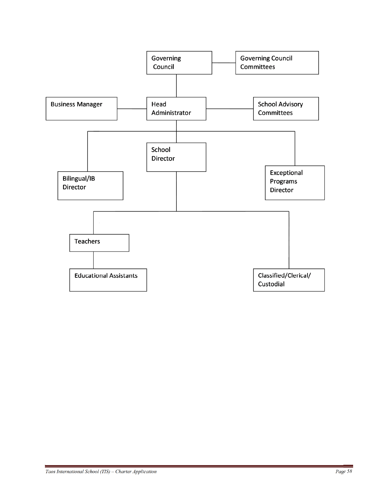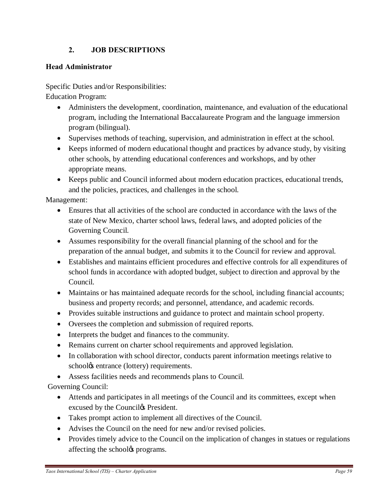### **2. JOB DESCRIPTIONS**

#### **Head Administrator**

Specific Duties and/or Responsibilities: Education Program:

- · Administers the development, coordination, maintenance, and evaluation of the educational program, including the International Baccalaureate Program and the language immersion program (bilingual).
- · Supervises methods of teaching, supervision, and administration in effect at the school.
- Keeps informed of modern educational thought and practices by advance study, by visiting other schools, by attending educational conferences and workshops, and by other appropriate means.
- · Keeps public and Council informed about modern education practices, educational trends, and the policies, practices, and challenges in the school.

Management:

- · Ensures that all activities of the school are conducted in accordance with the laws of the state of New Mexico, charter school laws, federal laws, and adopted policies of the Governing Council.
- · Assumes responsibility for the overall financial planning of the school and for the preparation of the annual budget, and submits it to the Council for review and approval.
- · Establishes and maintains efficient procedures and effective controls for all expenditures of school funds in accordance with adopted budget, subject to direction and approval by the Council.
- · Maintains or has maintained adequate records for the school, including financial accounts; business and property records; and personnel, attendance, and academic records.
- Provides suitable instructions and guidance to protect and maintain school property.
- · Oversees the completion and submission of required reports.
- · Interprets the budget and finances to the community.
- · Remains current on charter school requirements and approved legislation.
- · In collaboration with school director, conducts parent information meetings relative to school $\alpha$  entrance (lottery) requirements.
- · Assess facilities needs and recommends plans to Council.

Governing Council:

- · Attends and participates in all meetings of the Council and its committees, except when excused by the Council $\alpha$  President.
- · Takes prompt action to implement all directives of the Council.
- Advises the Council on the need for new and/or revised policies.
- · Provides timely advice to the Council on the implication of changes in statues or regulations affecting the school<sup>os</sup> programs.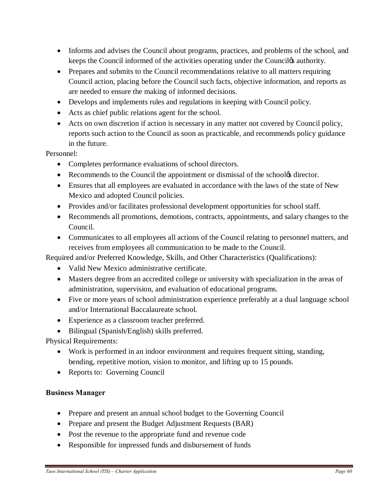- Informs and advises the Council about programs, practices, and problems of the school, and keeps the Council informed of the activities operating under the Council *of authority*.
- Prepares and submits to the Council recommendations relative to all matters requiring Council action, placing before the Council such facts, objective information, and reports as are needed to ensure the making of informed decisions.
- · Develops and implements rules and regulations in keeping with Council policy.
- Acts as chief public relations agent for the school.
- Acts on own discretion if action is necessary in any matter not covered by Council policy, reports such action to the Council as soon as practicable, and recommends policy guidance in the future.

Personnel:

- · Completes performance evaluations of school directors.
- Recommends to the Council the appointment or dismissal of the schoolog director.
- Ensures that all employees are evaluated in accordance with the laws of the state of New Mexico and adopted Council policies.
- · Provides and/or facilitates professional development opportunities for school staff.
- · Recommends all promotions, demotions, contracts, appointments, and salary changes to the Council.
- · Communicates to all employees all actions of the Council relating to personnel matters, and receives from employees all communication to be made to the Council.

Required and/or Preferred Knowledge, Skills, and Other Characteristics (Qualifications):

- · Valid New Mexico administrative certificate.
- · Masters degree from an accredited college or university with specialization in the areas of administration, supervision, and evaluation of educational programs.
- · Five or more years of school administration experience preferably at a dual language school and/or International Baccalaureate school.
- · Experience as a classroom teacher preferred.
- · Bilingual (Spanish/English) skills preferred.

Physical Requirements:

- · Work is performed in an indoor environment and requires frequent sitting, standing, bending, repetitive motion, vision to monitor, and lifting up to 15 pounds.
- Reports to: Governing Council

### **Business Manager**

- Prepare and present an annual school budget to the Governing Council
- Prepare and present the Budget Adjustment Requests (BAR)
- Post the revenue to the appropriate fund and revenue code
- Responsible for impressed funds and disbursement of funds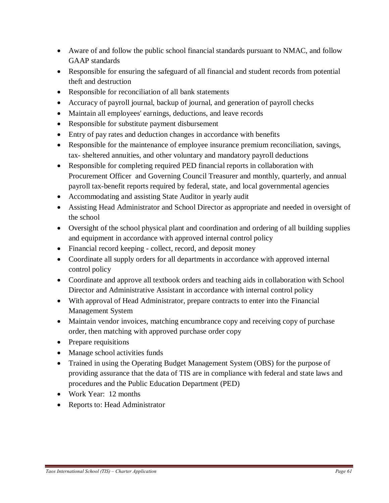- Aware of and follow the public school financial standards pursuant to NMAC, and follow GAAP standards
- · Responsible for ensuring the safeguard of all financial and student records from potential theft and destruction
- Responsible for reconciliation of all bank statements
- · Accuracy of payroll journal, backup of journal, and generation of payroll checks
- · Maintain all employees' earnings, deductions, and leave records
- Responsible for substitute payment disbursement
- · Entry of pay rates and deduction changes in accordance with benefits
- Responsible for the maintenance of employee insurance premium reconciliation, savings, tax- sheltered annuities, and other voluntary and mandatory payroll deductions
- · Responsible for completing required PED financial reports in collaboration with Procurement Officer and Governing Council Treasurer and monthly, quarterly, and annual payroll tax-benefit reports required by federal, state, and local governmental agencies
- Accommodating and assisting State Auditor in yearly audit
- Assisting Head Administrator and School Director as appropriate and needed in oversight of the school
- Oversight of the school physical plant and coordination and ordering of all building supplies and equipment in accordance with approved internal control policy
- Financial record keeping collect, record, and deposit money
- Coordinate all supply orders for all departments in accordance with approved internal control policy
- · Coordinate and approve all textbook orders and teaching aids in collaboration with School Director and Administrative Assistant in accordance with internal control policy
- · With approval of Head Administrator, prepare contracts to enter into the Financial Management System
- Maintain vendor invoices, matching encumbrance copy and receiving copy of purchase order, then matching with approved purchase order copy
- Prepare requisitions
- · Manage school activities funds
- · Trained in using the Operating Budget Management System (OBS) for the purpose of providing assurance that the data of TIS are in compliance with federal and state laws and procedures and the Public Education Department (PED)
- · Work Year: 12 months
- · Reports to: Head Administrator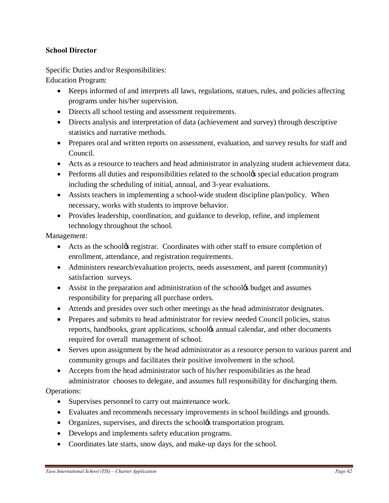#### **School Director**

Specific Duties and/or Responsibilities:

Education Program:

- · Keeps informed of and interprets all laws, regulations, statues, rules, and policies affecting programs under his/her supervision.
- · Directs all school testing and assessment requirements.
- · Directs analysis and interpretation of data (achievement and survey) through descriptive statistics and narrative methods.
- Prepares oral and written reports on assessment, evaluation, and survey results for staff and Council.
- · Acts as a resource to teachers and head administrator in analyzing student achievement data.
- Performs all duties and responsibilities related to the school *s* special education program including the scheduling of initial, annual, and 3-year evaluations.
- Assists teachers in implementing a school-wide student discipline plan/policy. When necessary, works with students to improve behavior.
- · Provides leadership, coordination, and guidance to develop, refine, and implement technology throughout the school.

Management:

- Acts as the schoolg registrar. Coordinates with other staff to ensure completion of enrollment, attendance, and registration requirements.
- Administers research/evaluation projects, needs assessment, and parent (community) satisfaction surveys.
- Assist in the preparation and administration of the school<sub>ofs</sub> budget and assumes responsibility for preparing all purchase orders.
- · Attends and presides over such other meetings as the head administrator designates.
- Prepares and submits to head administrator for review needed Council policies, status reports, handbooks, grant applications, schoolgs annual calendar, and other documents required for overall management of school.
- Serves upon assignment by the head administrator as a resource person to various parent and community groups and facilitates their positive involvement in the school.
- · Accepts from the head administrator such of his/her responsibilities as the head administrator chooses to delegate, and assumes full responsibility for discharging them.

### Operations:

- · Supervises personnel to carry out maintenance work.
- · Evaluates and recommends necessary improvements in school buildings and grounds.
- Organizes, supervises, and directs the schoolos transportation program.
- Develops and implements safety education programs.
- Coordinates late starts, snow days, and make-up days for the school.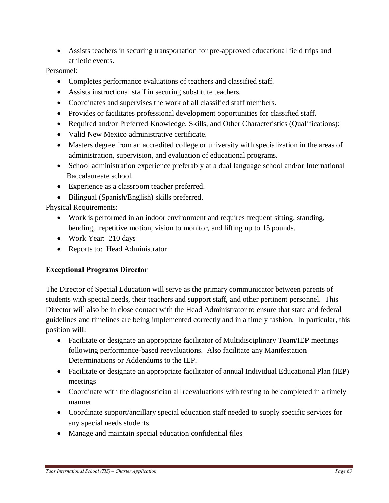· Assists teachers in securing transportation for pre-approved educational field trips and athletic events.

#### Personnel:

- Completes performance evaluations of teachers and classified staff.
- Assists instructional staff in securing substitute teachers.
- · Coordinates and supervises the work of all classified staff members.
- · Provides or facilitates professional development opportunities for classified staff.
- Required and/or Preferred Knowledge, Skills, and Other Characteristics (Qualifications):
- · Valid New Mexico administrative certificate.
- · Masters degree from an accredited college or university with specialization in the areas of administration, supervision, and evaluation of educational programs.
- School administration experience preferably at a dual language school and/or International Baccalaureate school.
- · Experience as a classroom teacher preferred.
- · Bilingual (Spanish/English) skills preferred.

Physical Requirements:

- · Work is performed in an indoor environment and requires frequent sitting, standing, bending, repetitive motion, vision to monitor, and lifting up to 15 pounds.
- · Work Year: 210 days
- · Reports to: Head Administrator

### **Exceptional Programs Director**

The Director of Special Education will serve as the primary communicator between parents of students with special needs, their teachers and support staff, and other pertinent personnel. This Director will also be in close contact with the Head Administrator to ensure that state and federal guidelines and timelines are being implemented correctly and in a timely fashion. In particular, this position will:

- · Facilitate or designate an appropriate facilitator of Multidisciplinary Team/IEP meetings following performance-based reevaluations. Also facilitate any Manifestation Determinations or Addendums to the IEP.
- Facilitate or designate an appropriate facilitator of annual Individual Educational Plan (IEP) meetings
- Coordinate with the diagnostician all reevaluations with testing to be completed in a timely manner
- · Coordinate support/ancillary special education staff needed to supply specific services for any special needs students
- Manage and maintain special education confidential files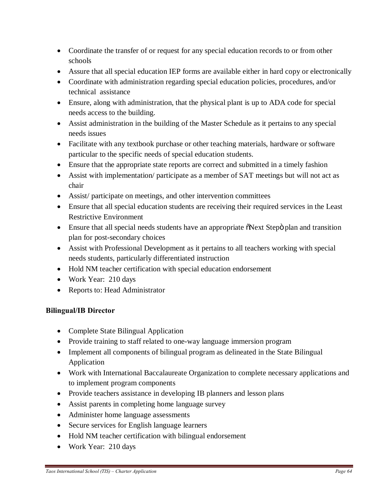- Coordinate the transfer of or request for any special education records to or from other schools
- Assure that all special education IEP forms are available either in hard copy or electronically
- · Coordinate with administration regarding special education policies, procedures, and/or technical assistance
- Ensure, along with administration, that the physical plant is up to ADA code for special needs access to the building.
- Assist administration in the building of the Master Schedule as it pertains to any special needs issues
- Facilitate with any textbook purchase or other teaching materials, hardware or software particular to the specific needs of special education students.
- Ensure that the appropriate state reports are correct and submitted in a timely fashion
- Assist with implementation/ participate as a member of SAT meetings but will not act as chair
- Assist/ participate on meetings, and other intervention committees
- · Ensure that all special education students are receiving their required services in the Least Restrictive Environment
- Ensure that all special needs students have an appropriate  $\delta$ Next Step $\ddot{o}$  plan and transition plan for post-secondary choices
- · Assist with Professional Development as it pertains to all teachers working with special needs students, particularly differentiated instruction
- · Hold NM teacher certification with special education endorsement
- Work Year: 210 days
- · Reports to: Head Administrator

### **Bilingual/IB Director**

- · Complete State Bilingual Application
- Provide training to staff related to one-way language immersion program
- Implement all components of bilingual program as delineated in the State Bilingual Application
- · Work with International Baccalaureate Organization to complete necessary applications and to implement program components
- Provide teachers assistance in developing IB planners and lesson plans
- Assist parents in completing home language survey
- Administer home language assessments
- · Secure services for English language learners
- Hold NM teacher certification with bilingual endorsement
- · Work Year: 210 days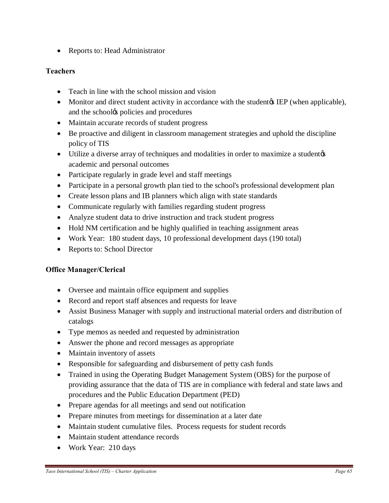• Reports to: Head Administrator

### **Teachers**

- Teach in line with the school mission and vision
- Monitor and direct student activity in accordance with the student (when applicable), and the schooles policies and procedures
- · Maintain accurate records of student progress
- · Be proactive and diligent in classroom management strategies and uphold the discipline policy of TIS
- Utilize a diverse array of techniques and modalities in order to maximize a student  $\alpha$ academic and personal outcomes
- Participate regularly in grade level and staff meetings
- Participate in a personal growth plan tied to the school's professional development plan
- Create lesson plans and IB planners which align with state standards
- · Communicate regularly with families regarding student progress
- Analyze student data to drive instruction and track student progress
- Hold NM certification and be highly qualified in teaching assignment areas
- · Work Year: 180 student days, 10 professional development days (190 total)
- Reports to: School Director

### **Office Manager/Clerical**

- · Oversee and maintain office equipment and supplies
- · Record and report staff absences and requests for leave
- Assist Business Manager with supply and instructional material orders and distribution of catalogs
- · Type memos as needed and requested by administration
- Answer the phone and record messages as appropriate
- Maintain inventory of assets
- Responsible for safeguarding and disbursement of petty cash funds
- Trained in using the Operating Budget Management System (OBS) for the purpose of providing assurance that the data of TIS are in compliance with federal and state laws and procedures and the Public Education Department (PED)
- · Prepare agendas for all meetings and send out notification
- Prepare minutes from meetings for dissemination at a later date
- · Maintain student cumulative files. Process requests for student records
- · Maintain student attendance records
- · Work Year: 210 days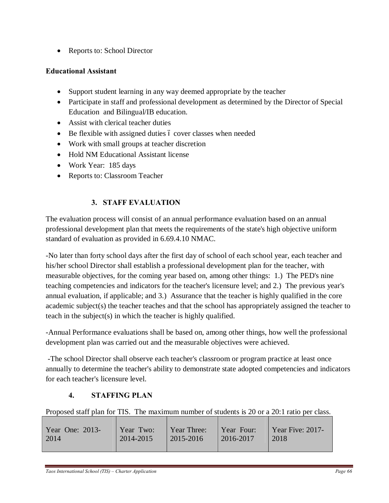• Reports to: School Director

### **Educational Assistant**

- Support student learning in any way deemed appropriate by the teacher
- · Participate in staff and professional development as determined by the Director of Special Education and Bilingual/IB education.
- Assist with clerical teacher duties
- $\bullet$  Be flexible with assigned duties 6 cover classes when needed
- Work with small groups at teacher discretion
- Hold NM Educational Assistant license
- · Work Year: 185 days
- · Reports to: Classroom Teacher

## **3. STAFF EVALUATION**

The evaluation process will consist of an annual performance evaluation based on an annual professional development plan that meets the requirements of the state's high objective uniform standard of evaluation as provided in 6.69.4.10 NMAC.

-No later than forty school days after the first day of school of each school year, each teacher and his/her school Director shall establish a professional development plan for the teacher, with measurable objectives, for the coming year based on, among other things: 1.) The PED's nine teaching competencies and indicators for the teacher's licensure level; and 2.) The previous year's annual evaluation, if applicable; and 3.) Assurance that the teacher is highly qualified in the core academic subject(s) the teacher teaches and that the school has appropriately assigned the teacher to teach in the subject(s) in which the teacher is highly qualified.

-Annual Performance evaluations shall be based on, among other things, how well the professional development plan was carried out and the measurable objectives were achieved.

-The school Director shall observe each teacher's classroom or program practice at least once annually to determine the teacher's ability to demonstrate state adopted competencies and indicators for each teacher's licensure level.

## **4. STAFFING PLAN**

Proposed staff plan for TIS. The maximum number of students is 20 or a 20:1 ratio per class.

| Year One: 2013- | Year Two: | Year Three: | <i>Year Four:</i> | $\vert$ Year Five: 2017- |
|-----------------|-----------|-------------|-------------------|--------------------------|
| 2014            | 2014-2015 | 2015-2016   | $\mid$ 2016-2017  | 2018                     |
|                 |           |             |                   |                          |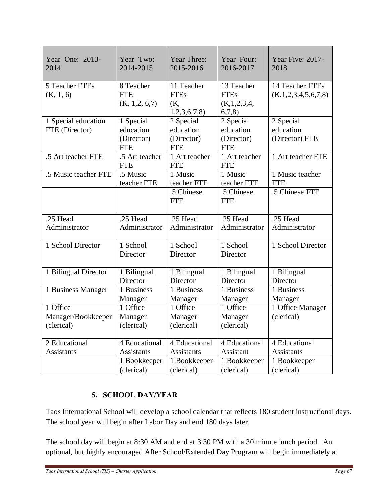| Year One: 2013-                              | Year Two:                                          | Year Three:                                        | Year Four:                                            | Year Five: 2017-                                |
|----------------------------------------------|----------------------------------------------------|----------------------------------------------------|-------------------------------------------------------|-------------------------------------------------|
| 2014                                         | 2014-2015                                          | 2015-2016                                          | 2016-2017                                             | 2018                                            |
| 5 Teacher FTEs<br>(K, 1, 6)                  | 8 Teacher<br><b>FTE</b><br>(K, 1, 2, 6, 7)         | 11 Teacher<br><b>FTEs</b><br>(K,<br>1,2,3,6,7,8    | 13 Teacher<br><b>FTEs</b><br>(K, 1, 2, 3, 4,<br>6,7,8 | 14 Teacher FTEs<br>(K, 1, 2, 3, 4, 5, 6, 7, 8)  |
| 1 Special education<br>FTE (Director)        | 1 Special<br>education<br>(Director)<br><b>FTE</b> | 2 Special<br>education<br>(Director)<br><b>FTE</b> | 2 Special<br>education<br>(Director)<br><b>FTE</b>    | 2 Special<br>education<br>(Director) FTE        |
| .5 Art teacher FTE                           | .5 Art teacher<br><b>FTE</b>                       | 1 Art teacher<br><b>FTE</b>                        | 1 Art teacher<br><b>FTE</b>                           | 1 Art teacher FTE                               |
| .5 Music teacher FTE                         | .5 Music<br>teacher FTE                            | 1 Music<br>teacher FTE<br>.5 Chinese<br><b>FTE</b> | 1 Music<br>teacher FTE<br>.5 Chinese<br><b>FTE</b>    | 1 Music teacher<br><b>FTE</b><br>.5 Chinese FTE |
| .25 Head                                     | .25 Head                                           | .25 Head                                           | .25 Head                                              | .25 Head                                        |
| Administrator                                | Administrator                                      | Administrator                                      | Administrator                                         | Administrator                                   |
| 1 School Director                            | 1 School<br>Director                               | 1 School<br>Director                               | 1 School<br>Director                                  | 1 School Director                               |
| 1 Bilingual Director                         | 1 Bilingual                                        | 1 Bilingual                                        | 1 Bilingual                                           | 1 Bilingual                                     |
|                                              | Director                                           | Director                                           | Director                                              | Director                                        |
| 1 Business Manager                           | 1 Business                                         | $\overline{1}$ Business                            | 1 Business                                            | 1 Business                                      |
|                                              | Manager                                            | Manager                                            | Manager                                               | Manager                                         |
| 1 Office<br>Manager/Bookkeeper<br>(clerical) | 1 Office<br>Manager<br>(clerical)                  | 1 Office<br>Manager<br>(clerical)                  | 1 Office<br>Manager<br>(clerical)                     | 1 Office Manager<br>(clerical)                  |
| 2 Educational                                | 4 Educational                                      | 4 Educational                                      | 4 Educational                                         | 4 Educational                                   |
| <b>Assistants</b>                            | Assistants                                         | Assistants                                         | Assistant                                             | Assistants                                      |
|                                              | 1 Bookkeeper                                       | 1 Bookkeeper                                       | 1 Bookkeeper                                          | 1 Bookkeeper                                    |
|                                              | (clerical)                                         | (clerical)                                         | (clerical)                                            | (clerical)                                      |

## **5. SCHOOL DAY/YEAR**

Taos International School will develop a school calendar that reflects 180 student instructional days. The school year will begin after Labor Day and end 180 days later.

The school day will begin at 8:30 AM and end at 3:30 PM with a 30 minute lunch period. An optional, but highly encouraged After School/Extended Day Program will begin immediately at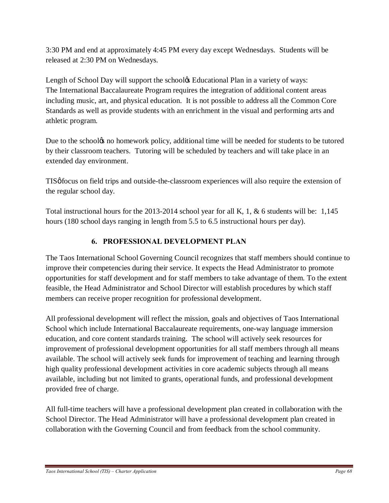3:30 PM and end at approximately 4:45 PM every day except Wednesdays. Students will be released at 2:30 PM on Wednesdays.

Length of School Day will support the school **Exercity** Educational Plan in a variety of ways: The International Baccalaureate Program requires the integration of additional content areas including music, art, and physical education. It is not possible to address all the Common Core Standards as well as provide students with an enrichment in the visual and performing arts and athletic program.

Due to the schoolgs no homework policy, additional time will be needed for students to be tutored by their classroom teachers. Tutoring will be scheduled by teachers and will take place in an extended day environment.

TIS of focus on field trips and outside-the-classroom experiences will also require the extension of the regular school day.

Total instructional hours for the 2013-2014 school year for all K, 1, & 6 students will be: 1,145 hours (180 school days ranging in length from 5.5 to 6.5 instructional hours per day).

## **6. PROFESSIONAL DEVELOPMENT PLAN**

The Taos International School Governing Council recognizes that staff members should continue to improve their competencies during their service. It expects the Head Administrator to promote opportunities for staff development and for staff members to take advantage of them. To the extent feasible, the Head Administrator and School Director will establish procedures by which staff members can receive proper recognition for professional development.

All professional development will reflect the mission, goals and objectives of Taos International School which include International Baccalaureate requirements, one-way language immersion education, and core content standards training. The school will actively seek resources for improvement of professional development opportunities for all staff members through all means available. The school will actively seek funds for improvement of teaching and learning through high quality professional development activities in core academic subjects through all means available, including but not limited to grants, operational funds, and professional development provided free of charge.

All full-time teachers will have a professional development plan created in collaboration with the School Director. The Head Administrator will have a professional development plan created in collaboration with the Governing Council and from feedback from the school community.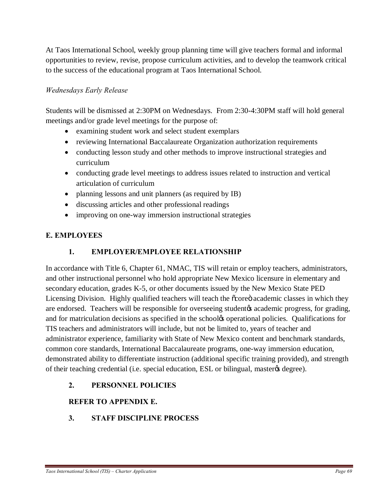At Taos International School, weekly group planning time will give teachers formal and informal opportunities to review, revise, propose curriculum activities, and to develop the teamwork critical to the success of the educational program at Taos International School.

### *Wednesdays Early Release*

Students will be dismissed at 2:30PM on Wednesdays. From 2:30-4:30PM staff will hold general meetings and/or grade level meetings for the purpose of:

- · examining student work and select student exemplars
- · reviewing International Baccalaureate Organization authorization requirements
- · conducting lesson study and other methods to improve instructional strategies and curriculum
- conducting grade level meetings to address issues related to instruction and vertical articulation of curriculum
- planning lessons and unit planners (as required by IB)
- discussing articles and other professional readings
- improving on one-way immersion instructional strategies

### **E. EMPLOYEES**

### **1. EMPLOYER/EMPLOYEE RELATIONSHIP**

In accordance with Title 6, Chapter 61, NMAC, TIS will retain or employ teachers, administrators, and other instructional personnel who hold appropriate New Mexico licensure in elementary and secondary education, grades K-5, or other documents issued by the New Mexico State PED Licensing Division. Highly qualified teachers will teach the  $\tilde{\alpha}$  core academic classes in which they are endorsed. Teachers will be responsible for overseeing student to academic progress, for grading, and for matriculation decisions as specified in the school to operational policies. Qualifications for TIS teachers and administrators will include, but not be limited to, years of teacher and administrator experience, familiarity with State of New Mexico content and benchmark standards, common core standards, International Baccalaureate programs, one-way immersion education, demonstrated ability to differentiate instruction (additional specific training provided), and strength of their teaching credential (i.e. special education, ESL or bilingual, master  $\alpha$  degree).

**2. PERSONNEL POLICIES**

### **REFER TO APPENDIX E.**

**3. STAFF DISCIPLINE PROCESS**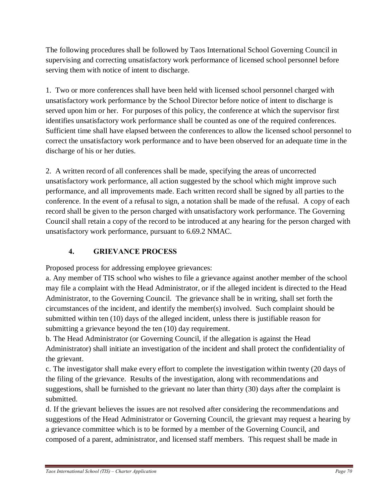The following procedures shall be followed by Taos International School Governing Council in supervising and correcting unsatisfactory work performance of licensed school personnel before serving them with notice of intent to discharge.

1. Two or more conferences shall have been held with licensed school personnel charged with unsatisfactory work performance by the School Director before notice of intent to discharge is served upon him or her. For purposes of this policy, the conference at which the supervisor first identifies unsatisfactory work performance shall be counted as one of the required conferences. Sufficient time shall have elapsed between the conferences to allow the licensed school personnel to correct the unsatisfactory work performance and to have been observed for an adequate time in the discharge of his or her duties.

2. A written record of all conferences shall be made, specifying the areas of uncorrected unsatisfactory work performance, all action suggested by the school which might improve such performance, and all improvements made. Each written record shall be signed by all parties to the conference. In the event of a refusal to sign, a notation shall be made of the refusal. A copy of each record shall be given to the person charged with unsatisfactory work performance. The Governing Council shall retain a copy of the record to be introduced at any hearing for the person charged with unsatisfactory work performance, pursuant to 6.69.2 NMAC.

# **4. GRIEVANCE PROCESS**

Proposed process for addressing employee grievances:

a. Any member of TIS school who wishes to file a grievance against another member of the school may file a complaint with the Head Administrator, or if the alleged incident is directed to the Head Administrator, to the Governing Council. The grievance shall be in writing, shall set forth the circumstances of the incident, and identify the member(s) involved. Such complaint should be submitted within ten (10) days of the alleged incident, unless there is justifiable reason for submitting a grievance beyond the ten  $(10)$  day requirement.

b. The Head Administrator (or Governing Council, if the allegation is against the Head Administrator) shall initiate an investigation of the incident and shall protect the confidentiality of the grievant.

c. The investigator shall make every effort to complete the investigation within twenty (20 days of the filing of the grievance. Results of the investigation, along with recommendations and suggestions, shall be furnished to the grievant no later than thirty (30) days after the complaint is submitted.

d. If the grievant believes the issues are not resolved after considering the recommendations and suggestions of the Head Administrator or Governing Council, the grievant may request a hearing by a grievance committee which is to be formed by a member of the Governing Council, and composed of a parent, administrator, and licensed staff members. This request shall be made in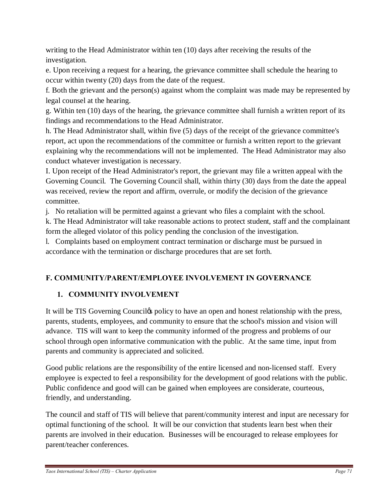writing to the Head Administrator within ten (10) days after receiving the results of the investigation.

e. Upon receiving a request for a hearing, the grievance committee shall schedule the hearing to occur within twenty (20) days from the date of the request.

f. Both the grievant and the person(s) against whom the complaint was made may be represented by legal counsel at the hearing.

g. Within ten (10) days of the hearing, the grievance committee shall furnish a written report of its findings and recommendations to the Head Administrator.

h. The Head Administrator shall, within five (5) days of the receipt of the grievance committee's report, act upon the recommendations of the committee or furnish a written report to the grievant explaining why the recommendations will not be implemented. The Head Administrator may also conduct whatever investigation is necessary.

I. Upon receipt of the Head Administrator's report, the grievant may file a written appeal with the Governing Council. The Governing Council shall, within thirty (30) days from the date the appeal was received, review the report and affirm, overrule, or modify the decision of the grievance committee.

j. No retaliation will be permitted against a grievant who files a complaint with the school.

k. The Head Administrator will take reasonable actions to protect student, staff and the complainant form the alleged violator of this policy pending the conclusion of the investigation.

l. Complaints based on employment contract termination or discharge must be pursued in accordance with the termination or discharge procedures that are set forth.

# **F. COMMUNITY/PARENT/EMPLOYEE INVOLVEMENT IN GOVERNANCE**

## **1. COMMUNITY INVOLVEMENT**

It will be TIS Governing Counciles policy to have an open and honest relationship with the press, parents, students, employees, and community to ensure that the school's mission and vision will advance. TIS will want to keep the community informed of the progress and problems of our school through open informative communication with the public. At the same time, input from parents and community is appreciated and solicited.

Good public relations are the responsibility of the entire licensed and non-licensed staff. Every employee is expected to feel a responsibility for the development of good relations with the public. Public confidence and good will can be gained when employees are considerate, courteous, friendly, and understanding.

The council and staff of TIS will believe that parent/community interest and input are necessary for optimal functioning of the school. It will be our conviction that students learn best when their parents are involved in their education. Businesses will be encouraged to release employees for parent/teacher conferences.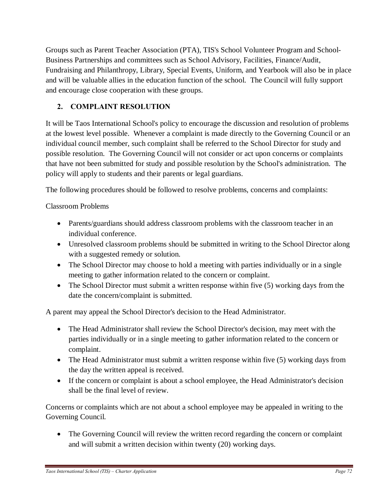Groups such as Parent Teacher Association (PTA), TIS's School Volunteer Program and School-Business Partnerships and committees such as School Advisory, Facilities, Finance/Audit, Fundraising and Philanthropy, Library, Special Events, Uniform, and Yearbook will also be in place and will be valuable allies in the education function of the school. The Council will fully support and encourage close cooperation with these groups.

## **2. COMPLAINT RESOLUTION**

It will be Taos International School's policy to encourage the discussion and resolution of problems at the lowest level possible. Whenever a complaint is made directly to the Governing Council or an individual council member, such complaint shall be referred to the School Director for study and possible resolution. The Governing Council will not consider or act upon concerns or complaints that have not been submitted for study and possible resolution by the School's administration. The policy will apply to students and their parents or legal guardians.

The following procedures should be followed to resolve problems, concerns and complaints:

### Classroom Problems

- · Parents/guardians should address classroom problems with the classroom teacher in an individual conference.
- · Unresolved classroom problems should be submitted in writing to the School Director along with a suggested remedy or solution.
- The School Director may choose to hold a meeting with parties individually or in a single meeting to gather information related to the concern or complaint.
- The School Director must submit a written response within five (5) working days from the date the concern/complaint is submitted.

A parent may appeal the School Director's decision to the Head Administrator.

- The Head Administrator shall review the School Director's decision, may meet with the parties individually or in a single meeting to gather information related to the concern or complaint.
- The Head Administrator must submit a written response within five (5) working days from the day the written appeal is received.
- If the concern or complaint is about a school employee, the Head Administrator's decision shall be the final level of review.

Concerns or complaints which are not about a school employee may be appealed in writing to the Governing Council.

• The Governing Council will review the written record regarding the concern or complaint and will submit a written decision within twenty (20) working days.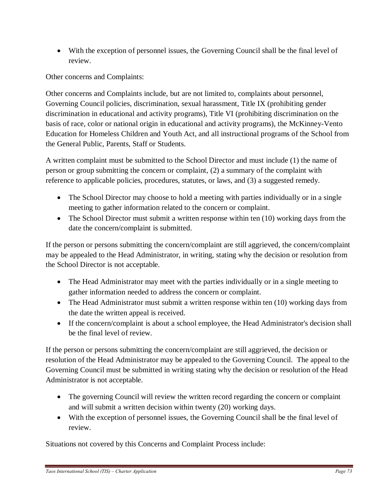• With the exception of personnel issues, the Governing Council shall be the final level of review.

Other concerns and Complaints:

Other concerns and Complaints include, but are not limited to, complaints about personnel, Governing Council policies, discrimination, sexual harassment, Title IX (prohibiting gender discrimination in educational and activity programs), Title VI (prohibiting discrimination on the basis of race, color or national origin in educational and activity programs), the McKinney-Vento Education for Homeless Children and Youth Act, and all instructional programs of the School from the General Public, Parents, Staff or Students.

A written complaint must be submitted to the School Director and must include (1) the name of person or group submitting the concern or complaint, (2) a summary of the complaint with reference to applicable policies, procedures, statutes, or laws, and (3) a suggested remedy.

- The School Director may choose to hold a meeting with parties individually or in a single meeting to gather information related to the concern or complaint.
- The School Director must submit a written response within ten (10) working days from the date the concern/complaint is submitted.

If the person or persons submitting the concern/complaint are still aggrieved, the concern/complaint may be appealed to the Head Administrator, in writing, stating why the decision or resolution from the School Director is not acceptable.

- The Head Administrator may meet with the parties individually or in a single meeting to gather information needed to address the concern or complaint.
- The Head Administrator must submit a written response within ten (10) working days from the date the written appeal is received.
- · If the concern/complaint is about a school employee, the Head Administrator's decision shall be the final level of review.

If the person or persons submitting the concern/complaint are still aggrieved, the decision or resolution of the Head Administrator may be appealed to the Governing Council. The appeal to the Governing Council must be submitted in writing stating why the decision or resolution of the Head Administrator is not acceptable.

- The governing Council will review the written record regarding the concern or complaint and will submit a written decision within twenty (20) working days.
- With the exception of personnel issues, the Governing Council shall be the final level of review.

Situations not covered by this Concerns and Complaint Process include: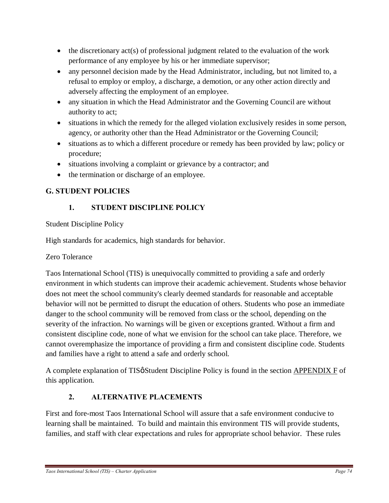- $\bullet$  the discretionary act(s) of professional judgment related to the evaluation of the work performance of any employee by his or her immediate supervisor;
- any personnel decision made by the Head Administrator, including, but not limited to, a refusal to employ or employ, a discharge, a demotion, or any other action directly and adversely affecting the employment of an employee.
- any situation in which the Head Administrator and the Governing Council are without authority to act;
- · situations in which the remedy for the alleged violation exclusively resides in some person, agency, or authority other than the Head Administrator or the Governing Council;
- · situations as to which a different procedure or remedy has been provided by law; policy or procedure;
- situations involving a complaint or grievance by a contractor; and
- the termination or discharge of an employee.

## **G. STUDENT POLICIES**

## **1. STUDENT DISCIPLINE POLICY**

Student Discipline Policy

High standards for academics, high standards for behavior.

## Zero Tolerance

Taos International School (TIS) is unequivocally committed to providing a safe and orderly environment in which students can improve their academic achievement. Students whose behavior does not meet the school community's clearly deemed standards for reasonable and acceptable behavior will not be permitted to disrupt the education of others. Students who pose an immediate danger to the school community will be removed from class or the school, depending on the severity of the infraction. No warnings will be given or exceptions granted. Without a firm and consistent discipline code, none of what we envision for the school can take place. Therefore, we cannot overemphasize the importance of providing a firm and consistent discipline code. Students and families have a right to attend a safe and orderly school.

A complete explanation of TIS<sup> $\alpha$ </sup> Student Discipline Policy is found in the section APPENDIX F of this application.

## **2. ALTERNATIVE PLACEMENTS**

First and fore-most Taos International School will assure that a safe environment conducive to learning shall be maintained. To build and maintain this environment TIS will provide students, families, and staff with clear expectations and rules for appropriate school behavior. These rules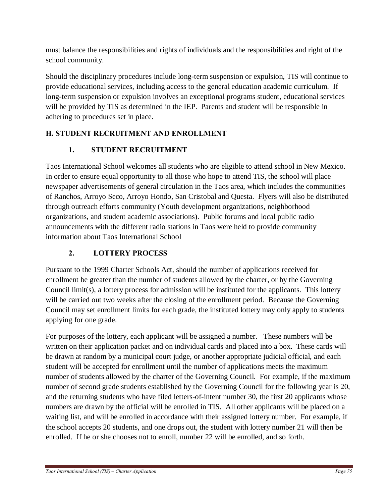must balance the responsibilities and rights of individuals and the responsibilities and right of the school community.

Should the disciplinary procedures include long-term suspension or expulsion, TIS will continue to provide educational services, including access to the general education academic curriculum. If long-term suspension or expulsion involves an exceptional programs student, educational services will be provided by TIS as determined in the IEP. Parents and student will be responsible in adhering to procedures set in place.

# **H. STUDENT RECRUITMENT AND ENROLLMENT**

## **1. STUDENT RECRUITMENT**

Taos International School welcomes all students who are eligible to attend school in New Mexico. In order to ensure equal opportunity to all those who hope to attend TIS, the school will place newspaper advertisements of general circulation in the Taos area, which includes the communities of Ranchos, Arroyo Seco, Arroyo Hondo, San Cristobal and Questa. Flyers will also be distributed through outreach efforts community (Youth development organizations, neighborhood organizations, and student academic associations). Public forums and local public radio announcements with the different radio stations in Taos were held to provide community information about Taos International School

# **2. LOTTERY PROCESS**

Pursuant to the 1999 Charter Schools Act, should the number of applications received for enrollment be greater than the number of students allowed by the charter, or by the Governing Council limit(s), a lottery process for admission will be instituted for the applicants. This lottery will be carried out two weeks after the closing of the enrollment period. Because the Governing Council may set enrollment limits for each grade, the instituted lottery may only apply to students applying for one grade.

For purposes of the lottery, each applicant will be assigned a number. These numbers will be written on their application packet and on individual cards and placed into a box. These cards will be drawn at random by a municipal court judge, or another appropriate judicial official, and each student will be accepted for enrollment until the number of applications meets the maximum number of students allowed by the charter of the Governing Council. For example, if the maximum number of second grade students established by the Governing Council for the following year is 20, and the returning students who have filed letters-of-intent number 30, the first 20 applicants whose numbers are drawn by the official will be enrolled in TIS. All other applicants will be placed on a waiting list, and will be enrolled in accordance with their assigned lottery number. For example, if the school accepts 20 students, and one drops out, the student with lottery number 21 will then be enrolled. If he or she chooses not to enroll, number 22 will be enrolled, and so forth.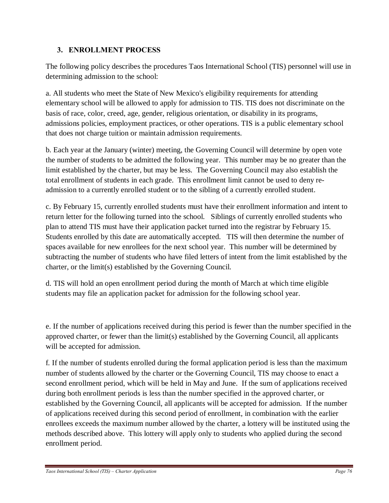#### **3. ENROLLMENT PROCESS**

The following policy describes the procedures Taos International School (TIS) personnel will use in determining admission to the school:

a. All students who meet the State of New Mexico's eligibility requirements for attending elementary school will be allowed to apply for admission to TIS. TIS does not discriminate on the basis of race, color, creed, age, gender, religious orientation, or disability in its programs, admissions policies, employment practices, or other operations. TIS is a public elementary school that does not charge tuition or maintain admission requirements.

b. Each year at the January (winter) meeting, the Governing Council will determine by open vote the number of students to be admitted the following year. This number may be no greater than the limit established by the charter, but may be less. The Governing Council may also establish the total enrollment of students in each grade. This enrollment limit cannot be used to deny readmission to a currently enrolled student or to the sibling of a currently enrolled student.

c. By February 15, currently enrolled students must have their enrollment information and intent to return letter for the following turned into the school. Siblings of currently enrolled students who plan to attend TIS must have their application packet turned into the registrar by February 15. Students enrolled by this date are automatically accepted. TIS will then determine the number of spaces available for new enrollees for the next school year. This number will be determined by subtracting the number of students who have filed letters of intent from the limit established by the charter, or the limit(s) established by the Governing Council.

d. TIS will hold an open enrollment period during the month of March at which time eligible students may file an application packet for admission for the following school year.

e. If the number of applications received during this period is fewer than the number specified in the approved charter, or fewer than the limit(s) established by the Governing Council, all applicants will be accepted for admission.

f. If the number of students enrolled during the formal application period is less than the maximum number of students allowed by the charter or the Governing Council, TIS may choose to enact a second enrollment period, which will be held in May and June. If the sum of applications received during both enrollment periods is less than the number specified in the approved charter, or established by the Governing Council, all applicants will be accepted for admission. If the number of applications received during this second period of enrollment, in combination with the earlier enrollees exceeds the maximum number allowed by the charter, a lottery will be instituted using the methods described above. This lottery will apply only to students who applied during the second enrollment period.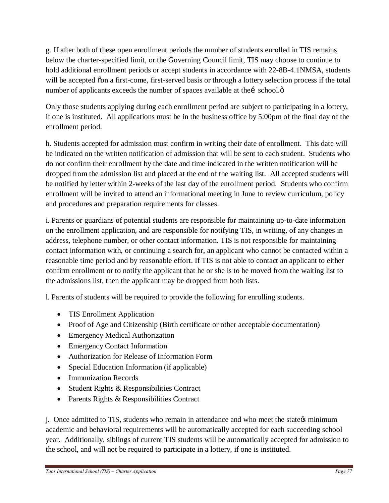g. If after both of these open enrollment periods the number of students enrolled in TIS remains below the charter-specified limit, or the Governing Council limit, TIS may choose to continue to hold additional enrollment periods or accept students in accordance with 22-8B-4.1NMSA, students will be accepted  $\tilde{\text{oon}}$  a first-come, first-served basis or through a lottery selection process if the total number of applicants exceeds the number of spaces available at thei school. $\ddot{o}$ 

Only those students applying during each enrollment period are subject to participating in a lottery, if one is instituted. All applications must be in the business office by 5:00pm of the final day of the enrollment period.

h. Students accepted for admission must confirm in writing their date of enrollment. This date will be indicated on the written notification of admission that will be sent to each student. Students who do not confirm their enrollment by the date and time indicated in the written notification will be dropped from the admission list and placed at the end of the waiting list. All accepted students will be notified by letter within 2-weeks of the last day of the enrollment period. Students who confirm enrollment will be invited to attend an informational meeting in June to review curriculum, policy and procedures and preparation requirements for classes.

i. Parents or guardians of potential students are responsible for maintaining up-to-date information on the enrollment application, and are responsible for notifying TIS, in writing, of any changes in address, telephone number, or other contact information. TIS is not responsible for maintaining contact information with, or continuing a search for, an applicant who cannot be contacted within a reasonable time period and by reasonable effort. If TIS is not able to contact an applicant to either confirm enrollment or to notify the applicant that he or she is to be moved from the waiting list to the admissions list, then the applicant may be dropped from both lists.

l. Parents of students will be required to provide the following for enrolling students.

- · TIS Enrollment Application
- · Proof of Age and Citizenship (Birth certificate or other acceptable documentation)
- Emergency Medical Authorization
- Emergency Contact Information
- · Authorization for Release of Information Form
- Special Education Information (if applicable)
- Immunization Records
- Student Rights & Responsibilities Contract
- Parents Rights & Responsibilities Contract

j. Once admitted to TIS, students who remain in attendance and who meet the state  $\alpha$  minimum academic and behavioral requirements will be automatically accepted for each succeeding school year. Additionally, siblings of current TIS students will be automatically accepted for admission to the school, and will not be required to participate in a lottery, if one is instituted.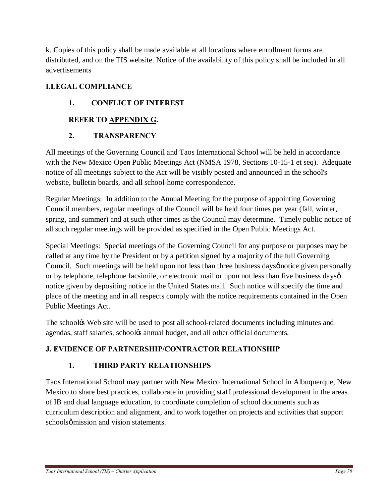k. Copies of this policy shall be made available at all locations where enrollment forms are distributed, and on the TIS website. Notice of the availability of this policy shall be included in all advertisements

## **I.LEGAL COMPLIANCE**

### **1. CONFLICT OF INTEREST**

#### **REFER TO APPENDIX G.**

#### **2. TRANSPARENCY**

All meetings of the Governing Council and Taos International School will be held in accordance with the New Mexico Open Public Meetings Act (NMSA 1978, Sections 10-15-1 et seq). Adequate notice of all meetings subject to the Act will be visibly posted and announced in the school's website, bulletin boards, and all school-home correspondence.

Regular Meetings: In addition to the Annual Meeting for the purpose of appointing Governing Council members, regular meetings of the Council will be held four times per year (fall, winter, spring, and summer) and at such other times as the Council may determine. Timely public notice of all such regular meetings will be provided as specified in the Open Public Meetings Act.

Special Meetings: Special meetings of the Governing Council for any purpose or purposes may be called at any time by the President or by a petition signed by a majority of the full Governing Council. Such meetings will be held upon not less than three business days position personally or by telephone, telephone facsimile, or electronic mail or upon not less than five business dayso notice given by depositing notice in the United States mail. Such notice will specify the time and place of the meeting and in all respects comply with the notice requirements contained in the Open Public Meetings Act.

The schoolgs Web site will be used to post all school-related documents including minutes and agendas, staff salaries, school $\alpha$  annual budget, and all other official documents.

## **J. EVIDENCE OF PARTNERSHIP/CONTRACTOR RELATIONSHIP**

## **1. THIRD PARTY RELATIONSHIPS**

Taos International School may partner with New Mexico International School in Albuquerque, New Mexico to share best practices, collaborate in providing staff professional development in the areas of IB and dual language education, to coordinate completion of school documents such as curriculum description and alignment, and to work together on projects and activities that support schools  $\phi$  mission and vision statements.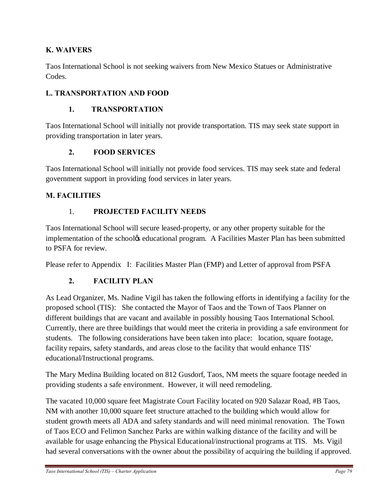### **K. WAIVERS**

Taos International School is not seeking waivers from New Mexico Statues or Administrative Codes.

### **L. TRANSPORTATION AND FOOD**

#### **1. TRANSPORTATION**

Taos International School will initially not provide transportation. TIS may seek state support in providing transportation in later years.

#### **2. FOOD SERVICES**

Taos International School will initially not provide food services. TIS may seek state and federal government support in providing food services in later years.

#### **M. FACILITIES**

#### 1. **PROJECTED FACILITY NEEDS**

Taos International School will secure leased-property, or any other property suitable for the implementation of the schoolgs educational program. A Facilities Master Plan has been submitted to PSFA for review.

Please refer to Appendix I: Facilities Master Plan (FMP) and Letter of approval from PSFA

#### **2. FACILITY PLAN**

As Lead Organizer, Ms. Nadine Vigil has taken the following efforts in identifying a facility for the proposed school (TIS): She contacted the Mayor of Taos and the Town of Taos Planner on different buildings that are vacant and available in possibly housing Taos International School. Currently, there are three buildings that would meet the criteria in providing a safe environment for students. The following considerations have been taken into place: location, square footage, facility repairs, safety standards, and areas close to the facility that would enhance TIS' educational/Instructional programs.

The Mary Medina Building located on 812 Gusdorf, Taos, NM meets the square footage needed in providing students a safe environment. However, it will need remodeling.

The vacated 10,000 square feet Magistrate Court Facility located on 920 Salazar Road, #B Taos, NM with another 10,000 square feet structure attached to the building which would allow for student growth meets all ADA and safety standards and will need minimal renovation. The Town of Taos ECO and Felimon Sanchez Parks are within walking distance of the facility and will be available for usage enhancing the Physical Educational/instructional programs at TIS. Ms. Vigil had several conversations with the owner about the possibility of acquiring the building if approved.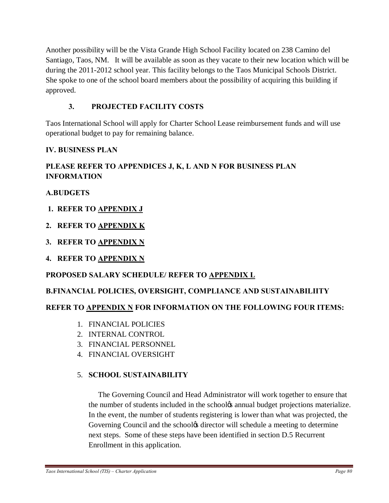Another possibility will be the Vista Grande High School Facility located on 238 Camino del Santiago, Taos, NM. It will be available as soon as they vacate to their new location which will be during the 2011-2012 school year. This facility belongs to the Taos Municipal Schools District. She spoke to one of the school board members about the possibility of acquiring this building if approved.

### **3. PROJECTED FACILITY COSTS**

Taos International School will apply for Charter School Lease reimbursement funds and will use operational budget to pay for remaining balance.

#### **IV. BUSINESS PLAN**

## **PLEASE REFER TO APPENDICES J, K, L AND N FOR BUSINESS PLAN INFORMATION**

### **A.BUDGETS**

- **1. REFER TO APPENDIX J**
- **2. REFER TO APPENDIX K**
- **3. REFER TO APPENDIX N**
- **4. REFER TO APPENDIX N**

# **PROPOSED SALARY SCHEDULE/ REFER TO APPENDIX L**

## **B.FINANCIAL POLICIES, OVERSIGHT, COMPLIANCE AND SUSTAINABILIITY**

#### **REFER TO APPENDIX N FOR INFORMATION ON THE FOLLOWING FOUR ITEMS:**

- 1. FINANCIAL POLICIES
- 2. INTERNAL CONTROL
- 3. FINANCIAL PERSONNEL
- 4. FINANCIAL OVERSIGHT

#### 5. **SCHOOL SUSTAINABILITY**

 The Governing Council and Head Administrator will work together to ensure that the number of students included in the school $\alpha$  annual budget projections materialize. In the event, the number of students registering is lower than what was projected, the Governing Council and the school time director will schedule a meeting to determine next steps. Some of these steps have been identified in section D.5 Recurrent Enrollment in this application.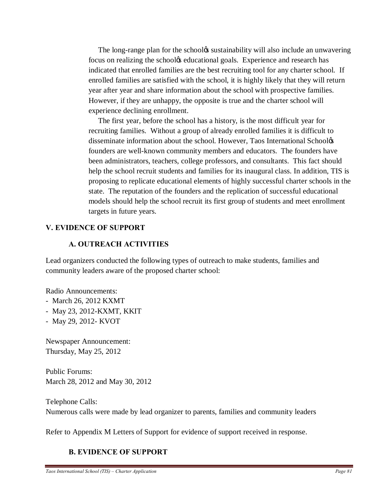The long-range plan for the schoolgs sustainability will also include an unwavering focus on realizing the school<sub>/8</sub> educational goals. Experience and research has indicated that enrolled families are the best recruiting tool for any charter school. If enrolled families are satisfied with the school, it is highly likely that they will return year after year and share information about the school with prospective families. However, if they are unhappy, the opposite is true and the charter school will experience declining enrollment.

 The first year, before the school has a history, is the most difficult year for recruiting families. Without a group of already enrolled families it is difficult to disseminate information about the school. However, Taos International School& founders are well-known community members and educators. The founders have been administrators, teachers, college professors, and consultants. This fact should help the school recruit students and families for its inaugural class. In addition, TIS is proposing to replicate educational elements of highly successful charter schools in the state. The reputation of the founders and the replication of successful educational models should help the school recruit its first group of students and meet enrollment targets in future years.

#### **V. EVIDENCE OF SUPPORT**

#### **A. OUTREACH ACTIVITIES**

Lead organizers conducted the following types of outreach to make students, families and community leaders aware of the proposed charter school:

Radio Announcements:

- March 26, 2012 KXMT
- May 23, 2012-KXMT, KKIT
- May 29, 2012- KVOT

Newspaper Announcement: Thursday, May 25, 2012

Public Forums: March 28, 2012 and May 30, 2012

Telephone Calls: Numerous calls were made by lead organizer to parents, families and community leaders

Refer to Appendix M Letters of Support for evidence of support received in response.

#### **B. EVIDENCE OF SUPPORT**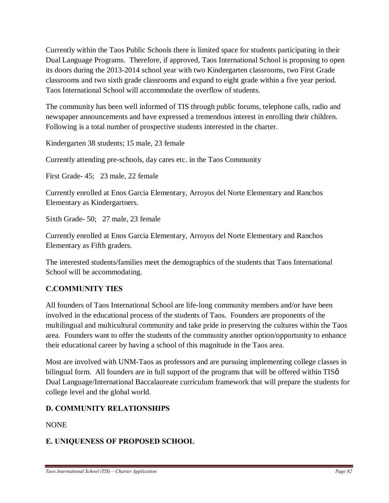Currently within the Taos Public Schools there is limited space for students participating in their Dual Language Programs. Therefore, if approved, Taos International School is proposing to open its doors during the 2013-2014 school year with two Kindergarten classrooms, two First Grade classrooms and two sixth grade classrooms and expand to eight grade within a five year period. Taos International School will accommodate the overflow of students.

The community has been well informed of TIS through public forums, telephone calls, radio and newspaper announcements and have expressed a tremendous interest in enrolling their children. Following is a total number of prospective students interested in the charter.

Kindergarten 38 students; 15 male, 23 female

Currently attending pre-schools, day cares etc. in the Taos Community

First Grade- 45; 23 male, 22 female

Currently enrolled at Enos Garcia Elementary, Arroyos del Norte Elementary and Ranchos Elementary as Kindergartners.

Sixth Grade- 50; 27 male, 23 female

Currently enrolled at Enos Garcia Elementary, Arroyos del Norte Elementary and Ranchos Elementary as Fifth graders.

The interested students/families meet the demographics of the students that Taos International School will be accommodating.

#### **C.COMMUNITY TIES**

All founders of Taos International School are life-long community members and/or have been involved in the educational process of the students of Taos. Founders are proponents of the multilingual and multicultural community and take pride in preserving the cultures within the Taos area. Founders want to offer the students of the community another option/opportunity to enhance their educational career by having a school of this magnitude in the Taos area.

Most are involved with UNM-Taos as professors and are pursuing implementing college classes in bilingual form. All founders are in full support of the programs that will be offered within  $TIS\varphi$ Dual Language/International Baccalaureate curriculum framework that will prepare the students for college level and the global world.

#### **D. COMMUNITY RELATIONSHIPS**

NONE

#### **E. UNIQUENESS OF PROPOSED SCHOOL**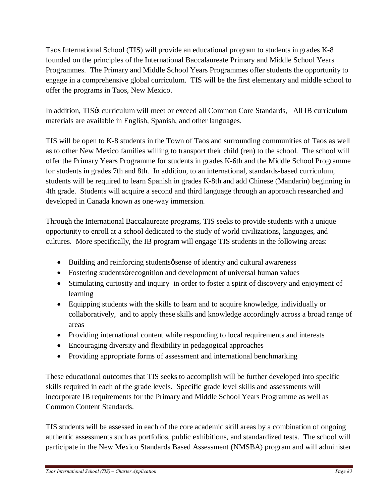Taos International School (TIS) will provide an educational program to students in grades K-8 founded on the principles of the International Baccalaureate Primary and Middle School Years Programmes. The Primary and Middle School Years Programmes offer students the opportunity to engage in a comprehensive global curriculum. TIS will be the first elementary and middle school to offer the programs in Taos, New Mexico.

In addition, TIS& curriculum will meet or exceed all Common Core Standards. All IB curriculum materials are available in English, Spanish, and other languages.

TIS will be open to K-8 students in the Town of Taos and surrounding communities of Taos as well as to other New Mexico families willing to transport their child (ren) to the school. The school will offer the Primary Years Programme for students in grades K-6th and the Middle School Programme for students in grades 7th and 8th. In addition, to an international, standards-based curriculum, students will be required to learn Spanish in grades K-8th and add Chinese (Mandarin) beginning in 4th grade. Students will acquire a second and third language through an approach researched and developed in Canada known as one-way immersion.

Through the International Baccalaureate programs, TIS seeks to provide students with a unique opportunity to enroll at a school dedicated to the study of world civilizations, languages, and cultures. More specifically, the IB program will engage TIS students in the following areas:

- Building and reinforcing students *o* sense of identity and cultural awareness
- Fostering students *p* recognition and development of universal human values
- Stimulating curiosity and inquiry in order to foster a spirit of discovery and enjoyment of learning
- · Equipping students with the skills to learn and to acquire knowledge, individually or collaboratively, and to apply these skills and knowledge accordingly across a broad range of areas
- Providing international content while responding to local requirements and interests
- · Encouraging diversity and flexibility in pedagogical approaches
- · Providing appropriate forms of assessment and international benchmarking

These educational outcomes that TIS seeks to accomplish will be further developed into specific skills required in each of the grade levels. Specific grade level skills and assessments will incorporate IB requirements for the Primary and Middle School Years Programme as well as Common Content Standards.

TIS students will be assessed in each of the core academic skill areas by a combination of ongoing authentic assessments such as portfolios, public exhibitions, and standardized tests. The school will participate in the New Mexico Standards Based Assessment (NMSBA) program and will administer